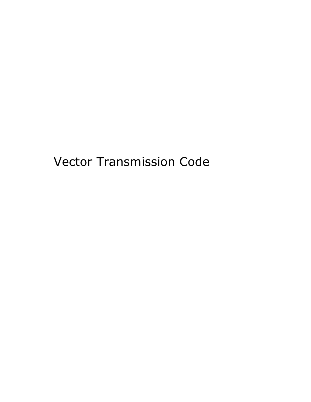# Vector Transmission Code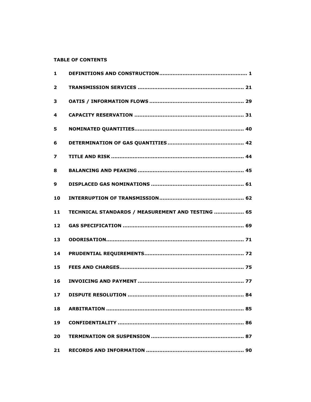# **TABLE OF CONTENTS**

| $\mathbf{1}$            |                                                   |
|-------------------------|---------------------------------------------------|
| $\overline{\mathbf{2}}$ |                                                   |
| 3                       |                                                   |
| 4                       |                                                   |
| 5                       |                                                   |
| 6                       |                                                   |
| 7                       |                                                   |
| 8                       |                                                   |
| 9                       |                                                   |
| 10                      |                                                   |
| 11                      | TECHNICAL STANDARDS / MEASUREMENT AND TESTING  65 |
| 12                      |                                                   |
| 13                      |                                                   |
| 14                      |                                                   |
| 15                      |                                                   |
| 16                      |                                                   |
| 17                      |                                                   |
| 18                      |                                                   |
| 19                      |                                                   |
| 20                      |                                                   |
| 21                      |                                                   |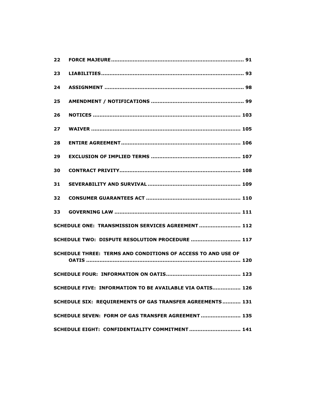| 22                                                           |  |  |
|--------------------------------------------------------------|--|--|
| 23                                                           |  |  |
| 24                                                           |  |  |
| 25                                                           |  |  |
| 26                                                           |  |  |
| 27                                                           |  |  |
| 28                                                           |  |  |
| 29                                                           |  |  |
| 30                                                           |  |  |
| 31                                                           |  |  |
| 32                                                           |  |  |
| 33                                                           |  |  |
| SCHEDULE ONE: TRANSMISSION SERVICES AGREEMENT  112           |  |  |
| SCHEDULE TWO: DISPUTE RESOLUTION PROCEDURE  117              |  |  |
| SCHEDULE THREE: TERMS AND CONDITIONS OF ACCESS TO AND USE OF |  |  |
|                                                              |  |  |
| SCHEDULE FIVE: INFORMATION TO BE AVAILABLE VIA OATIS 126     |  |  |
| SCHEDULE SIX: REQUIREMENTS OF GAS TRANSFER AGREEMENTS 131    |  |  |
| SCHEDULE SEVEN: FORM OF GAS TRANSFER AGREEMENT 135           |  |  |
| SCHEDULE EIGHT: CONFIDENTIALITY COMMITMENT 141               |  |  |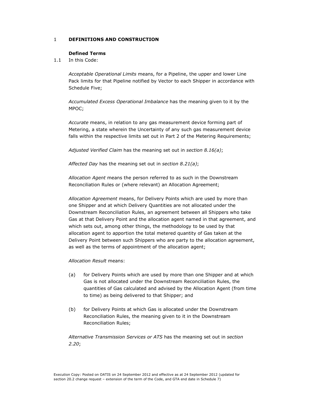# 1 DEFINITIONS AND CONSTRUCTION

## Defined Terms

1.1 In this Code:

Acceptable Operational Limits means, for a Pipeline, the upper and lower Line Pack limits for that Pipeline notified by Vector to each Shipper in accordance with Schedule Five;

Accumulated Excess Operational Imbalance has the meaning given to it by the MPOC;

Accurate means, in relation to any gas measurement device forming part of Metering, a state wherein the Uncertainty of any such gas measurement device falls within the respective limits set out in Part 2 of the Metering Requirements;

Adjusted Verified Claim has the meaning set out in section 8.16(a);

Affected Day has the meaning set out in section  $8.21(a)$ ;

Allocation Agent means the person referred to as such in the Downstream Reconciliation Rules or (where relevant) an Allocation Agreement;

Allocation Agreement means, for Delivery Points which are used by more than one Shipper and at which Delivery Quantities are not allocated under the Downstream Reconciliation Rules, an agreement between all Shippers who take Gas at that Delivery Point and the allocation agent named in that agreement, and which sets out, among other things, the methodology to be used by that allocation agent to apportion the total metered quantity of Gas taken at the Delivery Point between such Shippers who are party to the allocation agreement, as well as the terms of appointment of the allocation agent;

Allocation Result means:

- (a) for Delivery Points which are used by more than one Shipper and at which Gas is not allocated under the Downstream Reconciliation Rules, the quantities of Gas calculated and advised by the Allocation Agent (from time to time) as being delivered to that Shipper; and
- (b) for Delivery Points at which Gas is allocated under the Downstream Reconciliation Rules, the meaning given to it in the Downstream Reconciliation Rules;

Alternative Transmission Services or ATS has the meaning set out in section 2.20;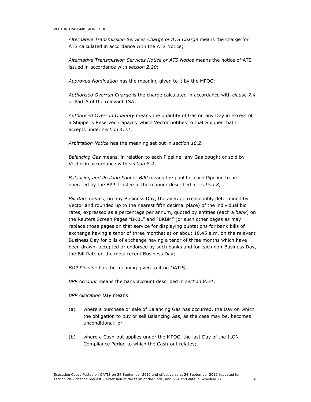Alternative Transmission Services Charge or ATS Charge means the charge for ATS calculated in accordance with the ATS Notice;

Alternative Transmission Services Notice or ATS Notice means the notice of ATS issued in accordance with section 2.20;

Approved Nomination has the meaning given to it by the MPOC;

Authorised Overrun Charge is the charge calculated in accordance with clause 7.4 of Part A of the relevant TSA;

Authorised Overrun Quantity means the quantity of Gas on any Day in excess of a Shipper's Reserved Capacity which Vector notifies to that Shipper that it accepts under section 4.22;

Arbitration Notice has the meaning set out in section 18.2;

Balancing Gas means, in relation to each Pipeline, any Gas bought or sold by Vector in accordance with section 8.4;

Balancing and Peaking Pool or BPP means the pool for each Pipeline to be operated by the BPP Trustee in the manner described in section 8;

Bill Rate means, on any Business Day, the average (reasonably determined by Vector and rounded up to the nearest fifth decimal place) of the individual bid rates, expressed as a percentage per annum, quoted by entities (each a bank) on the Reuters Screen Pages "BKBL" and "BKBM" (or such other pages as may replace those pages on that service for displaying quotations for bank bills of exchange having a tenor of three months) at or about 10.45 a.m. on the relevant Business Day for bills of exchange having a tenor of three months which have been drawn, accepted or endorsed by such banks and for each non-Business Day, the Bill Rate on the most recent Business Day;

BOP Pipeline has the meaning given to it on OATIS;

BPP Account means the bank account described in section 8.24;

#### BPP Allocation Day means:

- (a) where a purchase or sale of Balancing Gas has occurred, the Day on which the obligation to buy or sell Balancing Gas, as the case may be, becomes unconditional; or
- (b) where a Cash-out applies under the MPOC, the last Day of the ILON Compliance Period to which the Cash-out relates;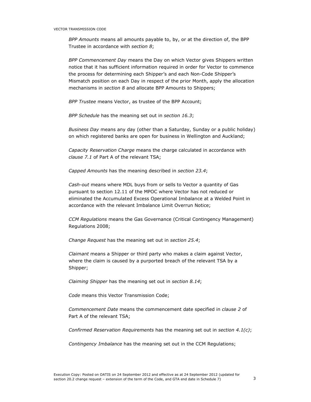BPP Amounts means all amounts payable to, by, or at the direction of, the BPP Trustee in accordance with section 8;

BPP Commencement Day means the Day on which Vector gives Shippers written notice that it has sufficient information required in order for Vector to commence the process for determining each Shipper's and each Non-Code Shipper's Mismatch position on each Day in respect of the prior Month, apply the allocation mechanisms in section 8 and allocate BPP Amounts to Shippers;

BPP Trustee means Vector, as trustee of the BPP Account;

BPP Schedule has the meaning set out in section 16.3;

Business Day means any day (other than a Saturday, Sunday or a public holiday) on which registered banks are open for business in Wellington and Auckland;

Capacity Reservation Charge means the charge calculated in accordance with clause 7.1 of Part A of the relevant TSA;

Capped Amounts has the meaning described in section 23.4;

Cash-out means where MDL buys from or sells to Vector a quantity of Gas pursuant to section 12.11 of the MPOC where Vector has not reduced or eliminated the Accumulated Excess Operational Imbalance at a Welded Point in accordance with the relevant Imbalance Limit Overrun Notice;

CCM Regulations means the Gas Governance (Critical Contingency Management) Regulations 2008;

Change Request has the meaning set out in section 25.4;

Claimant means a Shipper or third party who makes a claim against Vector, where the claim is caused by a purported breach of the relevant TSA by a Shipper;

Claiming Shipper has the meaning set out in section 8.14;

Code means this Vector Transmission Code;

Commencement Date means the commencement date specified in clause 2 of Part A of the relevant TSA;

Confirmed Reservation Requirements has the meaning set out in section  $4.1(c)$ ;

Contingency Imbalance has the meaning set out in the CCM Regulations;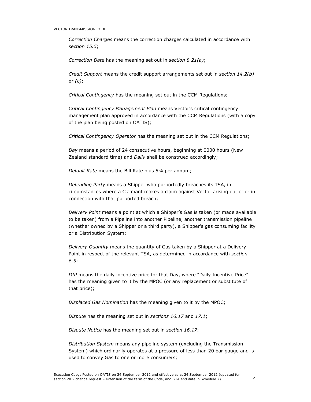Correction Charges means the correction charges calculated in accordance with section 15.5;

Correction Date has the meaning set out in section 8.21(a);

Credit Support means the credit support arrangements set out in section 14.2(b) or  $(c)$ ;

Critical Contingency has the meaning set out in the CCM Regulations;

Critical Contingency Management Plan means Vector's critical contingency management plan approved in accordance with the CCM Regulations (with a copy of the plan being posted on OATIS);

Critical Contingency Operator has the meaning set out in the CCM Regulations;

Day means a period of 24 consecutive hours, beginning at 0000 hours (New Zealand standard time) and Daily shall be construed accordingly;

Default Rate means the Bill Rate plus 5% per annum;

Defending Party means a Shipper who purportedly breaches its TSA, in circumstances where a Claimant makes a claim against Vector arising out of or in connection with that purported breach;

Delivery Point means a point at which a Shipper's Gas is taken (or made available to be taken) from a Pipeline into another Pipeline, another transmission pipeline (whether owned by a Shipper or a third party), a Shipper's gas consuming facility or a Distribution System;

Delivery Quantity means the quantity of Gas taken by a Shipper at a Delivery Point in respect of the relevant TSA, as determined in accordance with section 6.5;

DIP means the daily incentive price for that Day, where "Daily Incentive Price" has the meaning given to it by the MPOC (or any replacement or substitute of that price);

Displaced Gas Nomination has the meaning given to it by the MPOC;

Dispute has the meaning set out in sections 16.17 and 17.1;

Dispute Notice has the meaning set out in section 16.17;

Distribution System means any pipeline system (excluding the Transmission System) which ordinarily operates at a pressure of less than 20 bar gauge and is used to convey Gas to one or more consumers;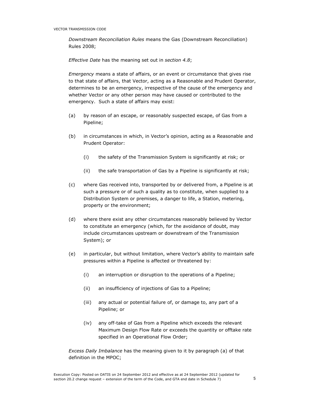Downstream Reconciliation Rules means the Gas (Downstream Reconciliation) Rules 2008;

Effective Date has the meaning set out in section 4.8;

Emergency means a state of affairs, or an event or circumstance that gives rise to that state of affairs, that Vector, acting as a Reasonable and Prudent Operator, determines to be an emergency, irrespective of the cause of the emergency and whether Vector or any other person may have caused or contributed to the emergency. Such a state of affairs may exist:

- (a) by reason of an escape, or reasonably suspected escape, of Gas from a Pipeline;
- (b) in circumstances in which, in Vector's opinion, acting as a Reasonable and Prudent Operator:
	- (i) the safety of the Transmission System is significantly at risk; or
	- (ii) the safe transportation of Gas by a Pipeline is significantly at risk;
- (c) where Gas received into, transported by or delivered from, a Pipeline is at such a pressure or of such a quality as to constitute, when supplied to a Distribution System or premises, a danger to life, a Station, metering, property or the environment;
- (d) where there exist any other circumstances reasonably believed by Vector to constitute an emergency (which, for the avoidance of doubt, may include circumstances upstream or downstream of the Transmission System); or
- (e) in particular, but without limitation, where Vector's ability to maintain safe pressures within a Pipeline is affected or threatened by:
	- (i) an interruption or disruption to the operations of a Pipeline;
	- (ii) an insufficiency of injections of Gas to a Pipeline;
	- (iii) any actual or potential failure of, or damage to, any part of a Pipeline; or
	- (iv) any off-take of Gas from a Pipeline which exceeds the relevant Maximum Design Flow Rate or exceeds the quantity or offtake rate specified in an Operational Flow Order;

Excess Daily Imbalance has the meaning given to it by paragraph (a) of that definition in the MPOC;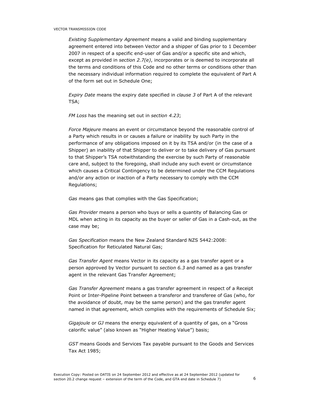Existing Supplementary Agreement means a valid and binding supplementary agreement entered into between Vector and a shipper of Gas prior to 1 December 2007 in respect of a specific end-user of Gas and/or a specific site and which, except as provided in section 2.7 $(e)$ , incorporates or is deemed to incorporate all the terms and conditions of this Code and no other terms or conditions other than the necessary individual information required to complete the equivalent of Part A of the form set out in Schedule One;

Expiry Date means the expiry date specified in clause 3 of Part A of the relevant TSA;

FM Loss has the meaning set out in section 4.23;

Force Majeure means an event or circumstance beyond the reasonable control of a Party which results in or causes a failure or inability by such Party in the performance of any obligations imposed on it by its TSA and/or (in the case of a Shipper) an inability of that Shipper to deliver or to take delivery of Gas pursuant to that Shipper's TSA notwithstanding the exercise by such Party of reasonable care and, subject to the foregoing, shall include any such event or circumstance which causes a Critical Contingency to be determined under the CCM Regulations and/or any action or inaction of a Party necessary to comply with the CCM Regulations;

Gas means gas that complies with the Gas Specification;

Gas Provider means a person who buys or sells a quantity of Balancing Gas or MDL when acting in its capacity as the buyer or seller of Gas in a Cash-out, as the case may be;

Gas Specification means the New Zealand Standard NZS 5442:2008: Specification for Reticulated Natural Gas;

Gas Transfer Agent means Vector in its capacity as a gas transfer agent or a person approved by Vector pursuant to section 6.3 and named as a gas transfer agent in the relevant Gas Transfer Agreement;

Gas Transfer Agreement means a gas transfer agreement in respect of a Receipt Point or Inter-Pipeline Point between a transferor and transferee of Gas (who, for the avoidance of doubt, may be the same person) and the gas transfer agent named in that agreement, which complies with the requirements of Schedule Six;

Gigajoule or GJ means the energy equivalent of a quantity of gas, on a "Gross calorific value" (also known as "Higher Heating Value") basis;

GST means Goods and Services Tax payable pursuant to the Goods and Services Tax Act 1985;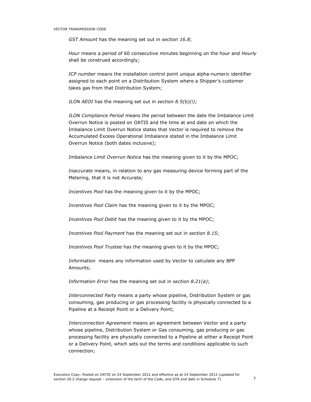GST Amount has the meaning set out in section 16.8;

Hour means a period of 60 consecutive minutes beginning on the hour and Hourly shall be construed accordingly;

ICP number means the installation control point unique alpha-numeric identifier assigned to each point on a Distribution System where a Shipper's customer takes gas from that Distribution System;

ILON AEOI has the meaning set out in section  $8.5(b)(i)$ ;

ILON Compliance Period means the period between the date the Imbalance Limit Overrun Notice is posted on OATIS and the time at and date on which the Imbalance Limit Overrun Notice states that Vector is required to remove the Accumulated Excess Operational Imbalance stated in the Imbalance Limit Overrun Notice (both dates inclusive);

Imbalance Limit Overrun Notice has the meaning given to it by the MPOC;

Inaccurate means, in relation to any gas measuring device forming part of the Metering, that it is not Accurate;

Incentives Pool has the meaning given to it by the MPOC;

Incentives Pool Claim has the meaning given to it by the MPOC;

Incentives Pool Debit has the meaning given to it by the MPOC;

Incentives Pool Payment has the meaning set out in section 8.15;

Incentives Pool Trustee has the meaning given to it by the MPOC;

Information means any information used by Vector to calculate any BPP Amounts;

Information Error has the meaning set out in section 8.21(a);

Interconnected Party means a party whose pipeline, Distribution System or gas consuming, gas producing or gas processing facility is physically connected to a Pipeline at a Receipt Point or a Delivery Point;

Interconnection Agreement means an agreement between Vector and a party whose pipeline, Distribution System or Gas consuming, gas producing or gas processing facility are physically connected to a Pipeline at either a Receipt Point or a Delivery Point, which sets out the terms and conditions applicable to such connection;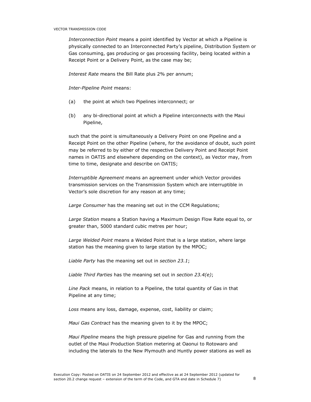Interconnection Point means a point identified by Vector at which a Pipeline is physically connected to an Interconnected Party's pipeline, Distribution System or Gas consuming, gas producing or gas processing facility, being located within a Receipt Point or a Delivery Point, as the case may be;

Interest Rate means the Bill Rate plus 2% per annum;

Inter-Pipeline Point means:

- (a) the point at which two Pipelines interconnect; or
- (b) any bi-directional point at which a Pipeline interconnects with the Maui Pipeline,

such that the point is simultaneously a Delivery Point on one Pipeline and a Receipt Point on the other Pipeline (where, for the avoidance of doubt, such point may be referred to by either of the respective Delivery Point and Receipt Point names in OATIS and elsewhere depending on the context), as Vector may, from time to time, designate and describe on OATIS;

Interruptible Agreement means an agreement under which Vector provides transmission services on the Transmission System which are interruptible in Vector's sole discretion for any reason at any time;

Large Consumer has the meaning set out in the CCM Regulations;

Large Station means a Station having a Maximum Design Flow Rate equal to, or greater than, 5000 standard cubic metres per hour;

Large Welded Point means a Welded Point that is a large station, where large station has the meaning given to large station by the MPOC;

Liable Party has the meaning set out in section 23.1;

Liable Third Parties has the meaning set out in section 23.4(e);

Line Pack means, in relation to a Pipeline, the total quantity of Gas in that Pipeline at any time;

Loss means any loss, damage, expense, cost, liability or claim;

Maui Gas Contract has the meaning given to it by the MPOC;

Maui Pipeline means the high pressure pipeline for Gas and running from the outlet of the Maui Production Station metering at Oaonui to Rotowaro and including the laterals to the New Plymouth and Huntly power stations as well as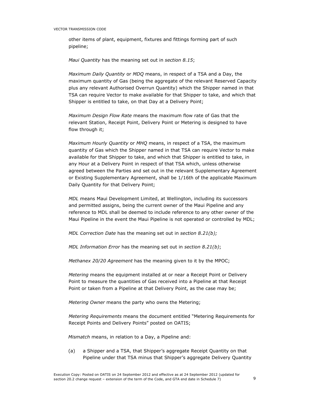other items of plant, equipment, fixtures and fittings forming part of such pipeline;

Maui Quantity has the meaning set out in section 8.15;

Maximum Daily Quantity or MDQ means, in respect of a TSA and a Day, the maximum quantity of Gas (being the aggregate of the relevant Reserved Capacity plus any relevant Authorised Overrun Quantity) which the Shipper named in that TSA can require Vector to make available for that Shipper to take, and which that Shipper is entitled to take, on that Day at a Delivery Point;

Maximum Design Flow Rate means the maximum flow rate of Gas that the relevant Station, Receipt Point, Delivery Point or Metering is designed to have flow through it;

Maximum Hourly Quantity or MHQ means, in respect of a TSA, the maximum quantity of Gas which the Shipper named in that TSA can require Vector to make available for that Shipper to take, and which that Shipper is entitled to take, in any Hour at a Delivery Point in respect of that TSA which, unless otherwise agreed between the Parties and set out in the relevant Supplementary Agreement or Existing Supplementary Agreement, shall be 1/16th of the applicable Maximum Daily Quantity for that Delivery Point;

MDL means Maui Development Limited, at Wellington, including its successors and permitted assigns, being the current owner of the Maui Pipeline and any reference to MDL shall be deemed to include reference to any other owner of the Maui Pipeline in the event the Maui Pipeline is not operated or controlled by MDL;

MDL Correction Date has the meaning set out in section 8.21(b);

MDL Information Error has the meaning set out in section 8.21(b);

Methanex 20/20 Agreement has the meaning given to it by the MPOC;

Metering means the equipment installed at or near a Receipt Point or Delivery Point to measure the quantities of Gas received into a Pipeline at that Receipt Point or taken from a Pipeline at that Delivery Point, as the case may be;

Metering Owner means the party who owns the Metering;

Metering Requirements means the document entitled "Metering Requirements for Receipt Points and Delivery Points" posted on OATIS;

Mismatch means, in relation to a Day, a Pipeline and:

(a) a Shipper and a TSA, that Shipper's aggregate Receipt Quantity on that Pipeline under that TSA minus that Shipper's aggregate Delivery Quantity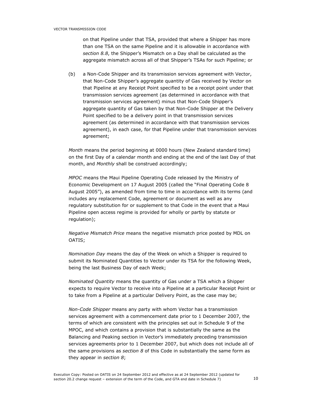on that Pipeline under that TSA, provided that where a Shipper has more than one TSA on the same Pipeline and it is allowable in accordance with section 8.8, the Shipper's Mismatch on a Day shall be calculated as the aggregate mismatch across all of that Shipper's TSAs for such Pipeline; or

(b) a Non-Code Shipper and its transmission services agreement with Vector, that Non-Code Shipper's aggregate quantity of Gas received by Vector on that Pipeline at any Receipt Point specified to be a receipt point under that transmission services agreement (as determined in accordance with that transmission services agreement) minus that Non-Code Shipper's aggregate quantity of Gas taken by that Non-Code Shipper at the Delivery Point specified to be a delivery point in that transmission services agreement (as determined in accordance with that transmission services agreement), in each case, for that Pipeline under that transmission services agreement;

Month means the period beginning at 0000 hours (New Zealand standard time) on the first Day of a calendar month and ending at the end of the last Day of that month, and Monthly shall be construed accordingly;

MPOC means the Maui Pipeline Operating Code released by the Ministry of Economic Development on 17 August 2005 (called the "Final Operating Code 8 August 2005"), as amended from time to time in accordance with its terms (and includes any replacement Code, agreement or document as well as any regulatory substitution for or supplement to that Code in the event that a Maui Pipeline open access regime is provided for wholly or partly by statute or regulation);

Negative Mismatch Price means the negative mismatch price posted by MDL on OATIS;

Nomination Day means the day of the Week on which a Shipper is required to submit its Nominated Quantities to Vector under its TSA for the following Week, being the last Business Day of each Week;

Nominated Quantity means the quantity of Gas under a TSA which a Shipper expects to require Vector to receive into a Pipeline at a particular Receipt Point or to take from a Pipeline at a particular Delivery Point, as the case may be;

Non-Code Shipper means any party with whom Vector has a transmission services agreement with a commencement date prior to 1 December 2007, the terms of which are consistent with the principles set out in Schedule 9 of the MPOC, and which contains a provision that is substantially the same as the Balancing and Peaking section in Vector's immediately preceding transmission services agreements prior to 1 December 2007, but which does not include all of the same provisions as section  $8$  of this Code in substantially the same form as they appear in section 8;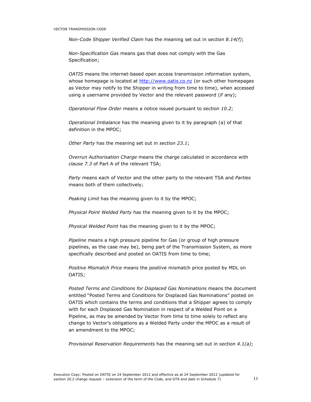Non-Code Shipper Verified Claim has the meaning set out in section 8.14(f);

Non-Specification Gas means gas that does not comply with the Gas Specification;

OATIS means the internet-based open access transmission information system, whose homepage is located at http://www.oatis.co.nz (or such other homepages as Vector may notify to the Shipper in writing from time to time), when accessed using a username provided by Vector and the relevant password (if any);

Operational Flow Order means a notice issued pursuant to section 10.2;

Operational Imbalance has the meaning given to it by paragraph (a) of that definition in the MPOC;

Other Party has the meaning set out in section 23.1;

Overrun Authorisation Charge means the charge calculated in accordance with clause 7.3 of Part A of the relevant TSA;

Party means each of Vector and the other party to the relevant TSA and Parties means both of them collectively;

Peaking Limit has the meaning given to it by the MPOC;

Physical Point Welded Party has the meaning given to it by the MPOC;

Physical Welded Point has the meaning given to it by the MPOC;

Pipeline means a high pressure pipeline for Gas (or group of high pressure pipelines, as the case may be), being part of the Transmission System, as more specifically described and posted on OATIS from time to time;

Positive Mismatch Price means the positive mismatch price posted by MDL on OATIS;

Posted Terms and Conditions for Displaced Gas Nominations means the document entitled "Posted Terms and Conditions for Displaced Gas Nominations" posted on OATIS which contains the terms and conditions that a Shipper agrees to comply with for each Displaced Gas Nomination in respect of a Welded Point on a Pipeline, as may be amended by Vector from time to time solely to reflect any change to Vector's obligations as a Welded Party under the MPOC as a result of an amendment to the MPOC;

Provisional Reservation Requirements has the meaning set out in section 4.1(a);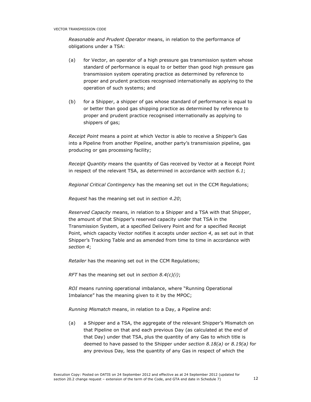Reasonable and Prudent Operator means, in relation to the performance of obligations under a TSA:

- (a) for Vector, an operator of a high pressure gas transmission system whose standard of performance is equal to or better than good high pressure gas transmission system operating practice as determined by reference to proper and prudent practices recognised internationally as applying to the operation of such systems; and
- (b) for a Shipper, a shipper of gas whose standard of performance is equal to or better than good gas shipping practice as determined by reference to proper and prudent practice recognised internationally as applying to shippers of gas;

Receipt Point means a point at which Vector is able to receive a Shipper's Gas into a Pipeline from another Pipeline, another party's transmission pipeline, gas producing or gas processing facility;

Receipt Quantity means the quantity of Gas received by Vector at a Receipt Point in respect of the relevant TSA, as determined in accordance with section 6.1;

Regional Critical Contingency has the meaning set out in the CCM Regulations;

Request has the meaning set out in section 4.20;

Reserved Capacity means, in relation to a Shipper and a TSA with that Shipper, the amount of that Shipper's reserved capacity under that TSA in the Transmission System, at a specified Delivery Point and for a specified Receipt Point, which capacity Vector notifies it accepts under section 4, as set out in that Shipper's Tracking Table and as amended from time to time in accordance with section 4;

Retailer has the meaning set out in the CCM Regulations;

RFT has the meaning set out in section  $8.4(c)(i)$ ;

ROI means running operational imbalance, where "Running Operational Imbalance" has the meaning given to it by the MPOC;

Running Mismatch means, in relation to a Day, a Pipeline and:

(a) a Shipper and a TSA, the aggregate of the relevant Shipper's Mismatch on that Pipeline on that and each previous Day (as calculated at the end of that Day) under that TSA, plus the quantity of any Gas to which title is deemed to have passed to the Shipper under section  $8.18(a)$  or  $8.19(a)$  for any previous Day, less the quantity of any Gas in respect of which the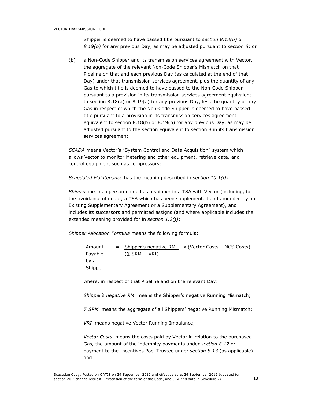Shipper is deemed to have passed title pursuant to section 8.18(b) or 8.19(b) for any previous Day, as may be adjusted pursuant to section 8; or

(b) a Non-Code Shipper and its transmission services agreement with Vector, the aggregate of the relevant Non-Code Shipper's Mismatch on that Pipeline on that and each previous Day (as calculated at the end of that Day) under that transmission services agreement, plus the quantity of any Gas to which title is deemed to have passed to the Non-Code Shipper pursuant to a provision in its transmission services agreement equivalent to section 8.18(a) or 8.19(a) for any previous Day, less the quantity of any Gas in respect of which the Non-Code Shipper is deemed to have passed title pursuant to a provision in its transmission services agreement equivalent to section 8.18(b) or 8.19(b) for any previous Day, as may be adjusted pursuant to the section equivalent to section 8 in its transmission services agreement;

SCADA means Vector's "System Control and Data Acquisition" system which allows Vector to monitor Metering and other equipment, retrieve data, and control equipment such as compressors;

Scheduled Maintenance has the meaning described in section 10.1(i);

Shipper means a person named as a shipper in a TSA with Vector (including, for the avoidance of doubt, a TSA which has been supplemented and amended by an Existing Supplementary Agreement or a Supplementary Agreement), and includes its successors and permitted assigns (and where applicable includes the extended meaning provided for in section 1.2(i);

Shipper Allocation Formula means the following formula:

Amount Payable by a Shipper = Shipper's negative RM x (Vector Costs – NCS Costs)  $(\Sigma$  SRM + VRI)

where, in respect of that Pipeline and on the relevant Day:

Shipper's negative RM means the Shipper's negative Running Mismatch;

∑ SRM means the aggregate of all Shippers' negative Running Mismatch;

VRI means negative Vector Running Imbalance;

Vector Costs means the costs paid by Vector in relation to the purchased Gas, the amount of the indemnity payments under section 8.12 or payment to the Incentives Pool Trustee under section 8.13 (as applicable); and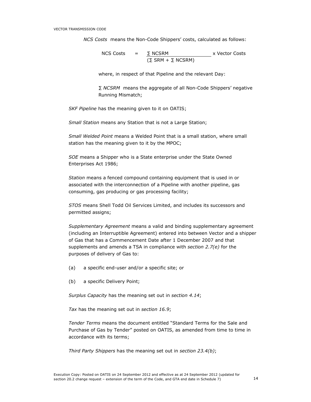NCS Costs means the Non-Code Shippers' costs, calculated as follows:

$$
NCS \text{ Costs} = \frac{\Sigma \text{ NCSRM}}{(\Sigma \text{ SRM} + \Sigma \text{ NCSRM})} \times \text{Vector Costs}
$$

where, in respect of that Pipeline and the relevant Day:

∑ NCSRM means the aggregate of all Non-Code Shippers' negative Running Mismatch;

SKF Pipeline has the meaning given to it on OATIS;

Small Station means any Station that is not a Large Station;

Small Welded Point means a Welded Point that is a small station, where small station has the meaning given to it by the MPOC;

SOE means a Shipper who is a State enterprise under the State Owned Enterprises Act 1986;

Station means a fenced compound containing equipment that is used in or associated with the interconnection of a Pipeline with another pipeline, gas consuming, gas producing or gas processing facility;

STOS means Shell Todd Oil Services Limited, and includes its successors and permitted assigns;

Supplementary Agreement means a valid and binding supplementary agreement (including an Interruptible Agreement) entered into between Vector and a shipper of Gas that has a Commencement Date after 1 December 2007 and that supplements and amends a TSA in compliance with section  $2.7(e)$  for the purposes of delivery of Gas to:

- (a) a specific end-user and/or a specific site; or
- (b) a specific Delivery Point;

Surplus Capacity has the meaning set out in section 4.14;

Tax has the meaning set out in section 16.9;

Tender Terms means the document entitled "Standard Terms for the Sale and Purchase of Gas by Tender" posted on OATIS, as amended from time to time in accordance with its terms;

Third Party Shippers has the meaning set out in section 23.4(b);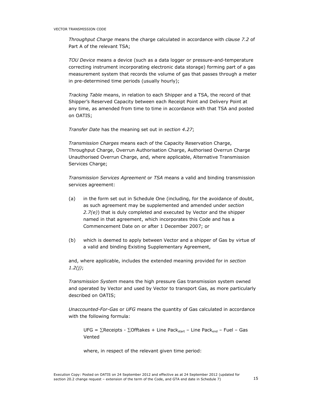Throughput Charge means the charge calculated in accordance with clause 7.2 of Part A of the relevant TSA;

TOU Device means a device (such as a data logger or pressure-and-temperature correcting instrument incorporating electronic data storage) forming part of a gas measurement system that records the volume of gas that passes through a meter in pre-determined time periods (usually hourly);

Tracking Table means, in relation to each Shipper and a TSA, the record of that Shipper's Reserved Capacity between each Receipt Point and Delivery Point at any time, as amended from time to time in accordance with that TSA and posted on OATIS;

Transfer Date has the meaning set out in section 4.27;

Transmission Charges means each of the Capacity Reservation Charge, Throughput Charge, Overrun Authorisation Charge, Authorised Overrun Charge Unauthorised Overrun Charge, and, where applicable, Alternative Transmission Services Charge:

Transmission Services Agreement or TSA means a valid and binding transmission services agreement:

- (a) in the form set out in Schedule One (including, for the avoidance of doubt, as such agreement may be supplemented and amended under section  $2.7(e)$ ) that is duly completed and executed by Vector and the shipper named in that agreement, which incorporates this Code and has a Commencement Date on or after 1 December 2007; or
- (b) which is deemed to apply between Vector and a shipper of Gas by virtue of a valid and binding Existing Supplementary Agreement,

and, where applicable, includes the extended meaning provided for in section  $1.2(j)$ ;

Transmission System means the high pressure Gas transmission system owned and operated by Vector and used by Vector to transport Gas, as more particularly described on OATIS;

Unaccounted-For-Gas or UFG means the quantity of Gas calculated in accordance with the following formula:

UFG = ∑Receipts - ∑Offtakes + Line Pack<sub>start</sub> – Line Pack<sub>end</sub> – Fuel – Gas Vented

where, in respect of the relevant given time period: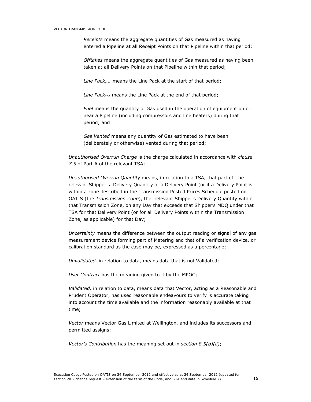Receipts means the aggregate quantities of Gas measured as having entered a Pipeline at all Receipt Points on that Pipeline within that period;

Offtakes means the aggregate quantities of Gas measured as having been taken at all Delivery Points on that Pipeline within that period;

Line Pac $k_{start}$  means the Line Pack at the start of that period;

Line Pac $k_{end}$  means the Line Pack at the end of that period;

Fuel means the quantity of Gas used in the operation of equipment on or near a Pipeline (including compressors and line heaters) during that period; and

Gas Vented means any quantity of Gas estimated to have been (deliberately or otherwise) vented during that period;

Unauthorised Overrun Charge is the charge calculated in accordance with clause 7.5 of Part A of the relevant TSA;

Unauthorised Overrun Quantity means, in relation to a TSA, that part of the relevant Shipper's Delivery Quantity at a Delivery Point (or if a Delivery Point is within a zone described in the Transmission Posted Prices Schedule posted on OATIS (the Transmission Zone), the relevant Shipper's Delivery Quantity within that Transmission Zone, on any Day that exceeds that Shipper's MDQ under that TSA for that Delivery Point (or for all Delivery Points within the Transmission Zone, as applicable) for that Day;

Uncertainty means the difference between the output reading or signal of any gas measurement device forming part of Metering and that of a verification device, or calibration standard as the case may be, expressed as a percentage;

Unvalidated, in relation to data, means data that is not Validated;

User Contract has the meaning given to it by the MPOC;

Validated, in relation to data, means data that Vector, acting as a Reasonable and Prudent Operator, has used reasonable endeavours to verify is accurate taking into account the time available and the information reasonably available at that time;

Vector means Vector Gas Limited at Wellington, and includes its successors and permitted assigns;

Vector's Contribution has the meaning set out in section  $8.5(b)(ii)$ ;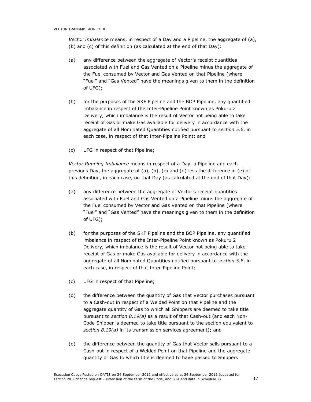Vector Imbalance means, in respect of a Day and a Pipeline, the aggregate of (a), (b) and (c) of this definition (as calculated at the end of that Day):

- (a) any difference between the aggregate of Vector's receipt quantities associated with Fuel and Gas Vented on a Pipeline minus the aggregate of the Fuel consumed by Vector and Gas Vented on that Pipeline (where "Fuel" and "Gas Vented" have the meanings given to them in the definition of UFG);
- (b) for the purposes of the SKF Pipeline and the BOP Pipeline, any quantified imbalance in respect of the Inter-Pipeline Point known as Pokuru 2 Delivery, which imbalance is the result of Vector not being able to take receipt of Gas or make Gas available for delivery in accordance with the aggregate of all Nominated Quantities notified pursuant to section 5.6, in each case, in respect of that Inter-Pipeline Point; and
- (c) UFG in respect of that Pipeline;

Vector Running Imbalance means in respect of a Day, a Pipeline and each previous Day, the aggregate of (a), (b), (c) and (d) less the difference in (e) of this definition, in each case, on that Day (as calculated at the end of that Day):

- (a) any difference between the aggregate of Vector's receipt quantities associated with Fuel and Gas Vented on a Pipeline minus the aggregate of the Fuel consumed by Vector and Gas Vented on that Pipeline (where "Fuel" and "Gas Vented" have the meanings given to them in the definition of UFG);
- (b) for the purposes of the SKF Pipeline and the BOP Pipeline, any quantified imbalance in respect of the Inter-Pipeline Point known as Pokuru 2 Delivery, which imbalance is the result of Vector not being able to take receipt of Gas or make Gas available for delivery in accordance with the aggregate of all Nominated Quantities notified pursuant to section 5.6, in each case, in respect of that Inter-Pipeline Point;
- (c) UFG in respect of that Pipeline;
- (d) the difference between the quantity of Gas that Vector purchases pursuant to a Cash-out in respect of a Welded Point on that Pipeline and the aggregate quantity of Gas to which all Shippers are deemed to take title pursuant to section  $8.19(a)$  as a result of that Cash-out (and each Non-Code Shipper is deemed to take title pursuant to the section equivalent to section 8.19(a) in its transmission services agreement); and
- (e) the difference between the quantity of Gas that Vector sells pursuant to a Cash-out in respect of a Welded Point on that Pipeline and the aggregate quantity of Gas to which title is deemed to have passed to Shippers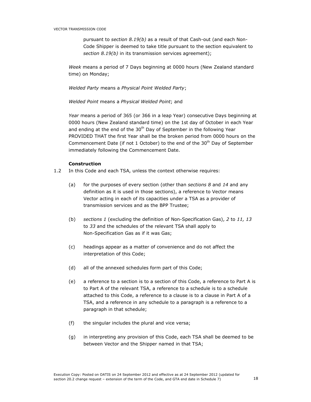pursuant to section 8.19(b) as a result of that Cash-out (and each Non-Code Shipper is deemed to take title pursuant to the section equivalent to section 8.19(b) in its transmission services agreement);

Week means a period of 7 Days beginning at 0000 hours (New Zealand standard time) on Monday;

Welded Party means a Physical Point Welded Party;

Welded Point means a Physical Welded Point; and

Year means a period of 365 (or 366 in a leap Year) consecutive Days beginning at 0000 hours (New Zealand standard time) on the 1st day of October in each Year and ending at the end of the  $30<sup>th</sup>$  Day of September in the following Year PROVIDED THAT the first Year shall be the broken period from 0000 hours on the Commencement Date (if not 1 October) to the end of the  $30<sup>th</sup>$  Day of September immediately following the Commencement Date.

# Construction

- 1.2 In this Code and each TSA, unless the context otherwise requires:
	- (a) for the purposes of every section (other than sections  $8$  and  $14$  and any definition as it is used in those sections), a reference to Vector means Vector acting in each of its capacities under a TSA as a provider of transmission services and as the BPP Trustee;
	- (b) sections 1 (excluding the definition of Non-Specification Gas), 2 to 11, 13 to 33 and the schedules of the relevant TSA shall apply to Non-Specification Gas as if it was Gas;
	- (c) headings appear as a matter of convenience and do not affect the interpretation of this Code;
	- (d) all of the annexed schedules form part of this Code;
	- (e) a reference to a section is to a section of this Code, a reference to Part A is to Part A of the relevant TSA, a reference to a schedule is to a schedule attached to this Code, a reference to a clause is to a clause in Part A of a TSA, and a reference in any schedule to a paragraph is a reference to a paragraph in that schedule;
	- (f) the singular includes the plural and vice versa;
	- (g) in interpreting any provision of this Code, each TSA shall be deemed to be between Vector and the Shipper named in that TSA;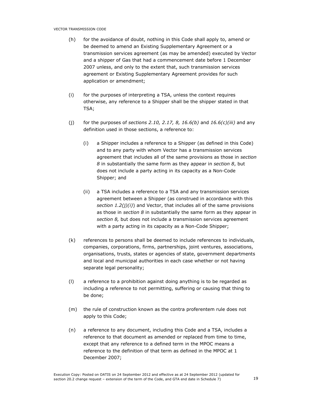- (h) for the avoidance of doubt, nothing in this Code shall apply to, amend or be deemed to amend an Existing Supplementary Agreement or a transmission services agreement (as may be amended) executed by Vector and a shipper of Gas that had a commencement date before 1 December 2007 unless, and only to the extent that, such transmission services agreement or Existing Supplementary Agreement provides for such application or amendment;
- (i) for the purposes of interpreting a TSA, unless the context requires otherwise, any reference to a Shipper shall be the shipper stated in that TSA;
- (j) for the purposes of sections 2.10, 2.17, 8, 16.6(b) and  $16.6(c)(iii)$  and any definition used in those sections, a reference to:
	- (i) a Shipper includes a reference to a Shipper (as defined in this Code) and to any party with whom Vector has a transmission services agreement that includes all of the same provisions as those in section 8 in substantially the same form as they appear in section 8, but does not include a party acting in its capacity as a Non-Code Shipper; and
	- (ii) a TSA includes a reference to a TSA and any transmission services agreement between a Shipper (as construed in accordance with this section  $1.2(j)(i)$ ) and Vector, that includes all of the same provisions as those in section 8 in substantially the same form as they appear in section 8, but does not include a transmission services agreement with a party acting in its capacity as a Non-Code Shipper;
- (k) references to persons shall be deemed to include references to individuals, companies, corporations, firms, partnerships, joint ventures, associations, organisations, trusts, states or agencies of state, government departments and local and municipal authorities in each case whether or not having separate legal personality;
- (l) a reference to a prohibition against doing anything is to be regarded as including a reference to not permitting, suffering or causing that thing to be done;
- (m) the rule of construction known as the contra proferentem rule does not apply to this Code;
- (n) a reference to any document, including this Code and a TSA, includes a reference to that document as amended or replaced from time to time, except that any reference to a defined term in the MPOC means a reference to the definition of that term as defined in the MPOC at 1 December 2007;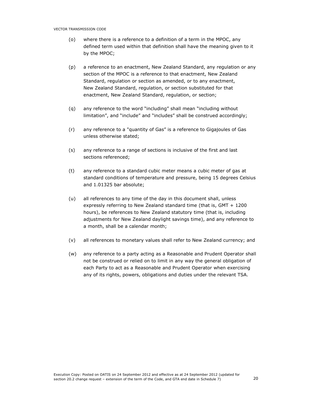- (o) where there is a reference to a definition of a term in the MPOC, any defined term used within that definition shall have the meaning given to it by the MPOC;
- (p) a reference to an enactment, New Zealand Standard, any regulation or any section of the MPOC is a reference to that enactment, New Zealand Standard, regulation or section as amended, or to any enactment, New Zealand Standard, regulation, or section substituted for that enactment, New Zealand Standard, regulation, or section;
- (q) any reference to the word "including" shall mean "including without limitation", and "include" and "includes" shall be construed accordingly;
- (r) any reference to a "quantity of Gas" is a reference to Gigajoules of Gas unless otherwise stated;
- (s) any reference to a range of sections is inclusive of the first and last sections referenced;
- (t) any reference to a standard cubic meter means a cubic meter of gas at standard conditions of temperature and pressure, being 15 degrees Celsius and 1.01325 bar absolute;
- (u) all references to any time of the day in this document shall, unless expressly referring to New Zealand standard time (that is, GMT + 1200 hours), be references to New Zealand statutory time (that is, including adjustments for New Zealand daylight savings time), and any reference to a month, shall be a calendar month;
- (v) all references to monetary values shall refer to New Zealand currency; and
- (w) any reference to a party acting as a Reasonable and Prudent Operator shall not be construed or relied on to limit in any way the general obligation of each Party to act as a Reasonable and Prudent Operator when exercising any of its rights, powers, obligations and duties under the relevant TSA.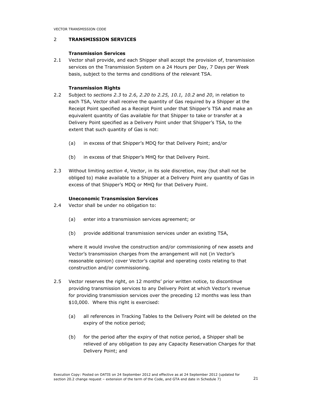# 2 TRANSMISSION SERVICES

### Transmission Services

2.1 Vector shall provide, and each Shipper shall accept the provision of, transmission services on the Transmission System on a 24 Hours per Day, 7 Days per Week basis, subject to the terms and conditions of the relevant TSA.

## Transmission Rights

- 2.2 Subject to sections 2.3 to 2.6, 2.20 to 2.25, 10.1, 10.2 and 20, in relation to each TSA, Vector shall receive the quantity of Gas required by a Shipper at the Receipt Point specified as a Receipt Point under that Shipper's TSA and make an equivalent quantity of Gas available for that Shipper to take or transfer at a Delivery Point specified as a Delivery Point under that Shipper's TSA, to the extent that such quantity of Gas is not:
	- (a) in excess of that Shipper's MDQ for that Delivery Point; and/or
	- (b) in excess of that Shipper's MHQ for that Delivery Point.
- 2.3 Without limiting section 4, Vector, in its sole discretion, may (but shall not be obliged to) make available to a Shipper at a Delivery Point any quantity of Gas in excess of that Shipper's MDQ or MHQ for that Delivery Point.

## Uneconomic Transmission Services

- 2.4 Vector shall be under no obligation to:
	- (a) enter into a transmission services agreement; or
	- (b) provide additional transmission services under an existing TSA,

where it would involve the construction and/or commissioning of new assets and Vector's transmission charges from the arrangement will not (in Vector's reasonable opinion) cover Vector's capital and operating costs relating to that construction and/or commissioning.

- 2.5 Vector reserves the right, on 12 months' prior written notice, to discontinue providing transmission services to any Delivery Point at which Vector's revenue for providing transmission services over the preceding 12 months was less than \$10,000. Where this right is exercised:
	- (a) all references in Tracking Tables to the Delivery Point will be deleted on the expiry of the notice period;
	- (b) for the period after the expiry of that notice period, a Shipper shall be relieved of any obligation to pay any Capacity Reservation Charges for that Delivery Point; and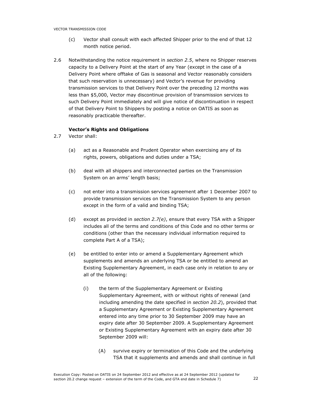- (c) Vector shall consult with each affected Shipper prior to the end of that 12 month notice period.
- 2.6 Notwithstanding the notice requirement in section 2.5, where no Shipper reserves capacity to a Delivery Point at the start of any Year (except in the case of a Delivery Point where offtake of Gas is seasonal and Vector reasonably considers that such reservation is unnecessary) and Vector's revenue for providing transmission services to that Delivery Point over the preceding 12 months was less than \$5,000, Vector may discontinue provision of transmission services to such Delivery Point immediately and will give notice of discontinuation in respect of that Delivery Point to Shippers by posting a notice on OATIS as soon as reasonably practicable thereafter.

# Vector's Rights and Obligations

- 2.7 Vector shall:
	- (a) act as a Reasonable and Prudent Operator when exercising any of its rights, powers, obligations and duties under a TSA;
	- (b) deal with all shippers and interconnected parties on the Transmission System on an arms' length basis;
	- (c) not enter into a transmission services agreement after 1 December 2007 to provide transmission services on the Transmission System to any person except in the form of a valid and binding TSA;
	- (d) except as provided in section 2.7(e), ensure that every TSA with a Shipper includes all of the terms and conditions of this Code and no other terms or conditions (other than the necessary individual information required to complete Part A of a TSA);
	- (e) be entitled to enter into or amend a Supplementary Agreement which supplements and amends an underlying TSA or be entitled to amend an Existing Supplementary Agreement, in each case only in relation to any or all of the following:
		- (i) the term of the Supplementary Agreement or Existing Supplementary Agreement, with or without rights of renewal (and including amending the date specified in section 20.2), provided that a Supplementary Agreement or Existing Supplementary Agreement entered into any time prior to 30 September 2009 may have an expiry date after 30 September 2009. A Supplementary Agreement or Existing Supplementary Agreement with an expiry date after 30 September 2009 will:
			- (A) survive expiry or termination of this Code and the underlying TSA that it supplements and amends and shall continue in full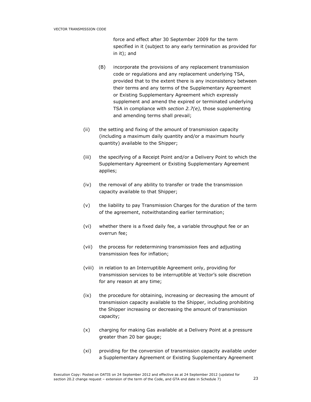force and effect after 30 September 2009 for the term specified in it (subject to any early termination as provided for in it); and

- (B) incorporate the provisions of any replacement transmission code or regulations and any replacement underlying TSA, provided that to the extent there is any inconsistency between their terms and any terms of the Supplementary Agreement or Existing Supplementary Agreement which expressly supplement and amend the expired or terminated underlying TSA in compliance with section 2.7(e), those supplementing and amending terms shall prevail;
- (ii) the setting and fixing of the amount of transmission capacity (including a maximum daily quantity and/or a maximum hourly quantity) available to the Shipper;
- (iii) the specifying of a Receipt Point and/or a Delivery Point to which the Supplementary Agreement or Existing Supplementary Agreement applies;
- (iv) the removal of any ability to transfer or trade the transmission capacity available to that Shipper;
- (v) the liability to pay Transmission Charges for the duration of the term of the agreement, notwithstanding earlier termination;
- (vi) whether there is a fixed daily fee, a variable throughput fee or an overrun fee;
- (vii) the process for redetermining transmission fees and adjusting transmission fees for inflation;
- (viii) in relation to an Interruptible Agreement only, providing for transmission services to be interruptible at Vector's sole discretion for any reason at any time;
- (ix) the procedure for obtaining, increasing or decreasing the amount of transmission capacity available to the Shipper, including prohibiting the Shipper increasing or decreasing the amount of transmission capacity;
- (x) charging for making Gas available at a Delivery Point at a pressure greater than 20 bar gauge;
- (xi) providing for the conversion of transmission capacity available under a Supplementary Agreement or Existing Supplementary Agreement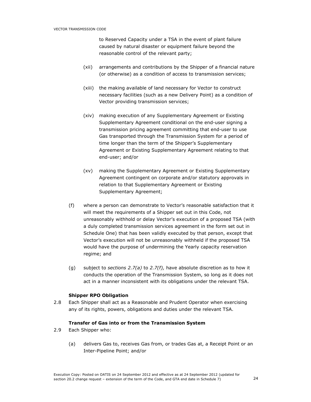to Reserved Capacity under a TSA in the event of plant failure caused by natural disaster or equipment failure beyond the reasonable control of the relevant party;

- (xii) arrangements and contributions by the Shipper of a financial nature (or otherwise) as a condition of access to transmission services;
- (xiii) the making available of land necessary for Vector to construct necessary facilities (such as a new Delivery Point) as a condition of Vector providing transmission services;
- (xiv) making execution of any Supplementary Agreement or Existing Supplementary Agreement conditional on the end-user signing a transmission pricing agreement committing that end-user to use Gas transported through the Transmission System for a period of time longer than the term of the Shipper's Supplementary Agreement or Existing Supplementary Agreement relating to that end-user; and/or
- (xv) making the Supplementary Agreement or Existing Supplementary Agreement contingent on corporate and/or statutory approvals in relation to that Supplementary Agreement or Existing Supplementary Agreement;
- (f) where a person can demonstrate to Vector's reasonable satisfaction that it will meet the requirements of a Shipper set out in this Code, not unreasonably withhold or delay Vector's execution of a proposed TSA (with a duly completed transmission services agreement in the form set out in Schedule One) that has been validly executed by that person, except that Vector's execution will not be unreasonably withheld if the proposed TSA would have the purpose of undermining the Yearly capacity reservation regime; and
- (g) subject to sections 2.7(a) to 2.7(f), have absolute discretion as to how it conducts the operation of the Transmission System, so long as it does not act in a manner inconsistent with its obligations under the relevant TSA.

#### Shipper RPO Obligation

2.8 Each Shipper shall act as a Reasonable and Prudent Operator when exercising any of its rights, powers, obligations and duties under the relevant TSA.

#### Transfer of Gas into or from the Transmission System

- 2.9 Each Shipper who:
	- (a) delivers Gas to, receives Gas from, or trades Gas at, a Receipt Point or an Inter-Pipeline Point; and/or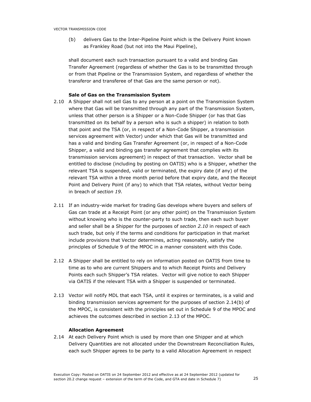(b) delivers Gas to the Inter-Pipeline Point which is the Delivery Point known as Frankley Road (but not into the Maui Pipeline),

shall document each such transaction pursuant to a valid and binding Gas Transfer Agreement (regardless of whether the Gas is to be transmitted through or from that Pipeline or the Transmission System, and regardless of whether the transferor and transferee of that Gas are the same person or not).

## Sale of Gas on the Transmission System

- 2.10 A Shipper shall not sell Gas to any person at a point on the Transmission System where that Gas will be transmitted through any part of the Transmission System, unless that other person is a Shipper or a Non-Code Shipper (or has that Gas transmitted on its behalf by a person who is such a shipper) in relation to both that point and the TSA (or, in respect of a Non-Code Shipper, a transmission services agreement with Vector) under which that Gas will be transmitted and has a valid and binding Gas Transfer Agreement (or, in respect of a Non-Code Shipper, a valid and binding gas transfer agreement that complies with its transmission services agreement) in respect of that transaction. Vector shall be entitled to disclose (including by posting on OATIS) who is a Shipper, whether the relevant TSA is suspended, valid or terminated, the expiry date (if any) of the relevant TSA within a three month period before that expiry date, and the Receipt Point and Delivery Point (if any) to which that TSA relates, without Vector being in breach of section 19.
- 2.11 If an industry-wide market for trading Gas develops where buyers and sellers of Gas can trade at a Receipt Point (or any other point) on the Transmission System without knowing who is the counter-party to such trade, then each such buyer and seller shall be a Shipper for the purposes of section 2.10 in respect of each such trade, but only if the terms and conditions for participation in that market include provisions that Vector determines, acting reasonably, satisfy the principles of Schedule 9 of the MPOC in a manner consistent with this Code.
- 2.12 A Shipper shall be entitled to rely on information posted on OATIS from time to time as to who are current Shippers and to which Receipt Points and Delivery Points each such Shipper's TSA relates. Vector will give notice to each Shipper via OATIS if the relevant TSA with a Shipper is suspended or terminated.
- 2.13 Vector will notify MDL that each TSA, until it expires or terminates, is a valid and binding transmission services agreement for the purposes of section 2.14(b) of the MPOC, is consistent with the principles set out in Schedule 9 of the MPOC and achieves the outcomes described in section 2.13 of the MPOC.

### Allocation Agreement

2.14 At each Delivery Point which is used by more than one Shipper and at which Delivery Quantities are not allocated under the Downstream Reconciliation Rules, each such Shipper agrees to be party to a valid Allocation Agreement in respect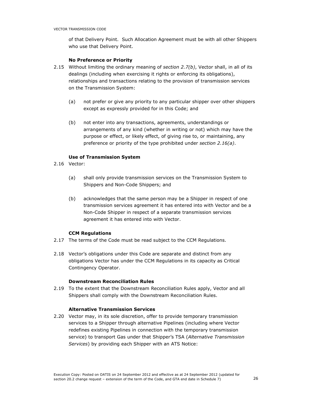of that Delivery Point. Such Allocation Agreement must be with all other Shippers who use that Delivery Point.

#### No Preference or Priority

- 2.15 Without limiting the ordinary meaning of section  $2.7(b)$ , Vector shall, in all of its dealings (including when exercising it rights or enforcing its obligations), relationships and transactions relating to the provision of transmission services on the Transmission System:
	- (a) not prefer or give any priority to any particular shipper over other shippers except as expressly provided for in this Code; and
	- (b) not enter into any transactions, agreements, understandings or arrangements of any kind (whether in writing or not) which may have the purpose or effect, or likely effect, of giving rise to, or maintaining, any preference or priority of the type prohibited under section 2.16(a).

## Use of Transmission System

- 2.16 Vector:
	- (a) shall only provide transmission services on the Transmission System to Shippers and Non-Code Shippers; and
	- (b) acknowledges that the same person may be a Shipper in respect of one transmission services agreement it has entered into with Vector and be a Non-Code Shipper in respect of a separate transmission services agreement it has entered into with Vector.

# CCM Regulations

- 2.17 The terms of the Code must be read subject to the CCM Regulations.
- 2.18 Vector's obligations under this Code are separate and distinct from any obligations Vector has under the CCM Regulations in its capacity as Critical Contingency Operator.

## Downstream Reconciliation Rules

2.19 To the extent that the Downstream Reconciliation Rules apply, Vector and all Shippers shall comply with the Downstream Reconciliation Rules.

#### Alternative Transmission Services

2.20 Vector may, in its sole discretion, offer to provide temporary transmission services to a Shipper through alternative Pipelines (including where Vector redefines existing Pipelines in connection with the temporary transmission service) to transport Gas under that Shipper's TSA (Alternative Transmission Services) by providing each Shipper with an ATS Notice: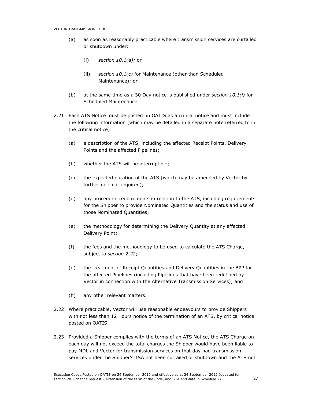- (a) as soon as reasonably practicable where transmission services are curtailed or shutdown under:
	- (i) section  $10.1(a)$ ; or
	- (ii) section  $10.1(c)$  for Maintenance (other than Scheduled Maintenance); or
- (b) at the same time as a 30 Day notice is published under section  $10.1(i)$  for Scheduled Maintenance.
- 2.21 Each ATS Notice must be posted on OATIS as a critical notice and must include the following information (which may be detailed in a separate note referred to in the critical notice):
	- (a) a description of the ATS, including the affected Receipt Points, Delivery Points and the affected Pipelines;
	- (b) whether the ATS will be interruptible;
	- (c) the expected duration of the ATS (which may be amended by Vector by further notice if required);
	- (d) any procedural requirements in relation to the ATS, including requirements for the Shipper to provide Nominated Quantities and the status and use of those Nominated Quantities;
	- (e) the methodology for determining the Delivery Quantity at any affected Delivery Point;
	- (f) the fees and the methodology to be used to calculate the ATS Charge, subject to section 2.22;
	- (g) the treatment of Receipt Quantities and Delivery Quantities in the BPP for the affected Pipelines (including Pipelines that have been redefined by Vector in connection with the Alternative Transmission Services); and
	- (h) any other relevant matters.
- 2.22 Where practicable, Vector will use reasonable endeavours to provide Shippers with not less than 12 Hours notice of the termination of an ATS, by critical notice posted on OATIS.
- 2.23 Provided a Shipper complies with the terms of an ATS Notice, the ATS Charge on each day will not exceed the total charges the Shipper would have been liable to pay MDL and Vector for transmission services on that day had transmission services under the Shipper's TSA not been curtailed or shutdown and the ATS not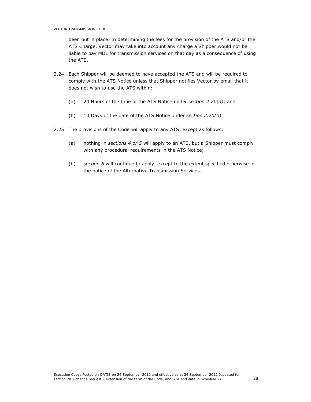been put in place. In determining the fees for the provision of the ATS and/or the ATS Charge, Vector may take into account any charge a Shipper would not be liable to pay MDL for transmission services on that day as a consequence of using the ATS.

- 2.24 Each Shipper will be deemed to have accepted the ATS and will be required to comply with the ATS Notice unless that Shipper notifies Vector by email that it does not wish to use the ATS within:
	- (a) 24 Hours of the time of the ATS Notice under section  $2.20(a)$ ; and
	- (b) 10 Days of the date of the ATS Notice under section 2.20(b).
- 2.25 The provisions of the Code will apply to any ATS, except as follows:
	- (a) nothing in sections 4 or 5 will apply to an ATS, but a Shipper must comply with any procedural requirements in the ATS Notice;
	- (b) section 6 will continue to apply, except to the extent specified otherwise in the notice of the Alternative Transmission Services.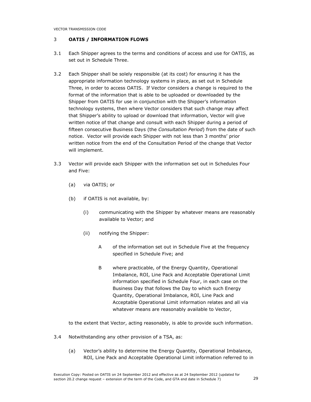# 3 OATIS / INFORMATION FLOWS

- 3.1 Each Shipper agrees to the terms and conditions of access and use for OATIS, as set out in Schedule Three.
- 3.2 Each Shipper shall be solely responsible (at its cost) for ensuring it has the appropriate information technology systems in place, as set out in Schedule Three, in order to access OATIS. If Vector considers a change is required to the format of the information that is able to be uploaded or downloaded by the Shipper from OATIS for use in conjunction with the Shipper's information technology systems, then where Vector considers that such change may affect that Shipper's ability to upload or download that information, Vector will give written notice of that change and consult with each Shipper during a period of fifteen consecutive Business Days (the Consultation Period) from the date of such notice. Vector will provide each Shipper with not less than 3 months' prior written notice from the end of the Consultation Period of the change that Vector will implement.
- 3.3 Vector will provide each Shipper with the information set out in Schedules Four and Five:
	- (a) via OATIS; or
	- (b) if OATIS is not available, by:
		- (i) communicating with the Shipper by whatever means are reasonably available to Vector; and
		- (ii) notifying the Shipper:
			- A of the information set out in Schedule Five at the frequency specified in Schedule Five; and
			- B where practicable, of the Energy Quantity, Operational Imbalance, ROI, Line Pack and Acceptable Operational Limit information specified in Schedule Four, in each case on the Business Day that follows the Day to which such Energy Quantity, Operational Imbalance, ROI, Line Pack and Acceptable Operational Limit information relates and all via whatever means are reasonably available to Vector,

to the extent that Vector, acting reasonably, is able to provide such information.

- 3.4 Notwithstanding any other provision of a TSA, as:
	- (a) Vector's ability to determine the Energy Quantity, Operational Imbalance, ROI, Line Pack and Acceptable Operational Limit information referred to in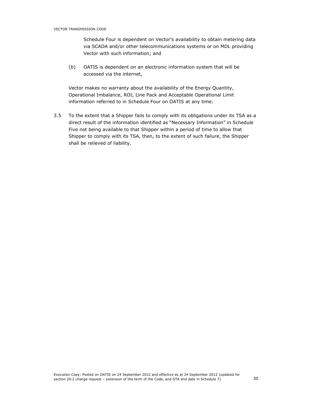Schedule Four is dependent on Vector's availability to obtain metering data via SCADA and/or other telecommunications systems or on MDL providing Vector with such information; and

(b) OATIS is dependent on an electronic information system that will be accessed via the internet,

Vector makes no warranty about the availability of the Energy Quantity, Operational Imbalance, ROI, Line Pack and Acceptable Operational Limit information referred to in Schedule Four on OATIS at any time.

3.5 To the extent that a Shipper fails to comply with its obligations under its TSA as a direct result of the information identified as "Necessary Information" in Schedule Five not being available to that Shipper within a period of time to allow that Shipper to comply with its TSA, then, to the extent of such failure, the Shipper shall be relieved of liability.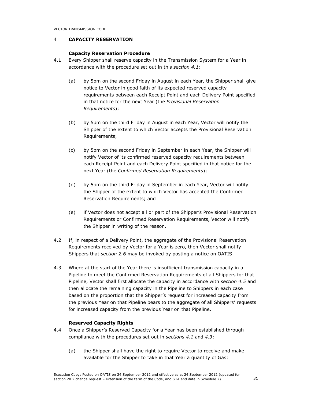# 4 CAPACITY RESERVATION

# Capacity Reservation Procedure

- 4.1 Every Shipper shall reserve capacity in the Transmission System for a Year in accordance with the procedure set out in this section 4.1:
	- (a) by 5pm on the second Friday in August in each Year, the Shipper shall give notice to Vector in good faith of its expected reserved capacity requirements between each Receipt Point and each Delivery Point specified in that notice for the next Year (the Provisional Reservation Requirements);
	- (b) by 5pm on the third Friday in August in each Year, Vector will notify the Shipper of the extent to which Vector accepts the Provisional Reservation Requirements;
	- (c) by 5pm on the second Friday in September in each Year, the Shipper will notify Vector of its confirmed reserved capacity requirements between each Receipt Point and each Delivery Point specified in that notice for the next Year (the Confirmed Reservation Requirements);
	- (d) by 5pm on the third Friday in September in each Year, Vector will notify the Shipper of the extent to which Vector has accepted the Confirmed Reservation Requirements; and
	- (e) if Vector does not accept all or part of the Shipper's Provisional Reservation Requirements or Confirmed Reservation Requirements, Vector will notify the Shipper in writing of the reason.
- 4.2 If, in respect of a Delivery Point, the aggregate of the Provisional Reservation Requirements received by Vector for a Year is zero, then Vector shall notify Shippers that section 2.6 may be invoked by posting a notice on OATIS.
- 4.3 Where at the start of the Year there is insufficient transmission capacity in a Pipeline to meet the Confirmed Reservation Requirements of all Shippers for that Pipeline, Vector shall first allocate the capacity in accordance with section 4.5 and then allocate the remaining capacity in the Pipeline to Shippers in each case based on the proportion that the Shipper's request for increased capacity from the previous Year on that Pipeline bears to the aggregate of all Shippers' requests for increased capacity from the previous Year on that Pipeline.

# Reserved Capacity Rights

- 4.4 Once a Shipper's Reserved Capacity for a Year has been established through compliance with the procedures set out in sections 4.1 and 4.3:
	- (a) the Shipper shall have the right to require Vector to receive and make available for the Shipper to take in that Year a quantity of Gas: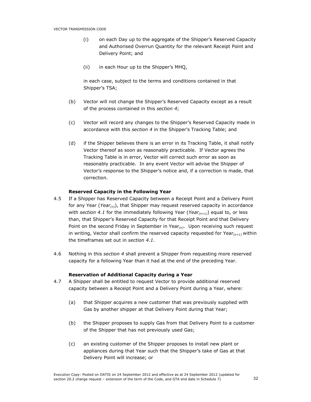- (i) on each Day up to the aggregate of the Shipper's Reserved Capacity and Authorised Overrun Quantity for the relevant Receipt Point and Delivery Point; and
- (ii) in each Hour up to the Shipper's MHQ,

in each case, subject to the terms and conditions contained in that Shipper's TSA;

- (b) Vector will not change the Shipper's Reserved Capacity except as a result of the process contained in this section 4;
- (c) Vector will record any changes to the Shipper's Reserved Capacity made in accordance with this section 4 in the Shipper's Tracking Table; and
- (d) if the Shipper believes there is an error in its Tracking Table, it shall notify Vector thereof as soon as reasonably practicable. If Vector agrees the Tracking Table is in error, Vector will correct such error as soon as reasonably practicable. In any event Vector will advise the Shipper of Vector's response to the Shipper's notice and, if a correction is made, that correction.

### Reserved Capacity in the Following Year

- 4.5 If a Shipper has Reserved Capacity between a Receipt Point and a Delivery Point for any Year (Year<sub>(n)</sub>), that Shipper may request reserved capacity in accordance with section 4.1 for the immediately following Year (Year $(n+1)$ ) equal to, or less than, that Shipper's Reserved Capacity for that Receipt Point and that Delivery Point on the second Friday in September in Year $(n)$ . Upon receiving such request in writing, Vector shall confirm the reserved capacity requested for Year $(n+1)$  within the timeframes set out in section 4.1.
- 4.6 Nothing in this section 4 shall prevent a Shipper from requesting more reserved capacity for a following Year than it had at the end of the preceding Year.

#### Reservation of Additional Capacity during a Year

- 4.7 A Shipper shall be entitled to request Vector to provide additional reserved capacity between a Receipt Point and a Delivery Point during a Year, where:
	- (a) that Shipper acquires a new customer that was previously supplied with Gas by another shipper at that Delivery Point during that Year;
	- (b) the Shipper proposes to supply Gas from that Delivery Point to a customer of the Shipper that has not previously used Gas;
	- (c) an existing customer of the Shipper proposes to install new plant or appliances during that Year such that the Shipper's take of Gas at that Delivery Point will increase; or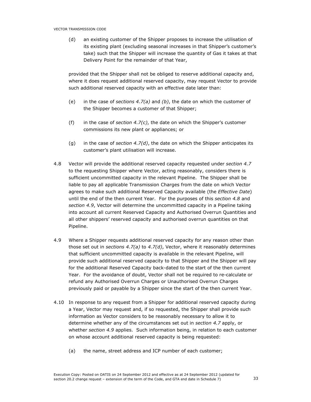(d) an existing customer of the Shipper proposes to increase the utilisation of its existing plant (excluding seasonal increases in that Shipper's customer's take) such that the Shipper will increase the quantity of Gas it takes at that Delivery Point for the remainder of that Year,

provided that the Shipper shall not be obliged to reserve additional capacity and, where it does request additional reserved capacity, may request Vector to provide such additional reserved capacity with an effective date later than:

- (e) in the case of sections 4.7(a) and (b), the date on which the customer of the Shipper becomes a customer of that Shipper;
- (f) in the case of section  $4.7(c)$ , the date on which the Shipper's customer commissions its new plant or appliances; or
- (g) in the case of section 4.7(d), the date on which the Shipper anticipates its customer's plant utilisation will increase.
- 4.8 Vector will provide the additional reserved capacity requested under section 4.7 to the requesting Shipper where Vector, acting reasonably, considers there is sufficient uncommitted capacity in the relevant Pipeline. The Shipper shall be liable to pay all applicable Transmission Charges from the date on which Vector agrees to make such additional Reserved Capacity available (the Effective Date) until the end of the then current Year. For the purposes of this section 4.8 and section 4.9, Vector will determine the uncommitted capacity in a Pipeline taking into account all current Reserved Capacity and Authorised Overrun Quantities and all other shippers' reserved capacity and authorised overrun quantities on that Pipeline.
- 4.9 Where a Shipper requests additional reserved capacity for any reason other than those set out in sections 4.7(a) to 4.7(d), Vector, where it reasonably determines that sufficient uncommitted capacity is available in the relevant Pipeline, will provide such additional reserved capacity to that Shipper and the Shipper will pay for the additional Reserved Capacity back-dated to the start of the then current Year. For the avoidance of doubt, Vector shall not be required to re-calculate or refund any Authorised Overrun Charges or Unauthorised Overrun Charges previously paid or payable by a Shipper since the start of the then current Year.
- 4.10 In response to any request from a Shipper for additional reserved capacity during a Year, Vector may request and, if so requested, the Shipper shall provide such information as Vector considers to be reasonably necessary to allow it to determine whether any of the circumstances set out in section 4.7 apply, or whether section 4.9 applies. Such information being, in relation to each customer on whose account additional reserved capacity is being requested:
	- (a) the name, street address and ICP number of each customer;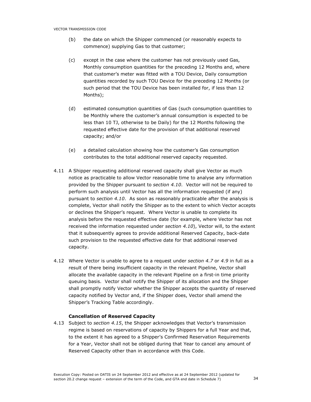- (b) the date on which the Shipper commenced (or reasonably expects to commence) supplying Gas to that customer;
- (c) except in the case where the customer has not previously used Gas, Monthly consumption quantities for the preceding 12 Months and, where that customer's meter was fitted with a TOU Device, Daily consumption quantities recorded by such TOU Device for the preceding 12 Months (or such period that the TOU Device has been installed for, if less than 12 Months);
- (d) estimated consumption quantities of Gas (such consumption quantities to be Monthly where the customer's annual consumption is expected to be less than 10 TJ, otherwise to be Daily) for the 12 Months following the requested effective date for the provision of that additional reserved capacity; and/or
- (e) a detailed calculation showing how the customer's Gas consumption contributes to the total additional reserved capacity requested.
- 4.11 A Shipper requesting additional reserved capacity shall give Vector as much notice as practicable to allow Vector reasonable time to analyse any information provided by the Shipper pursuant to section 4.10. Vector will not be required to perform such analysis until Vector has all the information requested (if any) pursuant to section 4.10. As soon as reasonably practicable after the analysis is complete, Vector shall notify the Shipper as to the extent to which Vector accepts or declines the Shipper's request. Where Vector is unable to complete its analysis before the requested effective date (for example, where Vector has not received the information requested under section 4.10), Vector will, to the extent that it subsequently agrees to provide additional Reserved Capacity, back-date such provision to the requested effective date for that additional reserved capacity.
- 4.12 Where Vector is unable to agree to a request under section 4.7 or 4.9 in full as a result of there being insufficient capacity in the relevant Pipeline, Vector shall allocate the available capacity in the relevant Pipeline on a first-in time priority queuing basis. Vector shall notify the Shipper of its allocation and the Shipper shall promptly notify Vector whether the Shipper accepts the quantity of reserved capacity notified by Vector and, if the Shipper does, Vector shall amend the Shipper's Tracking Table accordingly.

# Cancellation of Reserved Capacity

4.13 Subject to section 4.15, the Shipper acknowledges that Vector's transmission regime is based on reservations of capacity by Shippers for a full Year and that, to the extent it has agreed to a Shipper's Confirmed Reservation Requirements for a Year, Vector shall not be obliged during that Year to cancel any amount of Reserved Capacity other than in accordance with this Code.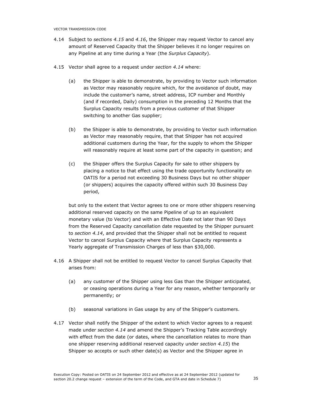- 4.14 Subject to sections 4.15 and 4.16, the Shipper may request Vector to cancel any amount of Reserved Capacity that the Shipper believes it no longer requires on any Pipeline at any time during a Year (the Surplus Capacity).
- 4.15 Vector shall agree to a request under section 4.14 where:
	- (a) the Shipper is able to demonstrate, by providing to Vector such information as Vector may reasonably require which, for the avoidance of doubt, may include the customer's name, street address, ICP number and Monthly (and if recorded, Daily) consumption in the preceding 12 Months that the Surplus Capacity results from a previous customer of that Shipper switching to another Gas supplier;
	- (b) the Shipper is able to demonstrate, by providing to Vector such information as Vector may reasonably require, that that Shipper has not acquired additional customers during the Year, for the supply to whom the Shipper will reasonably require at least some part of the capacity in question; and
	- (c) the Shipper offers the Surplus Capacity for sale to other shippers by placing a notice to that effect using the trade opportunity functionality on OATIS for a period not exceeding 30 Business Days but no other shipper (or shippers) acquires the capacity offered within such 30 Business Day period,

but only to the extent that Vector agrees to one or more other shippers reserving additional reserved capacity on the same Pipeline of up to an equivalent monetary value (to Vector) and with an Effective Date not later than 90 Days from the Reserved Capacity cancellation date requested by the Shipper pursuant to section 4.14, and provided that the Shipper shall not be entitled to request Vector to cancel Surplus Capacity where that Surplus Capacity represents a Yearly aggregate of Transmission Charges of less than \$30,000.

- 4.16 A Shipper shall not be entitled to request Vector to cancel Surplus Capacity that arises from:
	- (a) any customer of the Shipper using less Gas than the Shipper anticipated, or ceasing operations during a Year for any reason, whether temporarily or permanently; or
	- (b) seasonal variations in Gas usage by any of the Shipper's customers.
- 4.17 Vector shall notify the Shipper of the extent to which Vector agrees to a request made under section 4.14 and amend the Shipper's Tracking Table accordingly with effect from the date (or dates, where the cancellation relates to more than one shipper reserving additional reserved capacity under section 4.15) the Shipper so accepts or such other date(s) as Vector and the Shipper agree in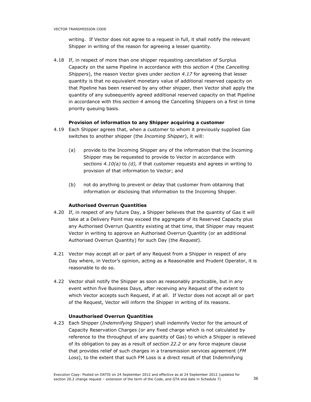writing. If Vector does not agree to a request in full, it shall notify the relevant Shipper in writing of the reason for agreeing a lesser quantity.

4.18 If, in respect of more than one shipper requesting cancellation of Surplus Capacity on the same Pipeline in accordance with this section 4 (the Cancelling Shippers), the reason Vector gives under section 4.17 for agreeing that lesser quantity is that no equivalent monetary value of additional reserved capacity on that Pipeline has been reserved by any other shipper, then Vector shall apply the quantity of any subsequently agreed additional reserved capacity on that Pipeline in accordance with this section 4 among the Cancelling Shippers on a first in time priority queuing basis.

### Provision of information to any Shipper acquiring a customer

- 4.19 Each Shipper agrees that, when a customer to whom it previously supplied Gas switches to another shipper (the *Incoming Shipper*), it will:
	- (a) provide to the Incoming Shipper any of the information that the Incoming Shipper may be requested to provide to Vector in accordance with sections 4.10(a) to (d), if that customer requests and agrees in writing to provision of that information to Vector; and
	- (b) not do anything to prevent or delay that customer from obtaining that information or disclosing that information to the Incoming Shipper.

### Authorised Overrun Quantities

- 4.20 If, in respect of any future Day, a Shipper believes that the quantity of Gas it will take at a Delivery Point may exceed the aggregate of its Reserved Capacity plus any Authorised Overrun Quantity existing at that time, that Shipper may request Vector in writing to approve an Authorised Overrun Quantity (or an additional Authorised Overrun Quantity) for such Day (the Request).
- 4.21 Vector may accept all or part of any Request from a Shipper in respect of any Day where, in Vector's opinion, acting as a Reasonable and Prudent Operator, it is reasonable to do so.
- 4.22 Vector shall notify the Shipper as soon as reasonably practicable, but in any event within five Business Days, after receiving any Request of the extent to which Vector accepts such Request, if at all. If Vector does not accept all or part of the Request, Vector will inform the Shipper in writing of its reasons.

### Unauthorised Overrun Quantities

4.23 Each Shipper (*Indemnifying Shipper*) shall indemnify Vector for the amount of Capacity Reservation Charges (or any fixed charge which is not calculated by reference to the throughput of any quantity of Gas) to which a Shipper is relieved of its obligation to pay as a result of section 22.2 or any force majeure clause that provides relief of such charges in a transmission services agreement (FM Loss), to the extent that such FM Loss is a direct result of that Indemnifying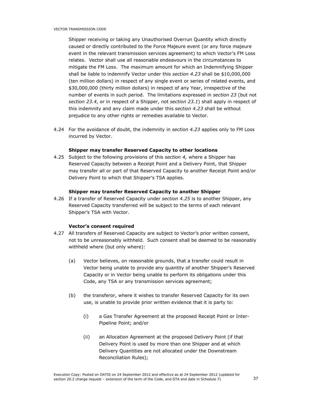Shipper receiving or taking any Unauthorised Overrun Quantity which directly caused or directly contributed to the Force Majeure event (or any force majeure event in the relevant transmission services agreement) to which Vector's FM Loss relates. Vector shall use all reasonable endeavours in the circumstances to mitigate the FM Loss. The maximum amount for which an Indemnifying Shipper shall be liable to indemnify Vector under this section 4.23 shall be \$10,000,000 (ten million dollars) in respect of any single event or series of related events, and \$30,000,000 (thirty million dollars) in respect of any Year, irrespective of the number of events in such period. The limitations expressed in section 23 (but not section 23.4, or in respect of a Shipper, not section 23.1) shall apply in respect of this indemnity and any claim made under this section 4.23 shall be without prejudice to any other rights or remedies available to Vector.

4.24 For the avoidance of doubt, the indemnity in section 4.23 applies only to FM Loss incurred by Vector.

### Shipper may transfer Reserved Capacity to other locations

4.25 Subject to the following provisions of this section 4, where a Shipper has Reserved Capacity between a Receipt Point and a Delivery Point, that Shipper may transfer all or part of that Reserved Capacity to another Receipt Point and/or Delivery Point to which that Shipper's TSA applies.

#### Shipper may transfer Reserved Capacity to another Shipper

4.26 If a transfer of Reserved Capacity under section 4.25 is to another Shipper, any Reserved Capacity transferred will be subject to the terms of each relevant Shipper's TSA with Vector.

#### Vector's consent required

- 4.27 All transfers of Reserved Capacity are subject to Vector's prior written consent, not to be unreasonably withheld. Such consent shall be deemed to be reasonably withheld where (but only where):
	- (a) Vector believes, on reasonable grounds, that a transfer could result in Vector being unable to provide any quantity of another Shipper's Reserved Capacity or in Vector being unable to perform its obligations under this Code, any TSA or any transmission services agreement;
	- (b) the transferor, where it wishes to transfer Reserved Capacity for its own use, is unable to provide prior written evidence that it is party to:
		- (i) a Gas Transfer Agreement at the proposed Receipt Point or Inter-Pipeline Point; and/or
		- (ii) an Allocation Agreement at the proposed Delivery Point (if that Delivery Point is used by more than one Shipper and at which Delivery Quantities are not allocated under the Downstream Reconciliation Rules);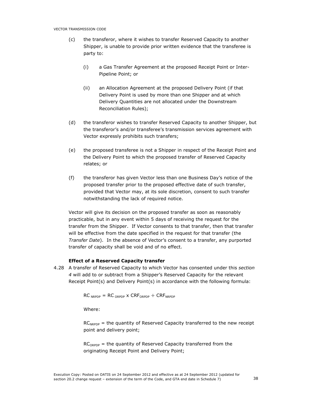- (c) the transferor, where it wishes to transfer Reserved Capacity to another Shipper, is unable to provide prior written evidence that the transferee is party to:
	- (i) a Gas Transfer Agreement at the proposed Receipt Point or Inter-Pipeline Point; or
	- (ii) an Allocation Agreement at the proposed Delivery Point (if that Delivery Point is used by more than one Shipper and at which Delivery Quantities are not allocated under the Downstream Reconciliation Rules);
- (d) the transferor wishes to transfer Reserved Capacity to another Shipper, but the transferor's and/or transferee's transmission services agreement with Vector expressly prohibits such transfers;
- (e) the proposed transferee is not a Shipper in respect of the Receipt Point and the Delivery Point to which the proposed transfer of Reserved Capacity relates; or
- (f) the transferor has given Vector less than one Business Day's notice of the proposed transfer prior to the proposed effective date of such transfer, provided that Vector may, at its sole discretion, consent to such transfer notwithstanding the lack of required notice.

Vector will give its decision on the proposed transfer as soon as reasonably practicable, but in any event within 5 days of receiving the request for the transfer from the Shipper. If Vector consents to that transfer, then that transfer will be effective from the date specified in the request for that transfer (the Transfer Date). In the absence of Vector's consent to a transfer, any purported transfer of capacity shall be void and of no effect.

### Effect of a Reserved Capacity transfer

4.28 A transfer of Reserved Capacity to which Vector has consented under this section 4 will add to or subtract from a Shipper's Reserved Capacity for the relevant Receipt Point(s) and Delivery Point(s) in accordance with the following formula:

 $RC_{NRPDP} = RC_{ORPDP} \times CRF_{ORPDP} \div CRF_{NRPDP}$ 

Where:

 $RC<sub>NRPDF</sub>$  = the quantity of Reserved Capacity transferred to the new receipt point and delivery point;

 $RC<sub>ORDER</sub>$  = the quantity of Reserved Capacity transferred from the originating Receipt Point and Delivery Point;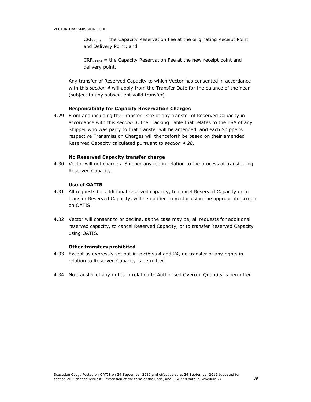$CRF<sub>ORPDF</sub>$  = the Capacity Reservation Fee at the originating Receipt Point and Delivery Point; and

 $CRF_{NRPDP}$  = the Capacity Reservation Fee at the new receipt point and delivery point.

Any transfer of Reserved Capacity to which Vector has consented in accordance with this section 4 will apply from the Transfer Date for the balance of the Year (subject to any subsequent valid transfer).

### Responsibility for Capacity Reservation Charges

4.29 From and including the Transfer Date of any transfer of Reserved Capacity in accordance with this section 4, the Tracking Table that relates to the TSA of any Shipper who was party to that transfer will be amended, and each Shipper's respective Transmission Charges will thenceforth be based on their amended Reserved Capacity calculated pursuant to section 4.28.

# No Reserved Capacity transfer charge

4.30 Vector will not charge a Shipper any fee in relation to the process of transferring Reserved Capacity.

# Use of OATIS

- 4.31 All requests for additional reserved capacity, to cancel Reserved Capacity or to transfer Reserved Capacity, will be notified to Vector using the appropriate screen on OATIS.
- 4.32 Vector will consent to or decline, as the case may be, all requests for additional reserved capacity, to cancel Reserved Capacity, or to transfer Reserved Capacity using OATIS.

### Other transfers prohibited

- 4.33 Except as expressly set out in sections 4 and 24, no transfer of any rights in relation to Reserved Capacity is permitted.
- 4.34 No transfer of any rights in relation to Authorised Overrun Quantity is permitted.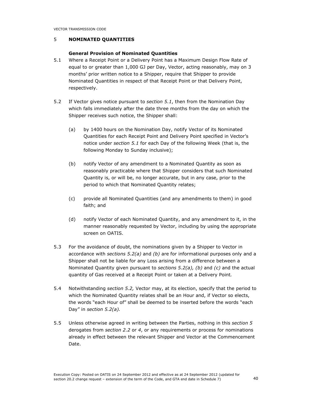# 5 NOMINATED QUANTITIES

# General Provision of Nominated Quantities

- 5.1 Where a Receipt Point or a Delivery Point has a Maximum Design Flow Rate of equal to or greater than 1,000 GJ per Day, Vector, acting reasonably, may on 3 months' prior written notice to a Shipper, require that Shipper to provide Nominated Quantities in respect of that Receipt Point or that Delivery Point, respectively.
- 5.2 If Vector gives notice pursuant to section 5.1, then from the Nomination Day which falls immediately after the date three months from the day on which the Shipper receives such notice, the Shipper shall:
	- (a) by 1400 hours on the Nomination Day, notify Vector of its Nominated Quantities for each Receipt Point and Delivery Point specified in Vector's notice under section 5.1 for each Day of the following Week (that is, the following Monday to Sunday inclusive);
	- (b) notify Vector of any amendment to a Nominated Quantity as soon as reasonably practicable where that Shipper considers that such Nominated Quantity is, or will be, no longer accurate, but in any case, prior to the period to which that Nominated Quantity relates;
	- (c) provide all Nominated Quantities (and any amendments to them) in good faith; and
	- (d) notify Vector of each Nominated Quantity, and any amendment to it, in the manner reasonably requested by Vector, including by using the appropriate screen on OATIS.
- 5.3 For the avoidance of doubt, the nominations given by a Shipper to Vector in accordance with sections  $5.2(a)$  and (b) are for informational purposes only and a Shipper shall not be liable for any Loss arising from a difference between a Nominated Quantity given pursuant to sections  $5.2(a)$ , (b) and (c) and the actual quantity of Gas received at a Receipt Point or taken at a Delivery Point.
- 5.4 Notwithstanding section 5.2, Vector may, at its election, specify that the period to which the Nominated Quantity relates shall be an Hour and, if Vector so elects, the words "each Hour of" shall be deemed to be inserted before the words "each Day" in section 5.2(a).
- 5.5 Unless otherwise agreed in writing between the Parties, nothing in this section 5 derogates from section 2.2 or 4, or any requirements or process for nominations already in effect between the relevant Shipper and Vector at the Commencement Date.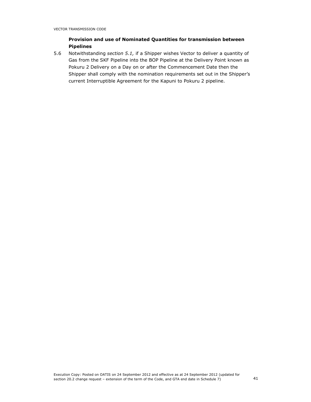# Provision and use of Nominated Quantities for transmission between Pipelines

5.6 Notwithstanding section 5.1, if a Shipper wishes Vector to deliver a quantity of Gas from the SKF Pipeline into the BOP Pipeline at the Delivery Point known as Pokuru 2 Delivery on a Day on or after the Commencement Date then the Shipper shall comply with the nomination requirements set out in the Shipper's current Interruptible Agreement for the Kapuni to Pokuru 2 pipeline.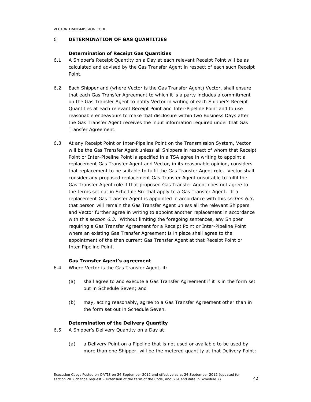# 6 DETERMINATION OF GAS QUANTITIES

### Determination of Receipt Gas Quantities

- 6.1 A Shipper's Receipt Quantity on a Day at each relevant Receipt Point will be as calculated and advised by the Gas Transfer Agent in respect of each such Receipt Point.
- 6.2 Each Shipper and (where Vector is the Gas Transfer Agent) Vector, shall ensure that each Gas Transfer Agreement to which it is a party includes a commitment on the Gas Transfer Agent to notify Vector in writing of each Shipper's Receipt Quantities at each relevant Receipt Point and Inter-Pipeline Point and to use reasonable endeavours to make that disclosure within two Business Days after the Gas Transfer Agent receives the input information required under that Gas Transfer Agreement.
- 6.3 At any Receipt Point or Inter-Pipeline Point on the Transmission System, Vector will be the Gas Transfer Agent unless all Shippers in respect of whom that Receipt Point or Inter-Pipeline Point is specified in a TSA agree in writing to appoint a replacement Gas Transfer Agent and Vector, in its reasonable opinion, considers that replacement to be suitable to fulfil the Gas Transfer Agent role. Vector shall consider any proposed replacement Gas Transfer Agent unsuitable to fulfil the Gas Transfer Agent role if that proposed Gas Transfer Agent does not agree to the terms set out in Schedule Six that apply to a Gas Transfer Agent. If a replacement Gas Transfer Agent is appointed in accordance with this section 6.3, that person will remain the Gas Transfer Agent unless all the relevant Shippers and Vector further agree in writing to appoint another replacement in accordance with this section 6.3. Without limiting the foregoing sentences, any Shipper requiring a Gas Transfer Agreement for a Receipt Point or Inter-Pipeline Point where an existing Gas Transfer Agreement is in place shall agree to the appointment of the then current Gas Transfer Agent at that Receipt Point or Inter-Pipeline Point.

### Gas Transfer Agent's agreement

- 6.4 Where Vector is the Gas Transfer Agent, it:
	- (a) shall agree to and execute a Gas Transfer Agreement if it is in the form set out in Schedule Seven; and
	- (b) may, acting reasonably, agree to a Gas Transfer Agreement other than in the form set out in Schedule Seven.

### Determination of the Delivery Quantity

- 6.5 A Shipper's Delivery Quantity on a Day at:
	- (a) a Delivery Point on a Pipeline that is not used or available to be used by more than one Shipper, will be the metered quantity at that Delivery Point;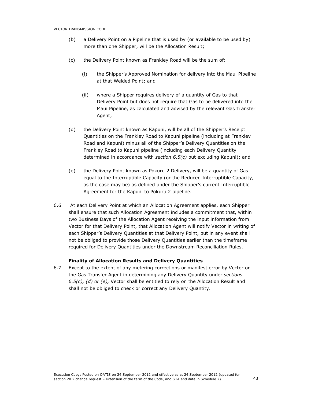- (b) a Delivery Point on a Pipeline that is used by (or available to be used by) more than one Shipper, will be the Allocation Result;
- (c) the Delivery Point known as Frankley Road will be the sum of:
	- (i) the Shipper's Approved Nomination for delivery into the Maui Pipeline at that Welded Point; and
	- (ii) where a Shipper requires delivery of a quantity of Gas to that Delivery Point but does not require that Gas to be delivered into the Maui Pipeline, as calculated and advised by the relevant Gas Transfer Agent;
- (d) the Delivery Point known as Kapuni, will be all of the Shipper's Receipt Quantities on the Frankley Road to Kapuni pipeline (including at Frankley Road and Kapuni) minus all of the Shipper's Delivery Quantities on the Frankley Road to Kapuni pipeline (including each Delivery Quantity determined in accordance with section  $6.5(c)$  but excluding Kapuni); and
- (e) the Delivery Point known as Pokuru 2 Delivery, will be a quantity of Gas equal to the Interruptible Capacity (or the Reduced Interruptible Capacity, as the case may be) as defined under the Shipper's current Interruptible Agreement for the Kapuni to Pokuru 2 pipeline.
- 6.6 At each Delivery Point at which an Allocation Agreement applies, each Shipper shall ensure that such Allocation Agreement includes a commitment that, within two Business Days of the Allocation Agent receiving the input information from Vector for that Delivery Point, that Allocation Agent will notify Vector in writing of each Shipper's Delivery Quantities at that Delivery Point, but in any event shall not be obliged to provide those Delivery Quantities earlier than the timeframe required for Delivery Quantities under the Downstream Reconciliation Rules.

### Finality of Allocation Results and Delivery Quantities

6.7 Except to the extent of any metering corrections or manifest error by Vector or the Gas Transfer Agent in determining any Delivery Quantity under sections 6.5(c), (d) or (e), Vector shall be entitled to rely on the Allocation Result and shall not be obliged to check or correct any Delivery Quantity.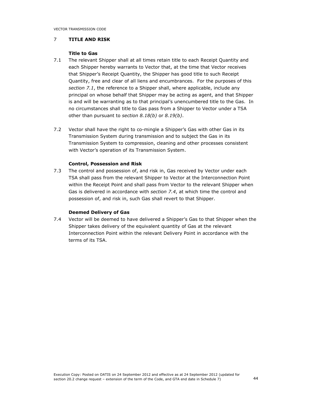### 7 TITLE AND RISK

# Title to Gas

- 7.1 The relevant Shipper shall at all times retain title to each Receipt Quantity and each Shipper hereby warrants to Vector that, at the time that Vector receives that Shipper's Receipt Quantity, the Shipper has good title to such Receipt Quantity, free and clear of all liens and encumbrances. For the purposes of this section 7.1, the reference to a Shipper shall, where applicable, include any principal on whose behalf that Shipper may be acting as agent, and that Shipper is and will be warranting as to that principal's unencumbered title to the Gas. In no circumstances shall title to Gas pass from a Shipper to Vector under a TSA other than pursuant to section 8.18(b) or 8.19(b).
- 7.2 Vector shall have the right to co-mingle a Shipper's Gas with other Gas in its Transmission System during transmission and to subject the Gas in its Transmission System to compression, cleaning and other processes consistent with Vector's operation of its Transmission System.

### Control, Possession and Risk

7.3 The control and possession of, and risk in, Gas received by Vector under each TSA shall pass from the relevant Shipper to Vector at the Interconnection Point within the Receipt Point and shall pass from Vector to the relevant Shipper when Gas is delivered in accordance with section 7.4, at which time the control and possession of, and risk in, such Gas shall revert to that Shipper.

# Deemed Delivery of Gas

7.4 Vector will be deemed to have delivered a Shipper's Gas to that Shipper when the Shipper takes delivery of the equivalent quantity of Gas at the relevant Interconnection Point within the relevant Delivery Point in accordance with the terms of its TSA.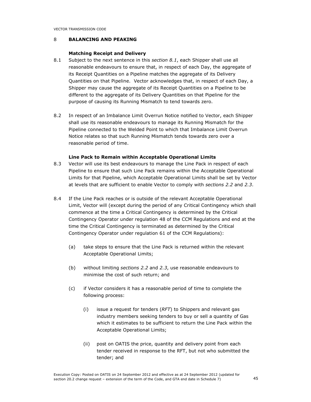# 8 BALANCING AND PEAKING

# Matching Receipt and Delivery

- 8.1 Subject to the next sentence in this section 8.1, each Shipper shall use all reasonable endeavours to ensure that, in respect of each Day, the aggregate of its Receipt Quantities on a Pipeline matches the aggregate of its Delivery Quantities on that Pipeline. Vector acknowledges that, in respect of each Day, a Shipper may cause the aggregate of its Receipt Quantities on a Pipeline to be different to the aggregate of its Delivery Quantities on that Pipeline for the purpose of causing its Running Mismatch to tend towards zero.
- 8.2 In respect of an Imbalance Limit Overrun Notice notified to Vector, each Shipper shall use its reasonable endeavours to manage its Running Mismatch for the Pipeline connected to the Welded Point to which that Imbalance Limit Overrun Notice relates so that such Running Mismatch tends towards zero over a reasonable period of time.

### Line Pack to Remain within Acceptable Operational Limits

- 8.3 Vector will use its best endeavours to manage the Line Pack in respect of each Pipeline to ensure that such Line Pack remains within the Acceptable Operational Limits for that Pipeline, which Acceptable Operational Limits shall be set by Vector at levels that are sufficient to enable Vector to comply with sections 2.2 and 2.3.
- 8.4 If the Line Pack reaches or is outside of the relevant Acceptable Operational Limit, Vector will (except during the period of any Critical Contingency which shall commence at the time a Critical Contingency is determined by the Critical Contingency Operator under regulation 48 of the CCM Regulations and end at the time the Critical Contingency is terminated as determined by the Critical Contingency Operator under regulation 61 of the CCM Regulations):
	- (a) take steps to ensure that the Line Pack is returned within the relevant Acceptable Operational Limits;
	- (b) without limiting sections 2.2 and 2.3, use reasonable endeavours to minimise the cost of such return; and
	- (c) if Vector considers it has a reasonable period of time to complete the following process:
		- (i) issue a request for tenders  $(RFT)$  to Shippers and relevant gas industry members seeking tenders to buy or sell a quantity of Gas which it estimates to be sufficient to return the Line Pack within the Acceptable Operational Limits;
		- (ii) post on OATIS the price, quantity and delivery point from each tender received in response to the RFT, but not who submitted the tender; and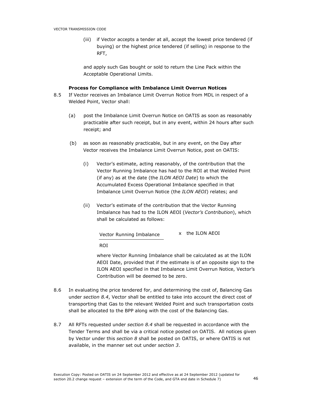(iii) if Vector accepts a tender at all, accept the lowest price tendered (if buying) or the highest price tendered (if selling) in response to the RFT,

and apply such Gas bought or sold to return the Line Pack within the Acceptable Operational Limits.

# Process for Compliance with Imbalance Limit Overrun Notices

- 8.5 If Vector receives an Imbalance Limit Overrun Notice from MDL in respect of a Welded Point, Vector shall:
	- (a) post the Imbalance Limit Overrun Notice on OATIS as soon as reasonably practicable after such receipt, but in any event, within 24 hours after such receipt; and
	- (b) as soon as reasonably practicable, but in any event, on the Day after Vector receives the Imbalance Limit Overrun Notice, post on OATIS:
		- (i) Vector's estimate, acting reasonably, of the contribution that the Vector Running Imbalance has had to the ROI at that Welded Point (if any) as at the date (the ILON AEOI Date) to which the Accumulated Excess Operational Imbalance specified in that Imbalance Limit Overrun Notice (the ILON AEOI) relates; and
		- (ii) Vector's estimate of the contribution that the Vector Running Imbalance has had to the ILON AEOI (Vector's Contribution), which shall be calculated as follows:

| Vector Running Imbalance |  | x the ILON AEOI |
|--------------------------|--|-----------------|
|--------------------------|--|-----------------|

ROI

where Vector Running Imbalance shall be calculated as at the ILON AEOI Date, provided that if the estimate is of an opposite sign to the ILON AEOI specified in that Imbalance Limit Overrun Notice, Vector's Contribution will be deemed to be zero.

- 8.6 In evaluating the price tendered for, and determining the cost of, Balancing Gas under section 8.4, Vector shall be entitled to take into account the direct cost of transporting that Gas to the relevant Welded Point and such transportation costs shall be allocated to the BPP along with the cost of the Balancing Gas.
- 8.7 All RFTs requested under section 8.4 shall be requested in accordance with the Tender Terms and shall be via a critical notice posted on OATIS. All notices given by Vector under this section 8 shall be posted on OATIS, or where OATIS is not available, in the manner set out under section 3.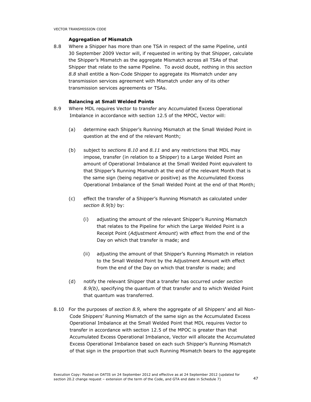# Aggregation of Mismatch

8.8 Where a Shipper has more than one TSA in respect of the same Pipeline, until 30 September 2009 Vector will, if requested in writing by that Shipper, calculate the Shipper's Mismatch as the aggregate Mismatch across all TSAs of that Shipper that relate to the same Pipeline. To avoid doubt, nothing in this section 8.8 shall entitle a Non-Code Shipper to aggregate its Mismatch under any transmission services agreement with Mismatch under any of its other transmission services agreements or TSAs.

### Balancing at Small Welded Points

- 8.9 Where MDL requires Vector to transfer any Accumulated Excess Operational Imbalance in accordance with section 12.5 of the MPOC, Vector will:
	- (a) determine each Shipper's Running Mismatch at the Small Welded Point in question at the end of the relevant Month;
	- (b) subject to sections  $8.10$  and  $8.11$  and any restrictions that MDL may impose, transfer (in relation to a Shipper) to a Large Welded Point an amount of Operational Imbalance at the Small Welded Point equivalent to that Shipper's Running Mismatch at the end of the relevant Month that is the same sign (being negative or positive) as the Accumulated Excess Operational Imbalance of the Small Welded Point at the end of that Month;
	- (c) effect the transfer of a Shipper's Running Mismatch as calculated under section 8.9(b) by:
		- (i) adjusting the amount of the relevant Shipper's Running Mismatch that relates to the Pipeline for which the Large Welded Point is a Receipt Point (Adjustment Amount) with effect from the end of the Day on which that transfer is made; and
		- (ii) adjusting the amount of that Shipper's Running Mismatch in relation to the Small Welded Point by the Adjustment Amount with effect from the end of the Day on which that transfer is made; and
	- (d) notify the relevant Shipper that a transfer has occurred under section 8.9(b), specifying the quantum of that transfer and to which Welded Point that quantum was transferred.
- 8.10 For the purposes of section 8.9, where the aggregate of all Shippers' and all Non-Code Shippers' Running Mismatch of the same sign as the Accumulated Excess Operational Imbalance at the Small Welded Point that MDL requires Vector to transfer in accordance with section 12.5 of the MPOC is greater than that Accumulated Excess Operational Imbalance, Vector will allocate the Accumulated Excess Operational Imbalance based on each such Shipper's Running Mismatch of that sign in the proportion that such Running Mismatch bears to the aggregate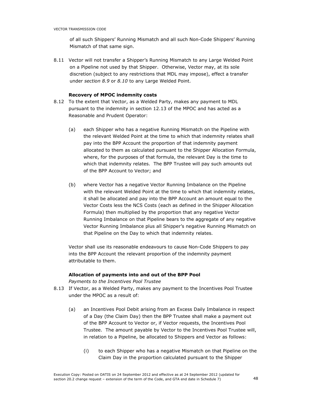of all such Shippers' Running Mismatch and all such Non-Code Shippers' Running Mismatch of that same sign.

8.11 Vector will not transfer a Shipper's Running Mismatch to any Large Welded Point on a Pipeline not used by that Shipper. Otherwise, Vector may, at its sole discretion (subject to any restrictions that MDL may impose), effect a transfer under section 8.9 or 8.10 to any Large Welded Point.

### Recovery of MPOC indemnity costs

- 8.12 To the extent that Vector, as a Welded Party, makes any payment to MDL pursuant to the indemnity in section 12.13 of the MPOC and has acted as a Reasonable and Prudent Operator:
	- (a) each Shipper who has a negative Running Mismatch on the Pipeline with the relevant Welded Point at the time to which that indemnity relates shall pay into the BPP Account the proportion of that indemnity payment allocated to them as calculated pursuant to the Shipper Allocation Formula, where, for the purposes of that formula, the relevant Day is the time to which that indemnity relates. The BPP Trustee will pay such amounts out of the BPP Account to Vector; and
	- (b) where Vector has a negative Vector Running Imbalance on the Pipeline with the relevant Welded Point at the time to which that indemnity relates, it shall be allocated and pay into the BPP Account an amount equal to the Vector Costs less the NCS Costs (each as defined in the Shipper Allocation Formula) then multiplied by the proportion that any negative Vector Running Imbalance on that Pipeline bears to the aggregate of any negative Vector Running Imbalance plus all Shipper's negative Running Mismatch on that Pipeline on the Day to which that indemnity relates.

Vector shall use its reasonable endeavours to cause Non-Code Shippers to pay into the BPP Account the relevant proportion of the indemnity payment attributable to them.

### Allocation of payments into and out of the BPP Pool

Payments to the Incentives Pool Trustee

- 8.13 If Vector, as a Welded Party, makes any payment to the Incentives Pool Trustee under the MPOC as a result of:
	- (a) an Incentives Pool Debit arising from an Excess Daily Imbalance in respect of a Day (the Claim Day) then the BPP Trustee shall make a payment out of the BPP Account to Vector or, if Vector requests, the Incentives Pool Trustee. The amount payable by Vector to the Incentives Pool Trustee will, in relation to a Pipeline, be allocated to Shippers and Vector as follows:
		- (i) to each Shipper who has a negative Mismatch on that Pipeline on the Claim Day in the proportion calculated pursuant to the Shipper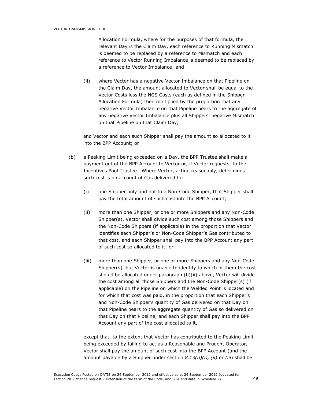Allocation Formula, where for the purposes of that formula, the relevant Day is the Claim Day, each reference to Running Mismatch is deemed to be replaced by a reference to Mismatch and each reference to Vector Running Imbalance is deemed to be replaced by a reference to Vector Imbalance; and

(ii) where Vector has a negative Vector Imbalance on that Pipeline on the Claim Day, the amount allocated to Vector shall be equal to the Vector Costs less the NCS Costs (each as defined in the Shipper Allocation Formula) then multiplied by the proportion that any negative Vector Imbalance on that Pipeline bears to the aggregate of any negative Vector Imbalance plus all Shippers' negative Mismatch on that Pipeline on that Claim Day,

and Vector and each such Shipper shall pay the amount so allocated to it into the BPP Account; or

- (b) a Peaking Limit being exceeded on a Day, the BPP Trustee shall make a payment out of the BPP Account to Vector or, if Vector requests, to the Incentives Pool Trustee. Where Vector, acting reasonably, determines such cost is on account of Gas delivered to:
	- (i) one Shipper only and not to a Non-Code Shipper, that Shipper shall pay the total amount of such cost into the BPP Account;
	- (ii) more than one Shipper, or one or more Shippers and any Non-Code Shipper(s), Vector shall divide such cost among those Shippers and the Non-Code Shippers (if applicable) in the proportion that Vector identifies each Shipper's or Non-Code Shipper's Gas contributed to that cost, and each Shipper shall pay into the BPP Account any part of such cost so allocated to it; or
	- (iii) more than one Shipper, or one or more Shippers and any Non-Code Shipper(s), but Vector is unable to identify to which of them the cost should be allocated under paragraph (b)(ii) above, Vector will divide the cost among all those Shippers and the Non-Code Shipper(s) (if applicable) on the Pipeline on which the Welded Point is located and for which that cost was paid, in the proportion that each Shipper's and Non-Code Shipper's quantity of Gas delivered on that Day on that Pipeline bears to the aggregate quantity of Gas so delivered on that Day on that Pipeline, and each Shipper shall pay into the BPP Account any part of the cost allocated to it,

except that, to the extent that Vector has contributed to the Peaking Limit being exceeded by failing to act as a Reasonable and Prudent Operator, Vector shall pay the amount of such cost into the BPP Account (and the amount payable by a Shipper under section  $8.13(b)(i)$ , (ii) or (iii) shall be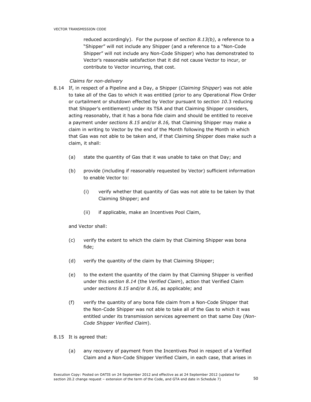reduced accordingly). For the purpose of section  $8.13(b)$ , a reference to a "Shipper" will not include any Shipper (and a reference to a "Non-Code Shipper" will not include any Non-Code Shipper) who has demonstrated to Vector's reasonable satisfaction that it did not cause Vector to incur, or contribute to Vector incurring, that cost.

# Claims for non-delivery

- 8.14 If, in respect of a Pipeline and a Day, a Shipper (Claiming Shipper) was not able to take all of the Gas to which it was entitled (prior to any Operational Flow Order or curtailment or shutdown effected by Vector pursuant to section 10.3 reducing that Shipper's entitlement) under its TSA and that Claiming Shipper considers, acting reasonably, that it has a bona fide claim and should be entitled to receive a payment under sections 8.15 and/or 8.16, that Claiming Shipper may make a claim in writing to Vector by the end of the Month following the Month in which that Gas was not able to be taken and, if that Claiming Shipper does make such a claim, it shall:
	- (a) state the quantity of Gas that it was unable to take on that Day; and
	- (b) provide (including if reasonably requested by Vector) sufficient information to enable Vector to:
		- (i) verify whether that quantity of Gas was not able to be taken by that Claiming Shipper; and
		- (ii) if applicable, make an Incentives Pool Claim,

and Vector shall:

- (c) verify the extent to which the claim by that Claiming Shipper was bona fide;
- (d) verify the quantity of the claim by that Claiming Shipper;
- (e) to the extent the quantity of the claim by that Claiming Shipper is verified under this section 8.14 (the Verified Claim), action that Verified Claim under sections 8.15 and/or 8.16, as applicable; and
- (f) verify the quantity of any bona fide claim from a Non-Code Shipper that the Non-Code Shipper was not able to take all of the Gas to which it was entitled under its transmission services agreement on that same Day (Non-Code Shipper Verified Claim).
- 8.15 It is agreed that:
	- (a) any recovery of payment from the Incentives Pool in respect of a Verified Claim and a Non-Code Shipper Verified Claim, in each case, that arises in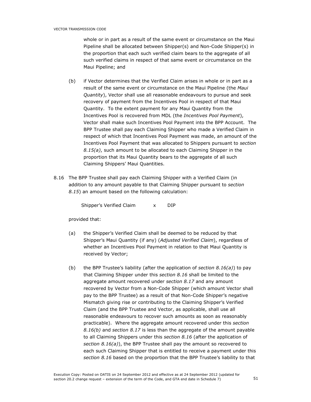whole or in part as a result of the same event or circumstance on the Maui Pipeline shall be allocated between Shipper(s) and Non-Code Shipper(s) in the proportion that each such verified claim bears to the aggregate of all such verified claims in respect of that same event or circumstance on the Maui Pipeline; and

- (b) if Vector determines that the Verified Claim arises in whole or in part as a result of the same event or circumstance on the Maui Pipeline (the Maui Quantity), Vector shall use all reasonable endeavours to pursue and seek recovery of payment from the Incentives Pool in respect of that Maui Quantity. To the extent payment for any Maui Quantity from the Incentives Pool is recovered from MDL (the Incentives Pool Payment), Vector shall make such Incentives Pool Payment into the BPP Account. The BPP Trustee shall pay each Claiming Shipper who made a Verified Claim in respect of which that Incentives Pool Payment was made, an amount of the Incentives Pool Payment that was allocated to Shippers pursuant to section  $8.15(a)$ , such amount to be allocated to each Claiming Shipper in the proportion that its Maui Quantity bears to the aggregate of all such Claiming Shippers' Maui Quantities.
- 8.16 The BPP Trustee shall pay each Claiming Shipper with a Verified Claim (in addition to any amount payable to that Claiming Shipper pursuant to section 8.15) an amount based on the following calculation:

Shipper's Verified Claim x DIP

provided that:

- (a) the Shipper's Verified Claim shall be deemed to be reduced by that Shipper's Maui Quantity (if any) (Adjusted Verified Claim), regardless of whether an Incentives Pool Payment in relation to that Maui Quantity is received by Vector;
- (b) the BPP Trustee's liability (after the application of section  $8.16(a)$ ) to pay that Claiming Shipper under this section 8.16 shall be limited to the aggregate amount recovered under section 8.17 and any amount recovered by Vector from a Non-Code Shipper (which amount Vector shall pay to the BPP Trustee) as a result of that Non-Code Shipper's negative Mismatch giving rise or contributing to the Claiming Shipper's Verified Claim (and the BPP Trustee and Vector, as applicable, shall use all reasonable endeavours to recover such amounts as soon as reasonably practicable). Where the aggregate amount recovered under this section 8.16(b) and section 8.17 is less than the aggregate of the amount payable to all Claiming Shippers under this section 8.16 (after the application of section  $8.16(a)$ ), the BPP Trustee shall pay the amount so recovered to each such Claiming Shipper that is entitled to receive a payment under this section 8.16 based on the proportion that the BPP Trustee's liability to that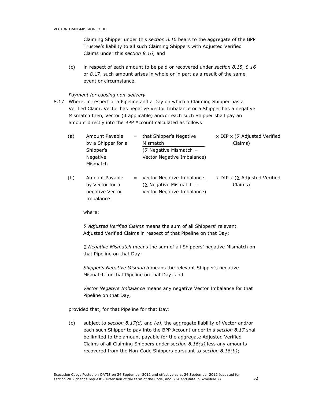Claiming Shipper under this section 8.16 bears to the aggregate of the BPP Trustee's liability to all such Claiming Shippers with Adjusted Verified Claims under this section 8.16; and

(c) in respect of each amount to be paid or recovered under section 8.15, 8.16 or 8.17, such amount arises in whole or in part as a result of the same event or circumstance.

# Payment for causing non-delivery

8.17 Where, in respect of a Pipeline and a Day on which a Claiming Shipper has a Verified Claim, Vector has negative Vector Imbalance or a Shipper has a negative Mismatch then, Vector (if applicable) and/or each such Shipper shall pay an amount directly into the BPP Account calculated as follows:

| (a) | Amount Payable<br>by a Shipper for a                              | $=$ | that Shipper's Negative<br>Mismatch                                                      | x DIP x ( $\Sigma$ Adjusted Verified<br>Claims) |
|-----|-------------------------------------------------------------------|-----|------------------------------------------------------------------------------------------|-------------------------------------------------|
|     | Shipper's                                                         |     | $(\Sigma$ Negative Mismatch +                                                            |                                                 |
|     | Negative<br>Mismatch                                              |     | Vector Negative Imbalance)                                                               |                                                 |
| (b) | Amount Payable<br>by Vector for a<br>negative Vector<br>Imbalance | =   | Vector Negative Imbalance<br>$(\Sigma$ Negative Mismatch +<br>Vector Negative Imbalance) | x DIP x ( $\Sigma$ Adjusted Verified<br>Claims) |

where:

∑ Adjusted Verified Claims means the sum of all Shippers' relevant Adjusted Verified Claims in respect of that Pipeline on that Day;

∑ Negative Mismatch means the sum of all Shippers' negative Mismatch on that Pipeline on that Day;

Shipper's Negative Mismatch means the relevant Shipper's negative Mismatch for that Pipeline on that Day; and

Vector Negative Imbalance means any negative Vector Imbalance for that Pipeline on that Day,

provided that, for that Pipeline for that Day:

(c) subject to section  $8.17(d)$  and (e), the aggregate liability of Vector and/or each such Shipper to pay into the BPP Account under this section 8.17 shall be limited to the amount payable for the aggregate Adjusted Verified Claims of all Claiming Shippers under section  $8.16(a)$  less any amounts recovered from the Non-Code Shippers pursuant to section 8.16(b);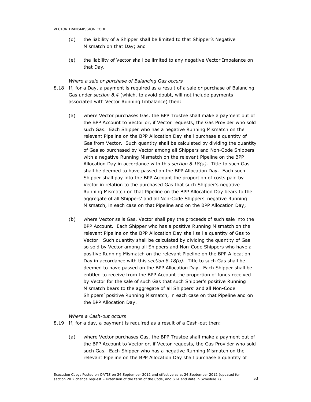- (d) the liability of a Shipper shall be limited to that Shipper's Negative Mismatch on that Day; and
- (e) the liability of Vector shall be limited to any negative Vector Imbalance on that Day.

# Where a sale or purchase of Balancing Gas occurs

- 8.18 If, for a Day, a payment is required as a result of a sale or purchase of Balancing Gas under section 8.4 (which, to avoid doubt, will not include payments associated with Vector Running Imbalance) then:
	- (a) where Vector purchases Gas, the BPP Trustee shall make a payment out of the BPP Account to Vector or, if Vector requests, the Gas Provider who sold such Gas. Each Shipper who has a negative Running Mismatch on the relevant Pipeline on the BPP Allocation Day shall purchase a quantity of Gas from Vector. Such quantity shall be calculated by dividing the quantity of Gas so purchased by Vector among all Shippers and Non-Code Shippers with a negative Running Mismatch on the relevant Pipeline on the BPP Allocation Day in accordance with this section  $8.18(a)$ . Title to such Gas shall be deemed to have passed on the BPP Allocation Day. Each such Shipper shall pay into the BPP Account the proportion of costs paid by Vector in relation to the purchased Gas that such Shipper's negative Running Mismatch on that Pipeline on the BPP Allocation Day bears to the aggregate of all Shippers' and all Non-Code Shippers' negative Running Mismatch, in each case on that Pipeline and on the BPP Allocation Day;
	- (b) where Vector sells Gas, Vector shall pay the proceeds of such sale into the BPP Account. Each Shipper who has a positive Running Mismatch on the relevant Pipeline on the BPP Allocation Day shall sell a quantity of Gas to Vector. Such quantity shall be calculated by dividing the quantity of Gas so sold by Vector among all Shippers and Non-Code Shippers who have a positive Running Mismatch on the relevant Pipeline on the BPP Allocation Day in accordance with this section  $8.18(b)$ . Title to such Gas shall be deemed to have passed on the BPP Allocation Day. Each Shipper shall be entitled to receive from the BPP Account the proportion of funds received by Vector for the sale of such Gas that such Shipper's positive Running Mismatch bears to the aggregate of all Shippers' and all Non-Code Shippers' positive Running Mismatch, in each case on that Pipeline and on the BPP Allocation Day.

### Where a Cash-out occurs

- 8.19 If, for a day, a payment is required as a result of a Cash-out then:
	- (a) where Vector purchases Gas, the BPP Trustee shall make a payment out of the BPP Account to Vector or, if Vector requests, the Gas Provider who sold such Gas. Each Shipper who has a negative Running Mismatch on the relevant Pipeline on the BPP Allocation Day shall purchase a quantity of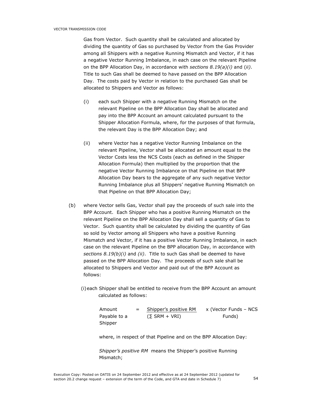Gas from Vector. Such quantity shall be calculated and allocated by dividing the quantity of Gas so purchased by Vector from the Gas Provider among all Shippers with a negative Running Mismatch and Vector, if it has a negative Vector Running Imbalance, in each case on the relevant Pipeline on the BPP Allocation Day, in accordance with sections  $8.19(a)(i)$  and (ii). Title to such Gas shall be deemed to have passed on the BPP Allocation Day. The costs paid by Vector in relation to the purchased Gas shall be allocated to Shippers and Vector as follows:

- (i) each such Shipper with a negative Running Mismatch on the relevant Pipeline on the BPP Allocation Day shall be allocated and pay into the BPP Account an amount calculated pursuant to the Shipper Allocation Formula, where, for the purposes of that formula, the relevant Day is the BPP Allocation Day; and
- (ii) where Vector has a negative Vector Running Imbalance on the relevant Pipeline, Vector shall be allocated an amount equal to the Vector Costs less the NCS Costs (each as defined in the Shipper Allocation Formula) then multiplied by the proportion that the negative Vector Running Imbalance on that Pipeline on that BPP Allocation Day bears to the aggregate of any such negative Vector Running Imbalance plus all Shippers' negative Running Mismatch on that Pipeline on that BPP Allocation Day;
- (b) where Vector sells Gas, Vector shall pay the proceeds of such sale into the BPP Account. Each Shipper who has a positive Running Mismatch on the relevant Pipeline on the BPP Allocation Day shall sell a quantity of Gas to Vector. Such quantity shall be calculated by dividing the quantity of Gas so sold by Vector among all Shippers who have a positive Running Mismatch and Vector, if it has a positive Vector Running Imbalance, in each case on the relevant Pipeline on the BPP allocation Day, in accordance with sections  $8.19(b)(i)$  and (ii). Title to such Gas shall be deemed to have passed on the BPP Allocation Day. The proceeds of such sale shall be allocated to Shippers and Vector and paid out of the BPP Account as follows:
	- (i)each Shipper shall be entitled to receive from the BPP Account an amount calculated as follows:

| Amount       | $=$ | Shipper's positive RM | x (Vector Funds – NCS |
|--------------|-----|-----------------------|-----------------------|
| Payable to a |     | $(\Sigma$ SRM + VRI)  | Funds)                |
| Shipper      |     |                       |                       |

where, in respect of that Pipeline and on the BPP Allocation Day:

Shipper's positive RM means the Shipper's positive Running Mismatch;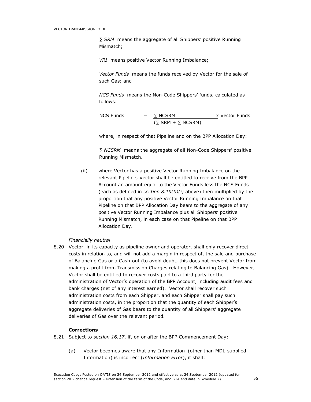∑ SRM means the aggregate of all Shippers' positive Running Mismatch;

VRI means positive Vector Running Imbalance;

Vector Funds means the funds received by Vector for the sale of such Gas; and

NCS Funds means the Non-Code Shippers' funds, calculated as follows:

NCS Funds

\n
$$
= \frac{\Sigma \text{ NCSRM}}{(\Sigma \text{ SRM} + \Sigma \text{ NCSRM})} \times \text{Vector Funds}
$$

where, in respect of that Pipeline and on the BPP Allocation Day:

∑ NCSRM means the aggregate of all Non-Code Shippers' positive Running Mismatch.

(ii) where Vector has a positive Vector Running Imbalance on the relevant Pipeline, Vector shall be entitled to receive from the BPP Account an amount equal to the Vector Funds less the NCS Funds (each as defined in section  $8.19(b)(i)$  above) then multiplied by the proportion that any positive Vector Running Imbalance on that Pipeline on that BPP Allocation Day bears to the aggregate of any positive Vector Running Imbalance plus all Shippers' positive Running Mismatch, in each case on that Pipeline on that BPP Allocation Day.

# Financially neutral

8.20 Vector, in its capacity as pipeline owner and operator, shall only recover direct costs in relation to, and will not add a margin in respect of, the sale and purchase of Balancing Gas or a Cash-out (to avoid doubt, this does not prevent Vector from making a profit from Transmission Charges relating to Balancing Gas). However, Vector shall be entitled to recover costs paid to a third party for the administration of Vector's operation of the BPP Account, including audit fees and bank charges (net of any interest earned). Vector shall recover such administration costs from each Shipper, and each Shipper shall pay such administration costs, in the proportion that the quantity of each Shipper's aggregate deliveries of Gas bears to the quantity of all Shippers' aggregate deliveries of Gas over the relevant period.

### **Corrections**

- 8.21 Subject to section 16.17, if, on or after the BPP Commencement Day:
	- (a) Vector becomes aware that any Information (other than MDL-supplied Information) is incorrect (Information Error), it shall: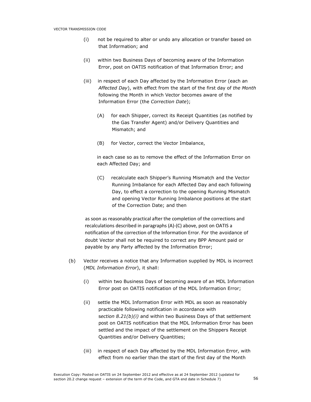- (i) not be required to alter or undo any allocation or transfer based on that Information; and
- (ii) within two Business Days of becoming aware of the Information Error, post on OATIS notification of that Information Error; and
- (iii) in respect of each Day affected by the Information Error (each an Affected Day), with effect from the start of the first day of the Month following the Month in which Vector becomes aware of the Information Error (the Correction Date);
	- (A) for each Shipper, correct its Receipt Quantities (as notified by the Gas Transfer Agent) and/or Delivery Quantities and Mismatch; and
	- (B) for Vector, correct the Vector Imbalance,

in each case so as to remove the effect of the Information Error on each Affected Day; and

(C) recalculate each Shipper's Running Mismatch and the Vector Running Imbalance for each Affected Day and each following Day, to effect a correction to the opening Running Mismatch and opening Vector Running Imbalance positions at the start of the Correction Date; and then

as soon as reasonably practical after the completion of the corrections and recalculations described in paragraphs (A)-(C) above, post on OATIS a notification of the correction of the Information Error. For the avoidance of doubt Vector shall not be required to correct any BPP Amount paid or payable by any Party affected by the Information Error;

- (b) Vector receives a notice that any Information supplied by MDL is incorrect (MDL Information Error), it shall:
	- (i) within two Business Days of becoming aware of an MDL Information Error post on OATIS notification of the MDL Information Error;
	- (ii) settle the MDL Information Error with MDL as soon as reasonably practicable following notification in accordance with section  $8.21(b)(i)$  and within two Business Days of that settlement post on OATIS notification that the MDL Information Error has been settled and the impact of the settlement on the Shippers Receipt Quantities and/or Delivery Quantities;
	- (iii) in respect of each Day affected by the MDL Information Error, with effect from no earlier than the start of the first day of the Month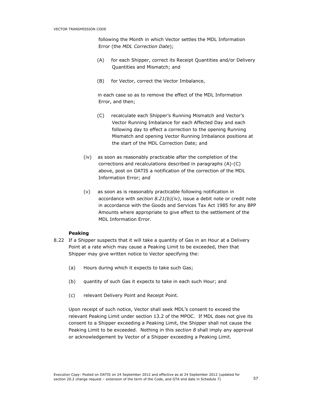following the Month in which Vector settles the MDL Information Error (the MDL Correction Date);

- (A) for each Shipper, correct its Receipt Quantities and/or Delivery Quantities and Mismatch; and
- (B) for Vector, correct the Vector Imbalance,

 in each case so as to remove the effect of the MDL Information Error, and then;

- (C) recalculate each Shipper's Running Mismatch and Vector's Vector Running Imbalance for each Affected Day and each following day to effect a correction to the opening Running Mismatch and opening Vector Running Imbalance positions at the start of the MDL Correction Date; and
- (iv) as soon as reasonably practicable after the completion of the corrections and recalculations described in paragraphs (A)-(C) above, post on OATIS a notification of the correction of the MDL Information Error; and
- (v) as soon as is reasonably practicable following notification in accordance with section  $8.21(b)(iv)$ , issue a debit note or credit note in accordance with the Goods and Services Tax Act 1985 for any BPP Amounts where appropriate to give effect to the settlement of the MDL Information Error.

### Peaking

- 8.22 If a Shipper suspects that it will take a quantity of Gas in an Hour at a Delivery Point at a rate which may cause a Peaking Limit to be exceeded, then that Shipper may give written notice to Vector specifying the:
	- (a) Hours during which it expects to take such Gas;
	- (b) quantity of such Gas it expects to take in each such Hour; and
	- (c) relevant Delivery Point and Receipt Point.

Upon receipt of such notice, Vector shall seek MDL's consent to exceed the relevant Peaking Limit under section 13.2 of the MPOC. If MDL does not give its consent to a Shipper exceeding a Peaking Limit, the Shipper shall not cause the Peaking Limit to be exceeded. Nothing in this section 8 shall imply any approval or acknowledgement by Vector of a Shipper exceeding a Peaking Limit.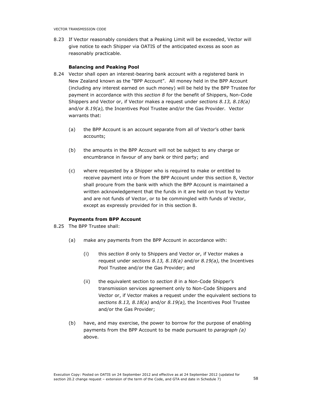8.23 If Vector reasonably considers that a Peaking Limit will be exceeded, Vector will give notice to each Shipper via OATIS of the anticipated excess as soon as reasonably practicable.

### Balancing and Peaking Pool

- 8.24 Vector shall open an interest-bearing bank account with a registered bank in New Zealand known as the "BPP Account". All money held in the BPP Account (including any interest earned on such money) will be held by the BPP Trustee for payment in accordance with this section 8 for the benefit of Shippers, Non-Code Shippers and Vector or, if Vector makes a request under sections 8.13, 8.18(a) and/or 8.19(a), the Incentives Pool Trustee and/or the Gas Provider. Vector warrants that:
	- (a) the BPP Account is an account separate from all of Vector's other bank accounts;
	- (b) the amounts in the BPP Account will not be subject to any charge or encumbrance in favour of any bank or third party; and
	- (c) where requested by a Shipper who is required to make or entitled to receive payment into or from the BPP Account under this section 8, Vector shall procure from the bank with which the BPP Account is maintained a written acknowledgement that the funds in it are held on trust by Vector and are not funds of Vector, or to be commingled with funds of Vector, except as expressly provided for in this section 8.

### Payments from BPP Account

- 8.25 The BPP Trustee shall:
	- (a) make any payments from the BPP Account in accordance with:
		- (i) this section 8 only to Shippers and Vector or, if Vector makes a request under sections 8.13, 8.18(a) and/or 8.19(a), the Incentives Pool Trustee and/or the Gas Provider; and
		- (ii) the equivalent section to section  $8$  in a Non-Code Shipper's transmission services agreement only to Non-Code Shippers and Vector or, if Vector makes a request under the equivalent sections to sections 8.13, 8.18(a) and/or 8.19(a), the Incentives Pool Trustee and/or the Gas Provider;
	- (b) have, and may exercise, the power to borrow for the purpose of enabling payments from the BPP Account to be made pursuant to *paragraph (a)* above.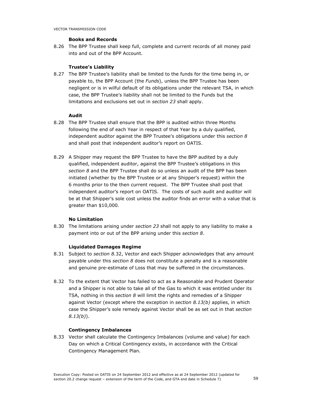# Books and Records

8.26 The BPP Trustee shall keep full, complete and current records of all money paid into and out of the BPP Account.

# Trustee's Liability

8.27 The BPP Trustee's liability shall be limited to the funds for the time being in, or payable to, the BPP Account (the Funds), unless the BPP Trustee has been negligent or is in wilful default of its obligations under the relevant TSA, in which case, the BPP Trustee's liability shall not be limited to the Funds but the limitations and exclusions set out in section 23 shall apply.

# Audit

- 8.28 The BPP Trustee shall ensure that the BPP is audited within three Months following the end of each Year in respect of that Year by a duly qualified, independent auditor against the BPP Trustee's obligations under this section 8 and shall post that independent auditor's report on OATIS.
- 8.29 A Shipper may request the BPP Trustee to have the BPP audited by a duly qualified, independent auditor, against the BPP Trustee's obligations in this section 8 and the BPP Trustee shall do so unless an audit of the BPP has been initiated (whether by the BPP Trustee or at any Shipper's request) within the 6 months prior to the then current request. The BPP Trustee shall post that independent auditor's report on OATIS. The costs of such audit and auditor will be at that Shipper's sole cost unless the auditor finds an error with a value that is greater than \$10,000.

## No Limitation

8.30 The limitations arising under section 23 shall not apply to any liability to make a payment into or out of the BPP arising under this section 8.

### Liquidated Damages Regime

- 8.31 Subject to section 8.32, Vector and each Shipper acknowledges that any amount payable under this section 8 does not constitute a penalty and is a reasonable and genuine pre-estimate of Loss that may be suffered in the circumstances.
- 8.32 To the extent that Vector has failed to act as a Reasonable and Prudent Operator and a Shipper is not able to take all of the Gas to which it was entitled under its TSA, nothing in this section 8 will limit the rights and remedies of a Shipper against Vector (except where the exception in section  $8.13(b)$  applies, in which case the Shipper's sole remedy against Vector shall be as set out in that section  $8.13(b)$ ).

# Contingency Imbalances

8.33 Vector shall calculate the Contingency Imbalances (volume and value) for each Day on which a Critical Contingency exists, in accordance with the Critical Contingency Management Plan.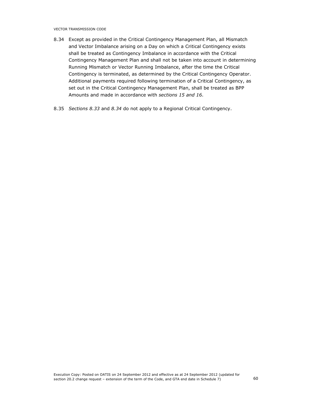VECTOR TRANSMISSION CODE

- 8.34 Except as provided in the Critical Contingency Management Plan, all Mismatch and Vector Imbalance arising on a Day on which a Critical Contingency exists shall be treated as Contingency Imbalance in accordance with the Critical Contingency Management Plan and shall not be taken into account in determining Running Mismatch or Vector Running Imbalance, after the time the Critical Contingency is terminated, as determined by the Critical Contingency Operator. Additional payments required following termination of a Critical Contingency, as set out in the Critical Contingency Management Plan, shall be treated as BPP Amounts and made in accordance with sections 15 and 16.
- 8.35 Sections 8.33 and 8.34 do not apply to a Regional Critical Contingency.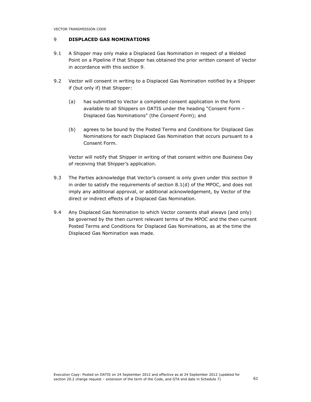# 9 DISPLACED GAS NOMINATIONS

- 9.1 A Shipper may only make a Displaced Gas Nomination in respect of a Welded Point on a Pipeline if that Shipper has obtained the prior written consent of Vector in accordance with this section 9.
- 9.2 Vector will consent in writing to a Displaced Gas Nomination notified by a Shipper if (but only if) that Shipper:
	- (a) has submitted to Vector a completed consent application in the form available to all Shippers on OATIS under the heading "Consent Form – Displaced Gas Nominations" (the Consent Form); and
	- (b) agrees to be bound by the Posted Terms and Conditions for Displaced Gas Nominations for each Displaced Gas Nomination that occurs pursuant to a Consent Form.

Vector will notify that Shipper in writing of that consent within one Business Day of receiving that Shipper's application.

- 9.3 The Parties acknowledge that Vector's consent is only given under this section 9 in order to satisfy the requirements of section 8.1(d) of the MPOC, and does not imply any additional approval, or additional acknowledgement, by Vector of the direct or indirect effects of a Displaced Gas Nomination.
- 9.4 Any Displaced Gas Nomination to which Vector consents shall always (and only) be governed by the then current relevant terms of the MPOC and the then current Posted Terms and Conditions for Displaced Gas Nominations, as at the time the Displaced Gas Nomination was made.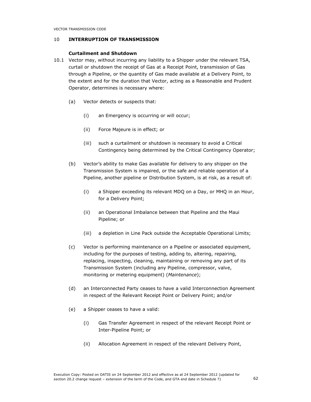### 10 INTERRUPTION OF TRANSMISSION

### Curtailment and Shutdown

- 10.1 Vector may, without incurring any liability to a Shipper under the relevant TSA, curtail or shutdown the receipt of Gas at a Receipt Point, transmission of Gas through a Pipeline, or the quantity of Gas made available at a Delivery Point, to the extent and for the duration that Vector, acting as a Reasonable and Prudent Operator, determines is necessary where:
	- (a) Vector detects or suspects that:
		- (i) an Emergency is occurring or will occur;
		- (ii) Force Majeure is in effect; or
		- (iii) such a curtailment or shutdown is necessary to avoid a Critical Contingency being determined by the Critical Contingency Operator;
	- (b) Vector's ability to make Gas available for delivery to any shipper on the Transmission System is impaired, or the safe and reliable operation of a Pipeline, another pipeline or Distribution System, is at risk, as a result of:
		- (i) a Shipper exceeding its relevant MDQ on a Day, or MHQ in an Hour, for a Delivery Point;
		- (ii) an Operational Imbalance between that Pipeline and the Maui Pipeline; or
		- (iii) a depletion in Line Pack outside the Acceptable Operational Limits;
	- (c) Vector is performing maintenance on a Pipeline or associated equipment, including for the purposes of testing, adding to, altering, repairing, replacing, inspecting, cleaning, maintaining or removing any part of its Transmission System (including any Pipeline, compressor, valve, monitoring or metering equipment) (Maintenance);
	- (d) an Interconnected Party ceases to have a valid Interconnection Agreement in respect of the Relevant Receipt Point or Delivery Point; and/or
	- (e) a Shipper ceases to have a valid:
		- (i) Gas Transfer Agreement in respect of the relevant Receipt Point or Inter-Pipeline Point; or
		- (ii) Allocation Agreement in respect of the relevant Delivery Point,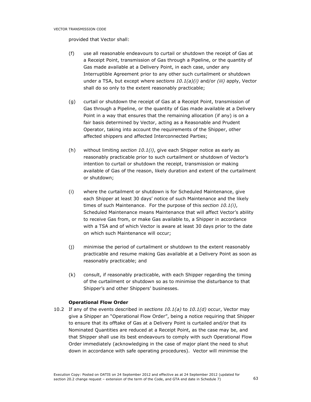provided that Vector shall:

- (f) use all reasonable endeavours to curtail or shutdown the receipt of Gas at a Receipt Point, transmission of Gas through a Pipeline, or the quantity of Gas made available at a Delivery Point, in each case, under any Interruptible Agreement prior to any other such curtailment or shutdown under a TSA, but except where sections  $10.1(a)(i)$  and/or (iii) apply, Vector shall do so only to the extent reasonably practicable;
- (g) curtail or shutdown the receipt of Gas at a Receipt Point, transmission of Gas through a Pipeline, or the quantity of Gas made available at a Delivery Point in a way that ensures that the remaining allocation (if any) is on a fair basis determined by Vector, acting as a Reasonable and Prudent Operator, taking into account the requirements of the Shipper, other affected shippers and affected Interconnected Parties;
- (h) without limiting section  $10.1(i)$ , give each Shipper notice as early as reasonably practicable prior to such curtailment or shutdown of Vector's intention to curtail or shutdown the receipt, transmission or making available of Gas of the reason, likely duration and extent of the curtailment or shutdown;
- (i) where the curtailment or shutdown is for Scheduled Maintenance, give each Shipper at least 30 days' notice of such Maintenance and the likely times of such Maintenance. For the purpose of this section  $10.1(i)$ , Scheduled Maintenance means Maintenance that will affect Vector's ability to receive Gas from, or make Gas available to, a Shipper in accordance with a TSA and of which Vector is aware at least 30 days prior to the date on which such Maintenance will occur;
- (j) minimise the period of curtailment or shutdown to the extent reasonably practicable and resume making Gas available at a Delivery Point as soon as reasonably practicable; and
- (k) consult, if reasonably practicable, with each Shipper regarding the timing of the curtailment or shutdown so as to minimise the disturbance to that Shipper's and other Shippers' businesses.

# Operational Flow Order

10.2 If any of the events described in sections  $10.1(a)$  to  $10.1(d)$  occur, Vector may give a Shipper an "Operational Flow Order", being a notice requiring that Shipper to ensure that its offtake of Gas at a Delivery Point is curtailed and/or that its Nominated Quantities are reduced at a Receipt Point, as the case may be, and that Shipper shall use its best endeavours to comply with such Operational Flow Order immediately (acknowledging in the case of major plant the need to shut down in accordance with safe operating procedures). Vector will minimise the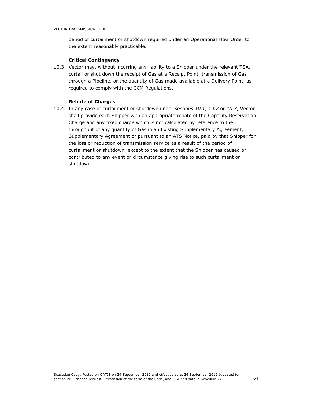period of curtailment or shutdown required under an Operational Flow Order to the extent reasonably practicable.

### Critical Contingency

10.3 Vector may, without incurring any liability to a Shipper under the relevant TSA, curtail or shut down the receipt of Gas at a Receipt Point, transmission of Gas through a Pipeline, or the quantity of Gas made available at a Delivery Point, as required to comply with the CCM Regulations.

# Rebate of Charges

10.4 In any case of curtailment or shutdown under sections 10.1, 10.2 or 10.3, Vector shall provide each Shipper with an appropriate rebate of the Capacity Reservation Charge and any fixed charge which is not calculated by reference to the throughput of any quantity of Gas in an Existing Supplementary Agreement, Supplementary Agreement or pursuant to an ATS Notice, paid by that Shipper for the loss or reduction of transmission service as a result of the period of curtailment or shutdown, except to the extent that the Shipper has caused or contributed to any event or circumstance giving rise to such curtailment or shutdown.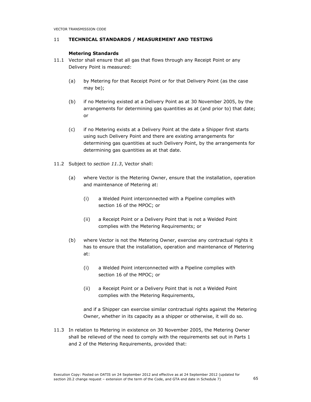# 11 TECHNICAL STANDARDS / MEASUREMENT AND TESTING

# Metering Standards

- 11.1 Vector shall ensure that all gas that flows through any Receipt Point or any Delivery Point is measured:
	- (a) by Metering for that Receipt Point or for that Delivery Point (as the case may be);
	- (b) if no Metering existed at a Delivery Point as at 30 November 2005, by the arrangements for determining gas quantities as at (and prior to) that date; or
	- (c) if no Metering exists at a Delivery Point at the date a Shipper first starts using such Delivery Point and there are existing arrangements for determining gas quantities at such Delivery Point, by the arrangements for determining gas quantities as at that date.
- 11.2 Subject to section 11.3, Vector shall:
	- (a) where Vector is the Metering Owner, ensure that the installation, operation and maintenance of Metering at:
		- (i) a Welded Point interconnected with a Pipeline complies with section 16 of the MPOC; or
		- (ii) a Receipt Point or a Delivery Point that is not a Welded Point complies with the Metering Requirements; or
	- (b) where Vector is not the Metering Owner, exercise any contractual rights it has to ensure that the installation, operation and maintenance of Metering at:
		- (i) a Welded Point interconnected with a Pipeline complies with section 16 of the MPOC; or
		- (ii) a Receipt Point or a Delivery Point that is not a Welded Point complies with the Metering Requirements,

and if a Shipper can exercise similar contractual rights against the Metering Owner, whether in its capacity as a shipper or otherwise, it will do so.

11.3 In relation to Metering in existence on 30 November 2005, the Metering Owner shall be relieved of the need to comply with the requirements set out in Parts 1 and 2 of the Metering Requirements, provided that: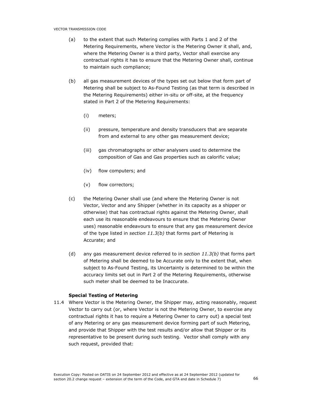- (a) to the extent that such Metering complies with Parts 1 and 2 of the Metering Requirements, where Vector is the Metering Owner it shall, and, where the Metering Owner is a third party, Vector shall exercise any contractual rights it has to ensure that the Metering Owner shall, continue to maintain such compliance;
- (b) all gas measurement devices of the types set out below that form part of Metering shall be subject to As-Found Testing (as that term is described in the Metering Requirements) either in-situ or off-site, at the frequency stated in Part 2 of the Metering Requirements:
	- (i) meters;
	- (ii) pressure, temperature and density transducers that are separate from and external to any other gas measurement device;
	- (iii) gas chromatographs or other analysers used to determine the composition of Gas and Gas properties such as calorific value;
	- (iv) flow computers; and
	- (v) flow correctors;
- (c) the Metering Owner shall use (and where the Metering Owner is not Vector, Vector and any Shipper (whether in its capacity as a shipper or otherwise) that has contractual rights against the Metering Owner, shall each use its reasonable endeavours to ensure that the Metering Owner uses) reasonable endeavours to ensure that any gas measurement device of the type listed in section  $11.3(b)$  that forms part of Metering is Accurate; and
- (d) any gas measurement device referred to in section  $11.3(b)$  that forms part of Metering shall be deemed to be Accurate only to the extent that, when subject to As-Found Testing, its Uncertainty is determined to be within the accuracy limits set out in Part 2 of the Metering Requirements, otherwise such meter shall be deemed to be Inaccurate.

# Special Testing of Metering

11.4 Where Vector is the Metering Owner, the Shipper may, acting reasonably, request Vector to carry out (or, where Vector is not the Metering Owner, to exercise any contractual rights it has to require a Metering Owner to carry out) a special test of any Metering or any gas measurement device forming part of such Metering, and provide that Shipper with the test results and/or allow that Shipper or its representative to be present during such testing. Vector shall comply with any such request, provided that: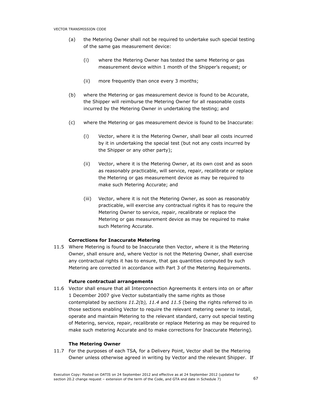- (a) the Metering Owner shall not be required to undertake such special testing of the same gas measurement device:
	- (i) where the Metering Owner has tested the same Metering or gas measurement device within 1 month of the Shipper's request; or
	- (ii) more frequently than once every 3 months;
- (b) where the Metering or gas measurement device is found to be Accurate, the Shipper will reimburse the Metering Owner for all reasonable costs incurred by the Metering Owner in undertaking the testing; and
- (c) where the Metering or gas measurement device is found to be Inaccurate:
	- (i) Vector, where it is the Metering Owner, shall bear all costs incurred by it in undertaking the special test (but not any costs incurred by the Shipper or any other party);
	- (ii) Vector, where it is the Metering Owner, at its own cost and as soon as reasonably practicable, will service, repair, recalibrate or replace the Metering or gas measurement device as may be required to make such Metering Accurate; and
	- (iii) Vector, where it is not the Metering Owner, as soon as reasonably practicable, will exercise any contractual rights it has to require the Metering Owner to service, repair, recalibrate or replace the Metering or gas measurement device as may be required to make such Metering Accurate.

# Corrections for Inaccurate Metering

11.5 Where Metering is found to be Inaccurate then Vector, where it is the Metering Owner, shall ensure and, where Vector is not the Metering Owner, shall exercise any contractual rights it has to ensure, that gas quantities computed by such Metering are corrected in accordance with Part 3 of the Metering Requirements.

### Future contractual arrangements

11.6 Vector shall ensure that all Interconnection Agreements it enters into on or after 1 December 2007 give Vector substantially the same rights as those contemplated by sections  $11.2(b)$ ,  $11.4$  and  $11.5$  (being the rights referred to in those sections enabling Vector to require the relevant metering owner to install, operate and maintain Metering to the relevant standard, carry out special testing of Metering, service, repair, recalibrate or replace Metering as may be required to make such metering Accurate and to make corrections for Inaccurate Metering).

### The Metering Owner

11.7 For the purposes of each TSA, for a Delivery Point, Vector shall be the Metering Owner unless otherwise agreed in writing by Vector and the relevant Shipper. If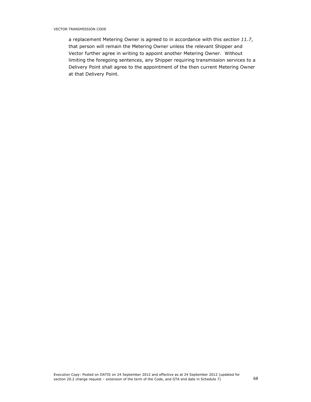a replacement Metering Owner is agreed to in accordance with this section 11.7, that person will remain the Metering Owner unless the relevant Shipper and Vector further agree in writing to appoint another Metering Owner. Without limiting the foregoing sentences, any Shipper requiring transmission services to a Delivery Point shall agree to the appointment of the then current Metering Owner at that Delivery Point.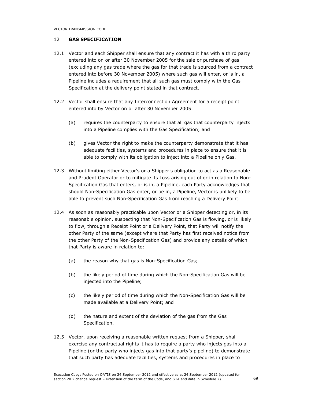# 12 GAS SPECIFICATION

- 12.1 Vector and each Shipper shall ensure that any contract it has with a third party entered into on or after 30 November 2005 for the sale or purchase of gas (excluding any gas trade where the gas for that trade is sourced from a contract entered into before 30 November 2005) where such gas will enter, or is in, a Pipeline includes a requirement that all such gas must comply with the Gas Specification at the delivery point stated in that contract.
- 12.2 Vector shall ensure that any Interconnection Agreement for a receipt point entered into by Vector on or after 30 November 2005:
	- (a) requires the counterparty to ensure that all gas that counterparty injects into a Pipeline complies with the Gas Specification; and
	- (b) gives Vector the right to make the counterparty demonstrate that it has adequate facilities, systems and procedures in place to ensure that it is able to comply with its obligation to inject into a Pipeline only Gas.
- 12.3 Without limiting either Vector's or a Shipper's obligation to act as a Reasonable and Prudent Operator or to mitigate its Loss arising out of or in relation to Non-Specification Gas that enters, or is in, a Pipeline, each Party acknowledges that should Non-Specification Gas enter, or be in, a Pipeline, Vector is unlikely to be able to prevent such Non-Specification Gas from reaching a Delivery Point.
- 12.4 As soon as reasonably practicable upon Vector or a Shipper detecting or, in its reasonable opinion, suspecting that Non-Specification Gas is flowing, or is likely to flow, through a Receipt Point or a Delivery Point, that Party will notify the other Party of the same (except where that Party has first received notice from the other Party of the Non-Specification Gas) and provide any details of which that Party is aware in relation to:
	- (a) the reason why that gas is Non-Specification Gas;
	- (b) the likely period of time during which the Non-Specification Gas will be injected into the Pipeline;
	- (c) the likely period of time during which the Non-Specification Gas will be made available at a Delivery Point; and
	- (d) the nature and extent of the deviation of the gas from the Gas Specification.
- 12.5 Vector, upon receiving a reasonable written request from a Shipper, shall exercise any contractual rights it has to require a party who injects gas into a Pipeline (or the party who injects gas into that party's pipeline) to demonstrate that such party has adequate facilities, systems and procedures in place to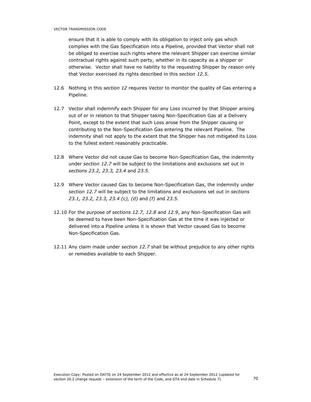ensure that it is able to comply with its obligation to inject only gas which complies with the Gas Specification into a Pipeline, provided that Vector shall not be obliged to exercise such rights where the relevant Shipper can exercise similar contractual rights against such party, whether in its capacity as a shipper or otherwise. Vector shall have no liability to the requesting Shipper by reason only that Vector exercised its rights described in this section 12.5.

- 12.6 Nothing in this *section 12* requires Vector to monitor the quality of Gas entering a Pipeline.
- 12.7 Vector shall indemnify each Shipper for any Loss incurred by that Shipper arising out of or in relation to that Shipper taking Non-Specification Gas at a Delivery Point, except to the extent that such Loss arose from the Shipper causing or contributing to the Non-Specification Gas entering the relevant Pipeline. The indemnity shall not apply to the extent that the Shipper has not mitigated its Loss to the fullest extent reasonably practicable.
- 12.8 Where Vector did not cause Gas to become Non-Specification Gas, the indemnity under section 12.7 will be subject to the limitations and exclusions set out in sections 23.2, 23.3, 23.4 and 23.5.
- 12.9 Where Vector caused Gas to become Non-Specification Gas, the indemnity under section 12.7 will be subject to the limitations and exclusions set out in sections 23.1, 23.2, 23.3, 23.4 (c), (d) and (f) and 23.5.
- 12.10 For the purpose of sections 12.7, 12.8 and 12.9, any Non-Specification Gas will be deemed to have been Non-Specification Gas at the time it was injected or delivered into a Pipeline unless it is shown that Vector caused Gas to become Non-Specification Gas.
- 12.11 Any claim made under section 12.7 shall be without prejudice to any other rights or remedies available to each Shipper.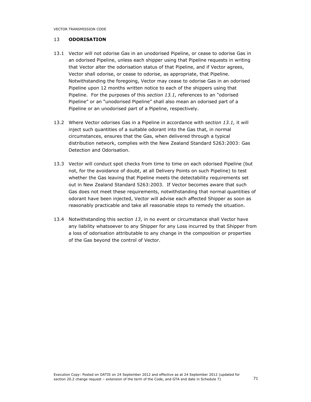VECTOR TRANSMISSION CODE

## 13 ODORISATION

- 13.1 Vector will not odorise Gas in an unodorised Pipeline, or cease to odorise Gas in an odorised Pipeline, unless each shipper using that Pipeline requests in writing that Vector alter the odorisation status of that Pipeline, and if Vector agrees, Vector shall odorise, or cease to odorise, as appropriate, that Pipeline. Notwithstanding the foregoing, Vector may cease to odorise Gas in an odorised Pipeline upon 12 months written notice to each of the shippers using that Pipeline. For the purposes of this section 13.1, references to an "odorised Pipeline" or an "unodorised Pipeline" shall also mean an odorised part of a Pipeline or an unodorised part of a Pipeline, respectively.
- 13.2 Where Vector odorises Gas in a Pipeline in accordance with section 13.1, it will inject such quantities of a suitable odorant into the Gas that, in normal circumstances, ensures that the Gas, when delivered through a typical distribution network, complies with the New Zealand Standard 5263:2003: Gas Detection and Odorisation.
- 13.3 Vector will conduct spot checks from time to time on each odorised Pipeline (but not, for the avoidance of doubt, at all Delivery Points on such Pipeline) to test whether the Gas leaving that Pipeline meets the detectability requirements set out in New Zealand Standard 5263:2003. If Vector becomes aware that such Gas does not meet these requirements, notwithstanding that normal quantities of odorant have been injected, Vector will advise each affected Shipper as soon as reasonably practicable and take all reasonable steps to remedy the situation.
- 13.4 Notwithstanding this section 13, in no event or circumstance shall Vector have any liability whatsoever to any Shipper for any Loss incurred by that Shipper from a loss of odorisation attributable to any change in the composition or properties of the Gas beyond the control of Vector.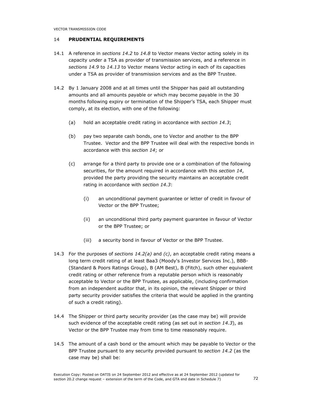## 14 PRUDENTIAL REQUIREMENTS

- 14.1 A reference in sections 14.2 to 14.8 to Vector means Vector acting solely in its capacity under a TSA as provider of transmission services, and a reference in sections 14.9 to 14.13 to Vector means Vector acting in each of its capacities under a TSA as provider of transmission services and as the BPP Trustee.
- 14.2 By 1 January 2008 and at all times until the Shipper has paid all outstanding amounts and all amounts payable or which may become payable in the 30 months following expiry or termination of the Shipper's TSA, each Shipper must comply, at its election, with one of the following:
	- (a) hold an acceptable credit rating in accordance with section 14.3;
	- (b) pay two separate cash bonds, one to Vector and another to the BPP Trustee. Vector and the BPP Trustee will deal with the respective bonds in accordance with this section 14; or
	- (c) arrange for a third party to provide one or a combination of the following securities, for the amount required in accordance with this section 14, provided the party providing the security maintains an acceptable credit rating in accordance with section 14.3:
		- (i) an unconditional payment guarantee or letter of credit in favour of Vector or the BPP Trustee;
		- (ii) an unconditional third party payment guarantee in favour of Vector or the BPP Trustee; or
		- (iii) a security bond in favour of Vector or the BPP Trustee.
- 14.3 For the purposes of sections  $14.2(a)$  and  $(c)$ , an acceptable credit rating means a long term credit rating of at least Baa3 (Moody's Investor Services Inc.), BBB- (Standard & Poors Ratings Group), B (AM Best), B (Fitch), such other equivalent credit rating or other reference from a reputable person which is reasonably acceptable to Vector or the BPP Trustee, as applicable, (including confirmation from an independent auditor that, in its opinion, the relevant Shipper or third party security provider satisfies the criteria that would be applied in the granting of such a credit rating).
- 14.4 The Shipper or third party security provider (as the case may be) will provide such evidence of the acceptable credit rating (as set out in section 14.3), as Vector or the BPP Trustee may from time to time reasonably require.
- 14.5 The amount of a cash bond or the amount which may be payable to Vector or the BPP Trustee pursuant to any security provided pursuant to section 14.2 (as the case may be) shall be: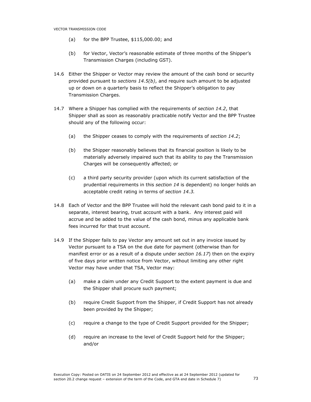- (a) for the BPP Trustee, \$115,000.00; and
- (b) for Vector, Vector's reasonable estimate of three months of the Shipper's Transmission Charges (including GST).
- 14.6 Either the Shipper or Vector may review the amount of the cash bond or security provided pursuant to sections  $14.5(b)$ , and require such amount to be adjusted up or down on a quarterly basis to reflect the Shipper's obligation to pay Transmission Charges.
- 14.7 Where a Shipper has complied with the requirements of section 14.2, that Shipper shall as soon as reasonably practicable notify Vector and the BPP Trustee should any of the following occur:
	- (a) the Shipper ceases to comply with the requirements of section 14.2;
	- (b) the Shipper reasonably believes that its financial position is likely to be materially adversely impaired such that its ability to pay the Transmission Charges will be consequently affected; or
	- (c) a third party security provider (upon which its current satisfaction of the prudential requirements in this section 14 is dependent) no longer holds an acceptable credit rating in terms of section 14.3.
- 14.8 Each of Vector and the BPP Trustee will hold the relevant cash bond paid to it in a separate, interest bearing, trust account with a bank. Any interest paid will accrue and be added to the value of the cash bond, minus any applicable bank fees incurred for that trust account.
- 14.9 If the Shipper fails to pay Vector any amount set out in any invoice issued by Vector pursuant to a TSA on the due date for payment (otherwise than for manifest error or as a result of a dispute under section 16.17) then on the expiry of five days prior written notice from Vector, without limiting any other right Vector may have under that TSA, Vector may:
	- (a) make a claim under any Credit Support to the extent payment is due and the Shipper shall procure such payment;
	- (b) require Credit Support from the Shipper, if Credit Support has not already been provided by the Shipper;
	- (c) require a change to the type of Credit Support provided for the Shipper;
	- (d) require an increase to the level of Credit Support held for the Shipper; and/or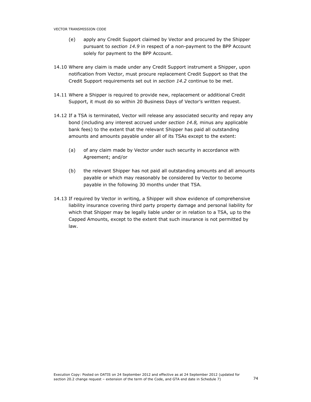- (e) apply any Credit Support claimed by Vector and procured by the Shipper pursuant to section 14.9 in respect of a non-payment to the BPP Account solely for payment to the BPP Account.
- 14.10 Where any claim is made under any Credit Support instrument a Shipper, upon notification from Vector, must procure replacement Credit Support so that the Credit Support requirements set out in section 14.2 continue to be met.
- 14.11 Where a Shipper is required to provide new, replacement or additional Credit Support, it must do so within 20 Business Days of Vector's written request.
- 14.12 If a TSA is terminated, Vector will release any associated security and repay any bond (including any interest accrued under section 14.8, minus any applicable bank fees) to the extent that the relevant Shipper has paid all outstanding amounts and amounts payable under all of its TSAs except to the extent:
	- (a) of any claim made by Vector under such security in accordance with Agreement; and/or
	- (b) the relevant Shipper has not paid all outstanding amounts and all amounts payable or which may reasonably be considered by Vector to become payable in the following 30 months under that TSA.
- 14.13 If required by Vector in writing, a Shipper will show evidence of comprehensive liability insurance covering third party property damage and personal liability for which that Shipper may be legally liable under or in relation to a TSA, up to the Capped Amounts, except to the extent that such insurance is not permitted by law.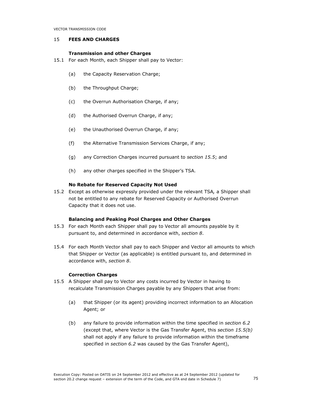VECTOR TRANSMISSION CODE

## 15 FEES AND CHARGES

## Transmission and other Charges

- 15.1 For each Month, each Shipper shall pay to Vector:
	- (a) the Capacity Reservation Charge;
	- (b) the Throughput Charge;
	- (c) the Overrun Authorisation Charge, if any;
	- (d) the Authorised Overrun Charge, if any;
	- (e) the Unauthorised Overrun Charge, if any;
	- (f) the Alternative Transmission Services Charge, if any;
	- (g) any Correction Charges incurred pursuant to section 15.5; and
	- (h) any other charges specified in the Shipper's TSA.

# No Rebate for Reserved Capacity Not Used

15.2 Except as otherwise expressly provided under the relevant TSA, a Shipper shall not be entitled to any rebate for Reserved Capacity or Authorised Overrun Capacity that it does not use.

# Balancing and Peaking Pool Charges and Other Charges

- 15.3 For each Month each Shipper shall pay to Vector all amounts payable by it pursuant to, and determined in accordance with, section 8.
- 15.4 For each Month Vector shall pay to each Shipper and Vector all amounts to which that Shipper or Vector (as applicable) is entitled pursuant to, and determined in accordance with, section 8.

# Correction Charges

- 15.5 A Shipper shall pay to Vector any costs incurred by Vector in having to recalculate Transmission Charges payable by any Shippers that arise from:
	- (a) that Shipper (or its agent) providing incorrect information to an Allocation Agent; or
	- (b) any failure to provide information within the time specified in section 6.2 (except that, where Vector is the Gas Transfer Agent, this section 15.5(b) shall not apply if any failure to provide information within the timeframe specified in section 6.2 was caused by the Gas Transfer Agent),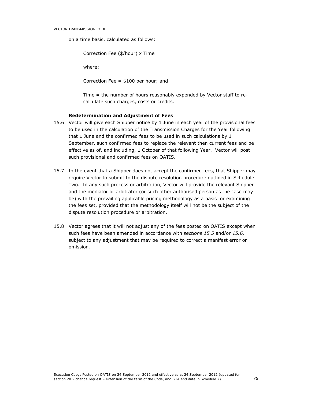on a time basis, calculated as follows:

Correction Fee (\$/hour) x Time

where:

Correction Fee = \$100 per hour; and

Time = the number of hours reasonably expended by Vector staff to recalculate such charges, costs or credits.

### Redetermination and Adjustment of Fees

- 15.6 Vector will give each Shipper notice by 1 June in each year of the provisional fees to be used in the calculation of the Transmission Charges for the Year following that 1 June and the confirmed fees to be used in such calculations by 1 September, such confirmed fees to replace the relevant then current fees and be effective as of, and including, 1 October of that following Year. Vector will post such provisional and confirmed fees on OATIS.
- 15.7 In the event that a Shipper does not accept the confirmed fees, that Shipper may require Vector to submit to the dispute resolution procedure outlined in Schedule Two. In any such process or arbitration, Vector will provide the relevant Shipper and the mediator or arbitrator (or such other authorised person as the case may be) with the prevailing applicable pricing methodology as a basis for examining the fees set, provided that the methodology itself will not be the subject of the dispute resolution procedure or arbitration.
- 15.8 Vector agrees that it will not adjust any of the fees posted on OATIS except when such fees have been amended in accordance with sections 15.5 and/or 15.6, subject to any adjustment that may be required to correct a manifest error or omission.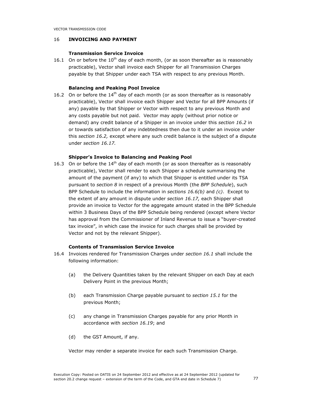# 16 INVOICING AND PAYMENT

# Transmission Service Invoice

16.1 On or before the  $10<sup>th</sup>$  day of each month, (or as soon thereafter as is reasonably practicable), Vector shall invoice each Shipper for all Transmission Charges payable by that Shipper under each TSA with respect to any previous Month.

# Balancing and Peaking Pool Invoice

16.2 On or before the  $14<sup>th</sup>$  day of each month (or as soon thereafter as is reasonably practicable), Vector shall invoice each Shipper and Vector for all BPP Amounts (if any) payable by that Shipper or Vector with respect to any previous Month and any costs payable but not paid. Vector may apply (without prior notice or demand) any credit balance of a Shipper in an invoice under this section 16.2 in or towards satisfaction of any indebtedness then due to it under an invoice under this section 16.2, except where any such credit balance is the subject of a dispute under section 16.17.

## Shipper's Invoice to Balancing and Peaking Pool

16.3 On or before the  $14<sup>th</sup>$  day of each month (or as soon thereafter as is reasonably practicable), Vector shall render to each Shipper a schedule summarising the amount of the payment (if any) to which that Shipper is entitled under its TSA pursuant to section 8 in respect of a previous Month (the BPP Schedule), such BPP Schedule to include the information in sections  $16.6(b)$  and  $(c)$ . Except to the extent of any amount in dispute under section 16.17, each Shipper shall provide an invoice to Vector for the aggregate amount stated in the BPP Schedule within 3 Business Days of the BPP Schedule being rendered (except where Vector has approval from the Commissioner of Inland Revenue to issue a "buyer-created tax invoice", in which case the invoice for such charges shall be provided by Vector and not by the relevant Shipper).

# Contents of Transmission Service Invoice

- 16.4 Invoices rendered for Transmission Charges under section 16.1 shall include the following information:
	- (a) the Delivery Quantities taken by the relevant Shipper on each Day at each Delivery Point in the previous Month;
	- (b) each Transmission Charge payable pursuant to section 15.1 for the previous Month;
	- (c) any change in Transmission Charges payable for any prior Month in accordance with section 16.19; and
	- (d) the GST Amount, if any.

Vector may render a separate invoice for each such Transmission Charge.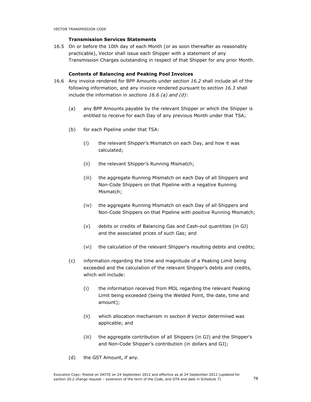# Transmission Services Statements

16.5 On or before the 10th day of each Month (or as soon thereafter as reasonably practicable), Vector shall issue each Shipper with a statement of any Transmission Charges outstanding in respect of that Shipper for any prior Month.

## Contents of Balancing and Peaking Pool Invoices

- 16.6 Any invoice rendered for BPP Amounts under section 16.2 shall include all of the following information, and any invoice rendered pursuant to section 16.3 shall include the information in sections 16.6 (a) and  $(d)$ :
	- (a) any BPP Amounts payable by the relevant Shipper or which the Shipper is entitled to receive for each Day of any previous Month under that TSA;
	- (b) for each Pipeline under that TSA:
		- (i) the relevant Shipper's Mismatch on each Day, and how it was calculated;
		- (ii) the relevant Shipper's Running Mismatch;
		- (iii) the aggregate Running Mismatch on each Day of all Shippers and Non-Code Shippers on that Pipeline with a negative Running Mismatch;
		- (iv) the aggregate Running Mismatch on each Day of all Shippers and Non-Code Shippers on that Pipeline with positive Running Mismatch;
		- (v) debits or credits of Balancing Gas and Cash-out quantities (in GJ) and the associated prices of such Gas; and
		- (vi) the calculation of the relevant Shipper's resulting debits and credits;
	- (c) information regarding the time and magnitude of a Peaking Limit being exceeded and the calculation of the relevant Shipper's debits and credits, which will include:
		- (i) the information received from MDL regarding the relevant Peaking Limit being exceeded (being the Welded Point, the date, time and amount);
		- (ii) which allocation mechanism in section 8 Vector determined was applicable; and
		- (iii) the aggregate contribution of all Shippers (in GJ) and the Shipper's and Non-Code Shipper's contribution (in dollars and GJ);
	- (d) the GST Amount, if any.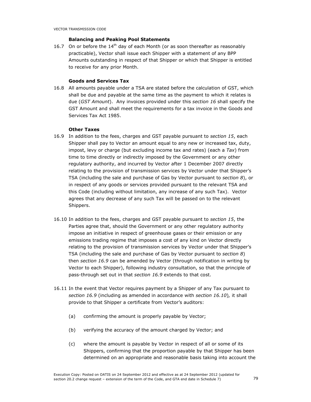## Balancing and Peaking Pool Statements

16.7 On or before the  $14<sup>th</sup>$  day of each Month (or as soon thereafter as reasonably practicable), Vector shall issue each Shipper with a statement of any BPP Amounts outstanding in respect of that Shipper or which that Shipper is entitled to receive for any prior Month.

# Goods and Services Tax

16.8 All amounts payable under a TSA are stated before the calculation of GST, which shall be due and payable at the same time as the payment to which it relates is due (GST Amount). Any invoices provided under this section 16 shall specify the GST Amount and shall meet the requirements for a tax invoice in the Goods and Services Tax Act 1985.

## Other Taxes

- 16.9 In addition to the fees, charges and GST payable pursuant to section 15, each Shipper shall pay to Vector an amount equal to any new or increased tax, duty, impost, levy or charge (but excluding income tax and rates) (each a  $Tax$ ) from time to time directly or indirectly imposed by the Government or any other regulatory authority, and incurred by Vector after 1 December 2007 directly relating to the provision of transmission services by Vector under that Shipper's TSA (including the sale and purchase of Gas by Vector pursuant to section 8), or in respect of any goods or services provided pursuant to the relevant TSA and this Code (including without limitation, any increase of any such Tax). Vector agrees that any decrease of any such Tax will be passed on to the relevant Shippers.
- 16.10 In addition to the fees, charges and GST payable pursuant to section 15, the Parties agree that, should the Government or any other regulatory authority impose an initiative in respect of greenhouse gases or their emission or any emissions trading regime that imposes a cost of any kind on Vector directly relating to the provision of transmission services by Vector under that Shipper's TSA (including the sale and purchase of Gas by Vector pursuant to section 8) then section 16.9 can be amended by Vector (through notification in writing by Vector to each Shipper), following industry consultation, so that the principle of pass-through set out in that section 16.9 extends to that cost.
- 16.11 In the event that Vector requires payment by a Shipper of any Tax pursuant to section 16.9 (including as amended in accordance with section 16.10), it shall provide to that Shipper a certificate from Vector's auditors:
	- (a) confirming the amount is properly payable by Vector;
	- (b) verifying the accuracy of the amount charged by Vector; and
	- (c) where the amount is payable by Vector in respect of all or some of its Shippers, confirming that the proportion payable by that Shipper has been determined on an appropriate and reasonable basis taking into account the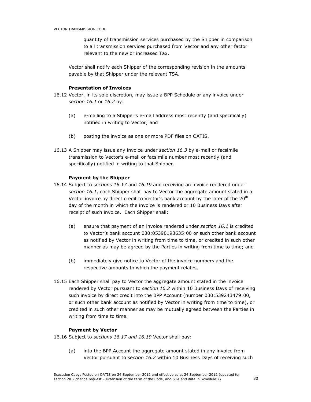quantity of transmission services purchased by the Shipper in comparison to all transmission services purchased from Vector and any other factor relevant to the new or increased Tax.

Vector shall notify each Shipper of the corresponding revision in the amounts payable by that Shipper under the relevant TSA.

# Presentation of Invoices

- 16.12 Vector, in its sole discretion, may issue a BPP Schedule or any invoice under section 16.1 or 16.2 by:
	- (a) e-mailing to a Shipper's e-mail address most recently (and specifically) notified in writing to Vector; and
	- (b) posting the invoice as one or more PDF files on OATIS.
- 16.13 A Shipper may issue any invoice under section 16.3 by e-mail or facsimile transmission to Vector's e-mail or facsimile number most recently (and specifically) notified in writing to that Shipper.

## Payment by the Shipper

- 16.14 Subject to sections 16.17 and 16.19 and receiving an invoice rendered under section 16.1, each Shipper shall pay to Vector the aggregate amount stated in a Vector invoice by direct credit to Vector's bank account by the later of the 20<sup>th</sup> day of the month in which the invoice is rendered or 10 Business Days after receipt of such invoice. Each Shipper shall:
	- (a) ensure that payment of an invoice rendered under section 16.1 is credited to Vector's bank account 030:05390193635:00 or such other bank account as notified by Vector in writing from time to time, or credited in such other manner as may be agreed by the Parties in writing from time to time; and
	- (b) immediately give notice to Vector of the invoice numbers and the respective amounts to which the payment relates.
- 16.15 Each Shipper shall pay to Vector the aggregate amount stated in the invoice rendered by Vector pursuant to section 16.2 within 10 Business Days of receiving such invoice by direct credit into the BPP Account (number 030:539243479:00, or such other bank account as notified by Vector in writing from time to time), or credited in such other manner as may be mutually agreed between the Parties in writing from time to time.

## Payment by Vector

16.16 Subject to sections 16.17 and 16.19 Vector shall pay:

(a) into the BPP Account the aggregate amount stated in any invoice from Vector pursuant to section 16.2 within 10 Business Days of receiving such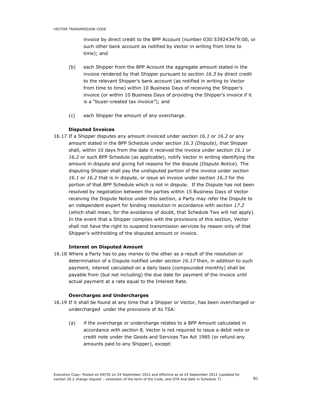invoice by direct credit to the BPP Account (number 030:539243479:00, or such other bank account as notified by Vector in writing from time to time); and

- (b) each Shipper from the BPP Account the aggregate amount stated in the invoice rendered by that Shipper pursuant to section 16.3 by direct credit to the relevant Shipper's bank account (as notified in writing to Vector from time to time) within 10 Business Days of receiving the Shipper's invoice (or within 10 Business Days of providing the Shipper's invoice if it is a "buyer-created tax invoice"); and
- (c) each Shipper the amount of any overcharge.

# Disputed Invoices

16.17 If a Shipper disputes any amount invoiced under section 16.1 or 16.2 or any amount stated in the BPP Schedule under section 16.3 (Dispute), that Shipper shall, within 10 days from the date it received the invoice under section 16.1 or 16.2 or such BPP Schedule (as applicable), notify Vector in writing identifying the amount in dispute and giving full reasons for the dispute (Dispute Notice). The disputing Shipper shall pay the undisputed portion of the invoice under section 16.1 or 16.2 that is in dispute, or issue an invoice under section 16.3 for the portion of that BPP Schedule which is not in dispute. If the Dispute has not been resolved by negotiation between the parties within 15 Business Days of Vector receiving the Dispute Notice under this section, a Party may refer the Dispute to an independent expert for binding resolution in accordance with section 17.2 (which shall mean, for the avoidance of doubt, that Schedule Two will not apply). In the event that a Shipper complies with the provisions of this section, Vector shall not have the right to suspend transmission services by reason only of that Shipper's withholding of the disputed amount or invoice.

# Interest on Disputed Amount

16.18 Where a Party has to pay money to the other as a result of the resolution or determination of a Dispute notified under section 16.17 then, in addition to such payment, interest calculated on a daily basis (compounded monthly) shall be payable from (but not including) the due date for payment of the invoice until actual payment at a rate equal to the Interest Rate.

# Overcharges and Undercharges

- 16.19 If it shall be found at any time that a Shipper or Vector, has been overcharged or undercharged under the provisions of its TSA:
	- (a) if the overcharge or undercharge relates to a BPP Amount calculated in accordance with section  $8$ , Vector is not required to issue a debit note or credit note under the Goods and Services Tax Act 1985 (or refund any amounts paid to any Shipper), except: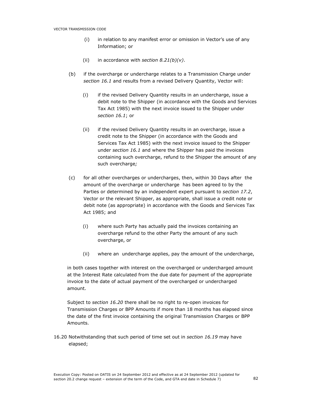- (i) in relation to any manifest error or omission in Vector's use of any Information; or
- (ii) in accordance with section  $8.21(b)(v)$ .
- (b) if the overcharge or undercharge relates to a Transmission Charge under section 16.1 and results from a revised Delivery Quantity, Vector will:
	- (i) if the revised Delivery Quantity results in an undercharge, issue a debit note to the Shipper (in accordance with the Goods and Services Tax Act 1985) with the next invoice issued to the Shipper under section 16.1; or
	- (ii) if the revised Delivery Quantity results in an overcharge, issue a credit note to the Shipper (in accordance with the Goods and Services Tax Act 1985) with the next invoice issued to the Shipper under section 16.1 and where the Shipper has paid the invoices containing such overcharge, refund to the Shipper the amount of any such overcharge;
- (c) for all other overcharges or undercharges, then, within 30 Days after the amount of the overcharge or undercharge has been agreed to by the Parties or determined by an independent expert pursuant to section 17.2, Vector or the relevant Shipper, as appropriate, shall issue a credit note or debit note (as appropriate) in accordance with the Goods and Services Tax Act 1985; and
	- (i) where such Party has actually paid the invoices containing an overcharge refund to the other Party the amount of any such overcharge, or
	- (ii) where an undercharge applies, pay the amount of the undercharge,

in both cases together with interest on the overcharged or undercharged amount at the Interest Rate calculated from the due date for payment of the appropriate invoice to the date of actual payment of the overcharged or undercharged amount.

Subject to section 16.20 there shall be no right to re-open invoices for Transmission Charges or BPP Amounts if more than 18 months has elapsed since the date of the first invoice containing the original Transmission Charges or BPP Amounts.

16.20 Notwithstanding that such period of time set out in section 16.19 may have elapsed;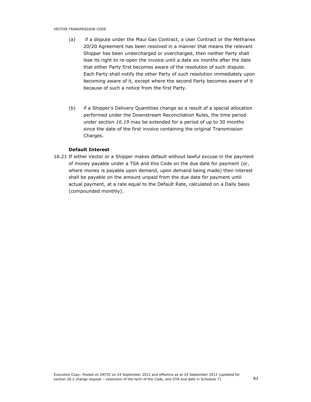- (a) if a dispute under the Maui Gas Contract, a User Contract or the Methanex 20/20 Agreement has been resolved in a manner that means the relevant Shipper has been undercharged or overcharged, then neither Party shall lose its right to re-open the invoice until a date six months after the date that either Party first becomes aware of the resolution of such dispute. Each Party shall notify the other Party of such resolution immediately upon becoming aware of it, except where the second Party becomes aware of it because of such a notice from the first Party.
- (b) if a Shipper's Delivery Quantities change as a result of a special allocation performed under the Downstream Reconciliation Rules, the time period under section 16.19 may be extended for a period of up to 30 months since the date of the first invoice containing the original Transmission Charges.

## Default Interest

16.21 If either Vector or a Shipper makes default without lawful excuse in the payment of money payable under a TSA and this Code on the due date for payment (or, where money is payable upon demand, upon demand being made) then interest shall be payable on the amount unpaid from the due date for payment until actual payment, at a rate equal to the Default Rate, calculated on a Daily basis (compounded monthly).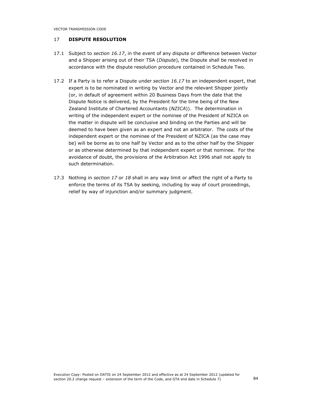VECTOR TRANSMISSION CODE

# 17 DISPUTE RESOLUTION

- 17.1 Subject to section 16.17, in the event of any dispute or difference between Vector and a Shipper arising out of their TSA (Dispute), the Dispute shall be resolved in accordance with the dispute resolution procedure contained in Schedule Two.
- 17.2 If a Party is to refer a Dispute under section 16.17 to an independent expert, that expert is to be nominated in writing by Vector and the relevant Shipper jointly (or, in default of agreement within 20 Business Days from the date that the Dispute Notice is delivered, by the President for the time being of the New Zealand Institute of Chartered Accountants (NZICA)). The determination in writing of the independent expert or the nominee of the President of NZICA on the matter in dispute will be conclusive and binding on the Parties and will be deemed to have been given as an expert and not an arbitrator. The costs of the independent expert or the nominee of the President of NZICA (as the case may be) will be borne as to one half by Vector and as to the other half by the Shipper or as otherwise determined by that independent expert or that nominee. For the avoidance of doubt, the provisions of the Arbitration Act 1996 shall not apply to such determination.
- 17.3 Nothing in section 17 or 18 shall in any way limit or affect the right of a Party to enforce the terms of its TSA by seeking, including by way of court proceedings, relief by way of injunction and/or summary judgment.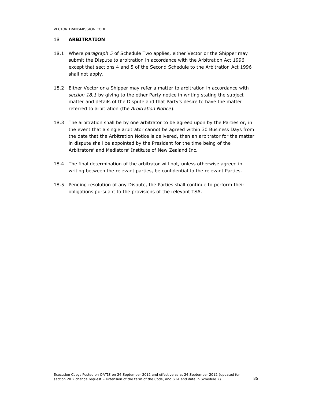## 18 ARBITRATION

- 18.1 Where paragraph 5 of Schedule Two applies, either Vector or the Shipper may submit the Dispute to arbitration in accordance with the Arbitration Act 1996 except that sections 4 and 5 of the Second Schedule to the Arbitration Act 1996 shall not apply.
- 18.2 Either Vector or a Shipper may refer a matter to arbitration in accordance with section 18.1 by giving to the other Party notice in writing stating the subject matter and details of the Dispute and that Party's desire to have the matter referred to arbitration (the Arbitration Notice).
- 18.3 The arbitration shall be by one arbitrator to be agreed upon by the Parties or, in the event that a single arbitrator cannot be agreed within 30 Business Days from the date that the Arbitration Notice is delivered, then an arbitrator for the matter in dispute shall be appointed by the President for the time being of the Arbitrators' and Mediators' Institute of New Zealand Inc.
- 18.4 The final determination of the arbitrator will not, unless otherwise agreed in writing between the relevant parties, be confidential to the relevant Parties.
- 18.5 Pending resolution of any Dispute, the Parties shall continue to perform their obligations pursuant to the provisions of the relevant TSA.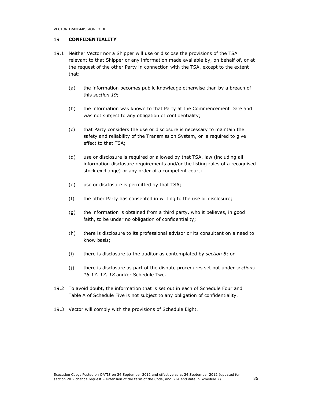## 19 CONFIDENTIALITY

- 19.1 Neither Vector nor a Shipper will use or disclose the provisions of the TSA relevant to that Shipper or any information made available by, on behalf of, or at the request of the other Party in connection with the TSA, except to the extent that:
	- (a) the information becomes public knowledge otherwise than by a breach of this section 19;
	- (b) the information was known to that Party at the Commencement Date and was not subject to any obligation of confidentiality;
	- (c) that Party considers the use or disclosure is necessary to maintain the safety and reliability of the Transmission System, or is required to give effect to that TSA;
	- (d) use or disclosure is required or allowed by that TSA, law (including all information disclosure requirements and/or the listing rules of a recognised stock exchange) or any order of a competent court;
	- (e) use or disclosure is permitted by that TSA;
	- (f) the other Party has consented in writing to the use or disclosure;
	- (g) the information is obtained from a third party, who it believes, in good faith, to be under no obligation of confidentiality;
	- (h) there is disclosure to its professional advisor or its consultant on a need to know basis;
	- (i) there is disclosure to the auditor as contemplated by section  $8$ ; or
	- (i) there is disclosure as part of the dispute procedures set out under sections 16.17, 17, 18 and/or Schedule Two.
- 19.2 To avoid doubt, the information that is set out in each of Schedule Four and Table A of Schedule Five is not subject to any obligation of confidentiality.
- 19.3 Vector will comply with the provisions of Schedule Eight.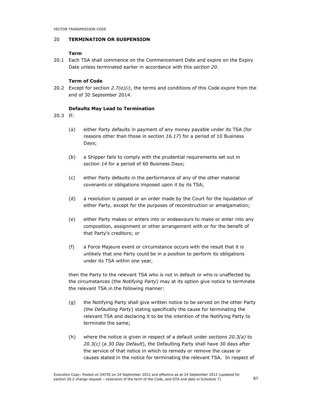## 20 TERMINATION OR SUSPENSION

# Term

20.1 Each TSA shall commence on the Commencement Date and expire on the Expiry Date unless terminated earlier in accordance with this section 20.

## Term of Code

20.2 Except for section  $2.7(e)(i)$ , the terms and conditions of this Code expire from the end of 30 September 2014.

## Defaults May Lead to Termination

20.3 If:

- (a) either Party defaults in payment of any money payable under its TSA (for reasons other than those in section 16.17) for a period of 10 Business Days;
- (b) a Shipper fails to comply with the prudential requirements set out in section 14 for a period of 60 Business Days;
- (c) either Party defaults in the performance of any of the other material covenants or obligations imposed upon it by its TSA;
- (d) a resolution is passed or an order made by the Court for the liquidation of either Party, except for the purposes of reconstruction or amalgamation;
- (e) either Party makes or enters into or endeavours to make or enter into any composition, assignment or other arrangement with or for the benefit of that Party's creditors; or
- (f) a Force Majeure event or circumstance occurs with the result that it is unlikely that one Party could be in a position to perform its obligations under its TSA within one year,

then the Party to the relevant TSA who is not in default or who is unaffected by the circumstances (the Notifying Party) may at its option give notice to terminate the relevant TSA in the following manner:

- (g) the Notifying Party shall give written notice to be served on the other Party (the Defaulting Party) stating specifically the cause for terminating the relevant TSA and declaring it to be the intention of the Notifying Party to terminate the same;
- (h) where the notice is given in respect of a default under sections  $20.3(a)$  to  $20.3(c)$  (a 30 Day Default), the Defaulting Party shall have 30 days after the service of that notice in which to remedy or remove the cause or causes stated in the notice for terminating the relevant TSA. In respect of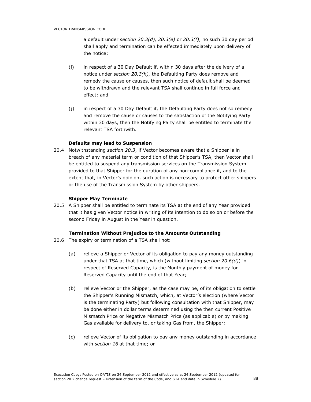a default under section 20.3(d), 20.3(e) or 20.3(f), no such 30 day period shall apply and termination can be effected immediately upon delivery of the notice;

- (i) in respect of a 30 Day Default if, within 30 days after the delivery of a notice under section 20.3(h), the Defaulting Party does remove and remedy the cause or causes, then such notice of default shall be deemed to be withdrawn and the relevant TSA shall continue in full force and effect; and
- (j) in respect of a 30 Day Default if, the Defaulting Party does not so remedy and remove the cause or causes to the satisfaction of the Notifying Party within 30 days, then the Notifying Party shall be entitled to terminate the relevant TSA forthwith.

## Defaults may lead to Suspension

20.4 Notwithstanding section 20.3, if Vector becomes aware that a Shipper is in breach of any material term or condition of that Shipper's TSA, then Vector shall be entitled to suspend any transmission services on the Transmission System provided to that Shipper for the duration of any non-compliance if, and to the extent that, in Vector's opinion, such action is necessary to protect other shippers or the use of the Transmission System by other shippers.

## Shipper May Terminate

20.5 A Shipper shall be entitled to terminate its TSA at the end of any Year provided that it has given Vector notice in writing of its intention to do so on or before the second Friday in August in the Year in question.

# Termination Without Prejudice to the Amounts Outstanding

- 20.6 The expiry or termination of a TSA shall not:
	- (a) relieve a Shipper or Vector of its obligation to pay any money outstanding under that TSA at that time, which (without limiting section  $20.6(d)$ ) in respect of Reserved Capacity, is the Monthly payment of money for Reserved Capacity until the end of that Year;
	- (b) relieve Vector or the Shipper, as the case may be, of its obligation to settle the Shipper's Running Mismatch, which, at Vector's election (where Vector is the terminating Party) but following consultation with that Shipper, may be done either in dollar terms determined using the then current Positive Mismatch Price or Negative Mismatch Price (as applicable) or by making Gas available for delivery to, or taking Gas from, the Shipper;
	- (c) relieve Vector of its obligation to pay any money outstanding in accordance with section 16 at that time; or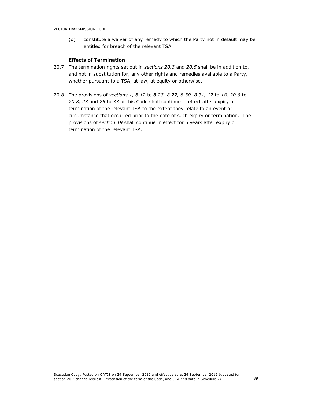(d) constitute a waiver of any remedy to which the Party not in default may be entitled for breach of the relevant TSA.

## Effects of Termination

- 20.7 The termination rights set out in sections 20.3 and 20.5 shall be in addition to, and not in substitution for, any other rights and remedies available to a Party, whether pursuant to a TSA, at law, at equity or otherwise.
- 20.8 The provisions of sections 1, 8.12 to 8.23, 8.27, 8.30, 8.31, 17 to 18, 20.6 to 20.8, 23 and 25 to 33 of this Code shall continue in effect after expiry or termination of the relevant TSA to the extent they relate to an event or circumstance that occurred prior to the date of such expiry or termination. The provisions of section 19 shall continue in effect for 5 years after expiry or termination of the relevant TSA.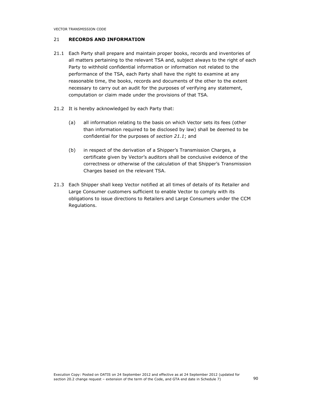VECTOR TRANSMISSION CODE

# 21 RECORDS AND INFORMATION

- 21.1 Each Party shall prepare and maintain proper books, records and inventories of all matters pertaining to the relevant TSA and, subject always to the right of each Party to withhold confidential information or information not related to the performance of the TSA, each Party shall have the right to examine at any reasonable time, the books, records and documents of the other to the extent necessary to carry out an audit for the purposes of verifying any statement, computation or claim made under the provisions of that TSA.
- 21.2 It is hereby acknowledged by each Party that:
	- (a) all information relating to the basis on which Vector sets its fees (other than information required to be disclosed by law) shall be deemed to be confidential for the purposes of section 21.1; and
	- (b) in respect of the derivation of a Shipper's Transmission Charges, a certificate given by Vector's auditors shall be conclusive evidence of the correctness or otherwise of the calculation of that Shipper's Transmission Charges based on the relevant TSA.
- 21.3 Each Shipper shall keep Vector notified at all times of details of its Retailer and Large Consumer customers sufficient to enable Vector to comply with its obligations to issue directions to Retailers and Large Consumers under the CCM Regulations.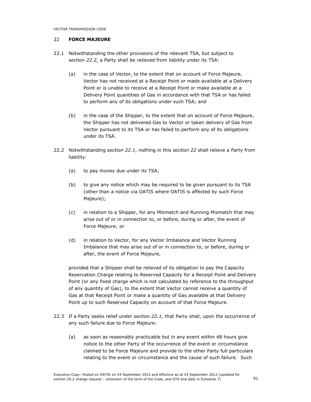## 22 FORCE MAJEURE

- 22.1 Notwithstanding the other provisions of the relevant TSA, but subject to section 22.2, a Party shall be relieved from liability under its TSA:
	- (a) in the case of Vector, to the extent that on account of Force Majeure, Vector has not received at a Receipt Point or made available at a Delivery Point or is unable to receive at a Receipt Point or make available at a Delivery Point quantities of Gas in accordance with that TSA or has failed to perform any of its obligations under such TSA; and
	- (b) in the case of the Shipper, to the extent that on account of Force Majeure, the Shipper has not delivered Gas to Vector or taken delivery of Gas from Vector pursuant to its TSA or has failed to perform any of its obligations under its TSA.
- 22.2 Notwithstanding section 22.1, nothing in this section 22 shall relieve a Party from liability:
	- (a) to pay money due under its TSA;
	- (b) to give any notice which may be required to be given pursuant to its TSA (other than a notice via OATIS where OATIS is affected by such Force Majeure);
	- (c) in relation to a Shipper, for any Mismatch and Running Mismatch that may arise out of or in connection to, or before, during or after, the event of Force Majeure; or
	- (d) in relation to Vector, for any Vector Imbalance and Vector Running Imbalance that may arise out of or in connection to, or before, during or after, the event of Force Majeure,

provided that a Shipper shall be relieved of its obligation to pay the Capacity Reservation Charge relating to Reserved Capacity for a Receipt Point and Delivery Point (or any fixed charge which is not calculated by reference to the throughput of any quantity of Gas), to the extent that Vector cannot receive a quantity of Gas at that Receipt Point or make a quantity of Gas available at that Delivery Point up to such Reserved Capacity on account of that Force Majeure.

- 22.3 If a Party seeks relief under section 22.1, that Party shall, upon the occurrence of any such failure due to Force Majeure:
	- (a) as soon as reasonably practicable but in any event within 48 hours give notice to the other Party of the occurrence of the event or circumstance claimed to be Force Majeure and provide to the other Party full particulars relating to the event or circumstance and the cause of such failure. Such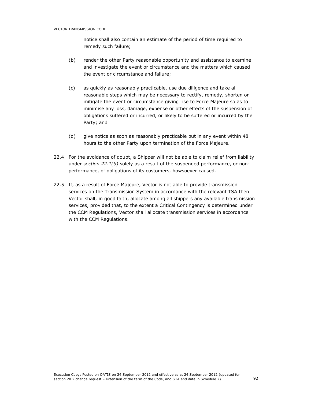notice shall also contain an estimate of the period of time required to remedy such failure;

- (b) render the other Party reasonable opportunity and assistance to examine and investigate the event or circumstance and the matters which caused the event or circumstance and failure;
- (c) as quickly as reasonably practicable, use due diligence and take all reasonable steps which may be necessary to rectify, remedy, shorten or mitigate the event or circumstance giving rise to Force Majeure so as to minimise any loss, damage, expense or other effects of the suspension of obligations suffered or incurred, or likely to be suffered or incurred by the Party; and
- (d) give notice as soon as reasonably practicable but in any event within 48 hours to the other Party upon termination of the Force Majeure.
- 22.4 For the avoidance of doubt, a Shipper will not be able to claim relief from liability under section 22.1(b) solely as a result of the suspended performance, or nonperformance, of obligations of its customers, howsoever caused.
- 22.5 If, as a result of Force Majeure, Vector is not able to provide transmission services on the Transmission System in accordance with the relevant TSA then Vector shall, in good faith, allocate among all shippers any available transmission services, provided that, to the extent a Critical Contingency is determined under the CCM Regulations, Vector shall allocate transmission services in accordance with the CCM Regulations.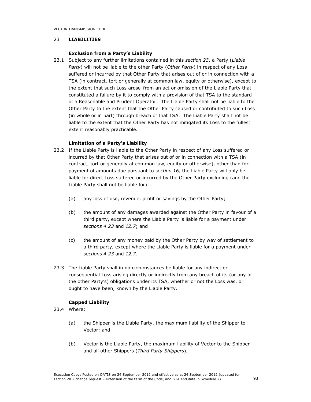# 23 LIABILITIES

#### Exclusion from a Party's Liability

23.1 Subject to any further limitations contained in this section 23, a Party (Liable Party) will not be liable to the other Party (Other Party) in respect of any Loss suffered or incurred by that Other Party that arises out of or in connection with a TSA (in contract, tort or generally at common law, equity or otherwise), except to the extent that such Loss arose from an act or omission of the Liable Party that constituted a failure by it to comply with a provision of that TSA to the standard of a Reasonable and Prudent Operator. The Liable Party shall not be liable to the Other Party to the extent that the Other Party caused or contributed to such Loss (in whole or in part) through breach of that TSA. The Liable Party shall not be liable to the extent that the Other Party has not mitigated its Loss to the fullest extent reasonably practicable.

## Limitation of a Party's Liability

- 23.2 If the Liable Party is liable to the Other Party in respect of any Loss suffered or incurred by that Other Party that arises out of or in connection with a TSA (in contract, tort or generally at common law, equity or otherwise), other than for payment of amounts due pursuant to section 16, the Liable Party will only be liable for direct Loss suffered or incurred by the Other Party excluding (and the Liable Party shall not be liable for):
	- (a) any loss of use, revenue, profit or savings by the Other Party;
	- (b) the amount of any damages awarded against the Other Party in favour of a third party, except where the Liable Party is liable for a payment under sections 4.23 and 12.7; and
	- (c) the amount of any money paid by the Other Party by way of settlement to a third party, except where the Liable Party is liable for a payment under sections 4.23 and 12.7.
- 23.3 The Liable Party shall in no circumstances be liable for any indirect or consequential Loss arising directly or indirectly from any breach of its (or any of the other Party's) obligations under its TSA, whether or not the Loss was, or ought to have been, known by the Liable Party.

# Capped Liability

- 23.4 Where:
	- (a) the Shipper is the Liable Party, the maximum liability of the Shipper to Vector; and
	- (b) Vector is the Liable Party, the maximum liability of Vector to the Shipper and all other Shippers (Third Party Shippers),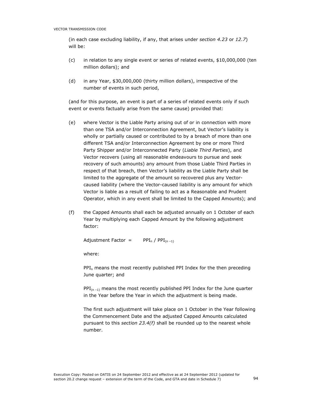(in each case excluding liability, if any, that arises under section 4.23 or 12.7) will be:

- (c) in relation to any single event or series of related events, \$10,000,000 (ten million dollars); and
- (d) in any Year, \$30,000,000 (thirty million dollars), irrespective of the number of events in such period,

(and for this purpose, an event is part of a series of related events only if such event or events factually arise from the same cause) provided that:

- (e) where Vector is the Liable Party arising out of or in connection with more than one TSA and/or Interconnection Agreement, but Vector's liability is wholly or partially caused or contributed to by a breach of more than one different TSA and/or Interconnection Agreement by one or more Third Party Shipper and/or Interconnected Party (Liable Third Parties), and Vector recovers (using all reasonable endeavours to pursue and seek recovery of such amounts) any amount from those Liable Third Parties in respect of that breach, then Vector's liability as the Liable Party shall be limited to the aggregate of the amount so recovered plus any Vectorcaused liability (where the Vector-caused liability is any amount for which Vector is liable as a result of failing to act as a Reasonable and Prudent Operator, which in any event shall be limited to the Capped Amounts); and
- (f) the Capped Amounts shall each be adjusted annually on 1 October of each Year by multiplying each Capped Amount by the following adjustment factor:

Adjustment Factor =  $PPI_n / PPI_{(n-1)}$ 

where:

 $PPI_n$  means the most recently published PPI Index for the then preceding June quarter; and

 $PPI_{(n-1)}$  means the most recently published PPI Index for the June quarter in the Year before the Year in which the adjustment is being made.

The first such adjustment will take place on 1 October in the Year following the Commencement Date and the adjusted Capped Amounts calculated pursuant to this section  $23.4(f)$  shall be rounded up to the nearest whole number.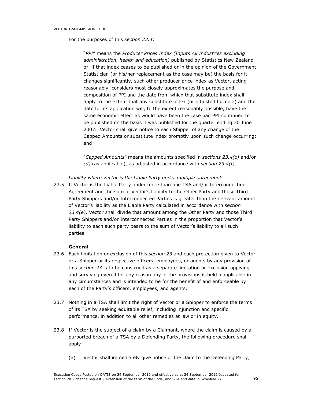For the purposes of this section 23.4:

"PPI" means the Producer Prices Index (Inputs All Industries excluding administration, health and education) published by Statistics New Zealand or, if that index ceases to be published or in the opinion of the Government Statistician (or his/her replacement as the case may be) the basis for it changes significantly, such other producer price index as Vector, acting reasonably, considers most closely approximates the purpose and composition of PPI and the date from which that substitute index shall apply to the extent that any substitute index (or adjusted formula) and the date for its application will, to the extent reasonably possible, have the same economic effect as would have been the case had PPI continued to be published on the basis it was published for the quarter ending 30 June 2007. Vector shall give notice to each Shipper of any change of the Capped Amounts or substitute index promptly upon such change occurring; and

"Capped Amounts" means the amounts specified in sections 23.4(c) and/or  $(d)$  (as applicable), as adjusted in accordance with section 23.4(f).

Liability where Vector is the Liable Party under multiple agreements

23.5 If Vector is the Liable Party under more than one TSA and/or Interconnection Agreement and the sum of Vector's liability to the Other Party and those Third Party Shippers and/or Interconnected Parties is greater than the relevant amount of Vector's liability as the Liable Party calculated in accordance with section 23.4(e), Vector shall divide that amount among the Other Party and those Third Party Shippers and/or Interconnected Parties in the proportion that Vector's liability to each such party bears to the sum of Vector's liability to all such parties.

# General

- 23.6 Each limitation or exclusion of this section 23 and each protection given to Vector or a Shipper or its respective officers, employees, or agents by any provision of this section 23 is to be construed as a separate limitation or exclusion applying and surviving even if for any reason any of the provisions is held inapplicable in any circumstances and is intended to be for the benefit of and enforceable by each of the Party's officers, employees, and agents.
- 23.7 Nothing in a TSA shall limit the right of Vector or a Shipper to enforce the terms of its TSA by seeking equitable relief, including injunction and specific performance, in addition to all other remedies at law or in equity.
- 23.8 If Vector is the subject of a claim by a Claimant, where the claim is caused by a purported breach of a TSA by a Defending Party, the following procedure shall apply:
	- (a) Vector shall immediately give notice of the claim to the Defending Party;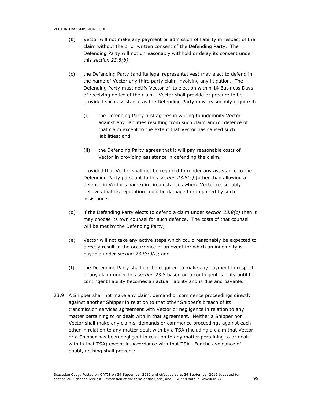- (b) Vector will not make any payment or admission of liability in respect of the claim without the prior written consent of the Defending Party. The Defending Party will not unreasonably withhold or delay its consent under this section 23.8(b);
- (c) the Defending Party (and its legal representatives) may elect to defend in the name of Vector any third party claim involving any litigation. The Defending Party must notify Vector of its election within 14 Business Days of receiving notice of the claim. Vector shall provide or procure to be provided such assistance as the Defending Party may reasonably require if:
	- (i) the Defending Party first agrees in writing to indemnify Vector against any liabilities resulting from such claim and/or defence of that claim except to the extent that Vector has caused such liabilities; and
	- (ii) the Defending Party agrees that it will pay reasonable costs of Vector in providing assistance in defending the claim,

provided that Vector shall not be required to render any assistance to the Defending Party pursuant to this section 23.8(c) (other than allowing a defence in Vector's name) in circumstances where Vector reasonably believes that its reputation could be damaged or impaired by such assistance;

- (d) if the Defending Party elects to defend a claim under section  $23.8(c)$  then it may choose its own counsel for such defence. The costs of that counsel will be met by the Defending Party;
- (e) Vector will not take any active steps which could reasonably be expected to directly result in the occurrence of an event for which an indemnity is payable under section  $23.8(c)(i)$ ; and
- (f) the Defending Party shall not be required to make any payment in respect of any claim under this section 23.8 based on a contingent liability until the contingent liability becomes an actual liability and is due and payable.
- 23.9 A Shipper shall not make any claim, demand or commence proceedings directly against another Shipper in relation to that other Shipper's breach of its transmission services agreement with Vector or negligence in relation to any matter pertaining to or dealt with in that agreement. Neither a Shipper nor Vector shall make any claims, demands or commence proceedings against each other in relation to any matter dealt with by a TSA (including a claim that Vector or a Shipper has been negligent in relation to any matter pertaining to or dealt with in that TSA) except in accordance with that TSA. For the avoidance of doubt, nothing shall prevent: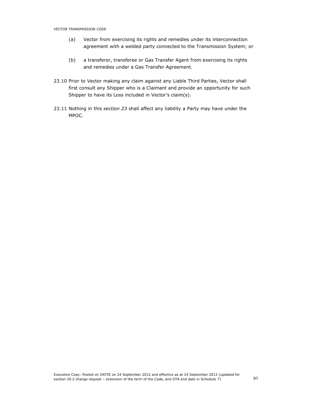- (a) Vector from exercising its rights and remedies under its interconnection agreement with a welded party connected to the Transmission System; or
- (b) a transferor, transferee or Gas Transfer Agent from exercising its rights and remedies under a Gas Transfer Agreement.
- 23.10 Prior to Vector making any claim against any Liable Third Parties, Vector shall first consult any Shipper who is a Claimant and provide an opportunity for such Shipper to have its Loss included in Vector's claim(s).
- 23.11 Nothing in this section 23 shall affect any liability a Party may have under the MPOC.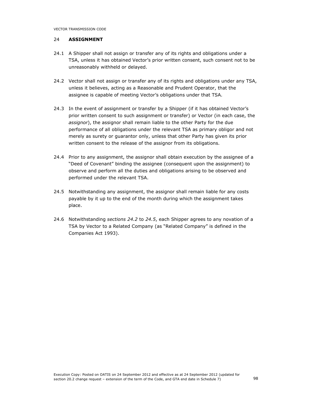# 24 ASSIGNMENT

- 24.1 A Shipper shall not assign or transfer any of its rights and obligations under a TSA, unless it has obtained Vector's prior written consent, such consent not to be unreasonably withheld or delayed.
- 24.2 Vector shall not assign or transfer any of its rights and obligations under any TSA, unless it believes, acting as a Reasonable and Prudent Operator, that the assignee is capable of meeting Vector's obligations under that TSA.
- 24.3 In the event of assignment or transfer by a Shipper (if it has obtained Vector's prior written consent to such assignment or transfer) or Vector (in each case, the assignor), the assignor shall remain liable to the other Party for the due performance of all obligations under the relevant TSA as primary obligor and not merely as surety or guarantor only, unless that other Party has given its prior written consent to the release of the assignor from its obligations.
- 24.4 Prior to any assignment, the assignor shall obtain execution by the assignee of a "Deed of Covenant" binding the assignee (consequent upon the assignment) to observe and perform all the duties and obligations arising to be observed and performed under the relevant TSA.
- 24.5 Notwithstanding any assignment, the assignor shall remain liable for any costs payable by it up to the end of the month during which the assignment takes place.
- 24.6 Notwithstanding sections 24.2 to 24.5, each Shipper agrees to any novation of a TSA by Vector to a Related Company (as "Related Company" is defined in the Companies Act 1993).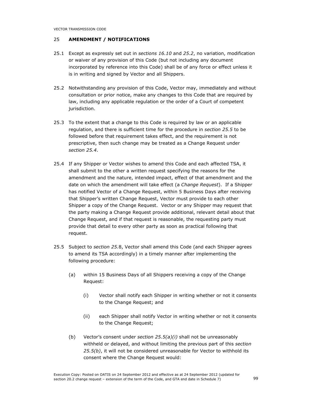# 25 AMENDMENT / NOTIFICATIONS

- 25.1 Except as expressly set out in sections 16.10 and 25.2, no variation, modification or waiver of any provision of this Code (but not including any document incorporated by reference into this Code) shall be of any force or effect unless it is in writing and signed by Vector and all Shippers.
- 25.2 Notwithstanding any provision of this Code, Vector may, immediately and without consultation or prior notice, make any changes to this Code that are required by law, including any applicable regulation or the order of a Court of competent jurisdiction.
- 25.3 To the extent that a change to this Code is required by law or an applicable regulation, and there is sufficient time for the procedure in section 25.5 to be followed before that requirement takes effect, and the requirement is not prescriptive, then such change may be treated as a Change Request under section 25.4.
- 25.4 If any Shipper or Vector wishes to amend this Code and each affected TSA, it shall submit to the other a written request specifying the reasons for the amendment and the nature, intended impact, effect of that amendment and the date on which the amendment will take effect (a Change Request). If a Shipper has notified Vector of a Change Request, within 5 Business Days after receiving that Shipper's written Change Request, Vector must provide to each other Shipper a copy of the Change Request. Vector or any Shipper may request that the party making a Change Request provide additional, relevant detail about that Change Request, and if that request is reasonable, the requesting party must provide that detail to every other party as soon as practical following that request.
- 25.5 Subject to section 25.8, Vector shall amend this Code (and each Shipper agrees to amend its TSA accordingly) in a timely manner after implementing the following procedure:
	- (a) within 15 Business Days of all Shippers receiving a copy of the Change Request:
		- (i) Vector shall notify each Shipper in writing whether or not it consents to the Change Request; and
		- (ii) each Shipper shall notify Vector in writing whether or not it consents to the Change Request;
	- (b) Vector's consent under section  $25.5(a)(i)$  shall not be unreasonably withheld or delayed, and without limiting the previous part of this section  $25.5(b)$ , it will not be considered unreasonable for Vector to withhold its consent where the Change Request would: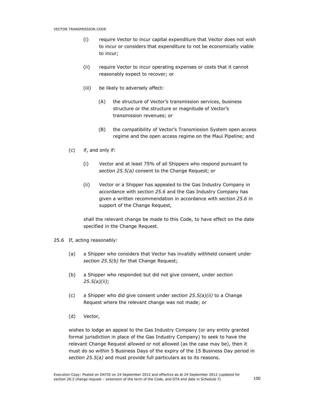- (i) require Vector to incur capital expenditure that Vector does not wish to incur or considers that expenditure to not be economically viable to incur;
- (ii) require Vector to incur operating expenses or costs that it cannot reasonably expect to recover; or
- (iii) be likely to adversely affect:
	- (A) the structure of Vector's transmission services, business structure or the structure or magnitude of Vector's transmission revenues; or
	- (B) the compatibility of Vector's Transmission System open access regime and the open access regime on the Maui Pipeline; and
- (c) if, and only if:
	- (i) Vector and at least 75% of all Shippers who respond pursuant to section 25.5(a) consent to the Change Request; or
	- (ii) Vector or a Shipper has appealed to the Gas Industry Company in accordance with section 25.6 and the Gas Industry Company has given a written recommendation in accordance with section 25.6 in support of the Change Request,

shall the relevant change be made to this Code, to have effect on the date specified in the Change Request.

- 25.6 If, acting reasonably:
	- (a) a Shipper who considers that Vector has invalidly withheld consent under section 25.5(b) for that Change Request;
	- (b) a Shipper who responded but did not give consent, under section 25.5(a)(ii);
	- (c) a Shipper who did give consent under section  $25.5(a)(ii)$  to a Change Request where the relevant change was not made; or
	- (d) Vector,

wishes to lodge an appeal to the Gas Industry Company (or any entity granted formal jurisdiction in place of the Gas Industry Company) to seek to have the relevant Change Request allowed or not allowed (as the case may be), then it must do so within 5 Business Days of the expiry of the 15 Business Day period in section 25.5(a) and must provide full particulars as to its reasons.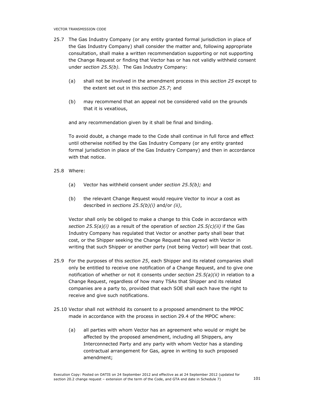- 25.7 The Gas Industry Company (or any entity granted formal jurisdiction in place of the Gas Industry Company) shall consider the matter and, following appropriate consultation, shall make a written recommendation supporting or not supporting the Change Request or finding that Vector has or has not validly withheld consent under section 25.5(b). The Gas Industry Company:
	- (a) shall not be involved in the amendment process in this section 25 except to the extent set out in this section 25.7; and
	- (b) may recommend that an appeal not be considered valid on the grounds that it is vexatious,

and any recommendation given by it shall be final and binding.

To avoid doubt, a change made to the Code shall continue in full force and effect until otherwise notified by the Gas Industry Company (or any entity granted formal jurisdiction in place of the Gas Industry Company) and then in accordance with that notice.

25.8 Where:

- (a) Vector has withheld consent under section  $25.5(b)$ ; and
- (b) the relevant Change Request would require Vector to incur a cost as described in sections  $25.5(b)(i)$  and/or (ii),

Vector shall only be obliged to make a change to this Code in accordance with section  $25.5(a)(i)$  as a result of the operation of section  $25.5(c)(ii)$  if the Gas Industry Company has regulated that Vector or another party shall bear that cost, or the Shipper seeking the Change Request has agreed with Vector in writing that such Shipper or another party (not being Vector) will bear that cost.

- 25.9 For the purposes of this section 25, each Shipper and its related companies shall only be entitled to receive one notification of a Change Request, and to give one notification of whether or not it consents under section  $25.5(a)(ii)$  in relation to a Change Request, regardless of how many TSAs that Shipper and its related companies are a party to, provided that each SOE shall each have the right to receive and give such notifications.
- 25.10 Vector shall not withhold its consent to a proposed amendment to the MPOC made in accordance with the process in section 29.4 of the MPOC where:
	- (a) all parties with whom Vector has an agreement who would or might be affected by the proposed amendment, including all Shippers, any Interconnected Party and any party with whom Vector has a standing contractual arrangement for Gas, agree in writing to such proposed amendment;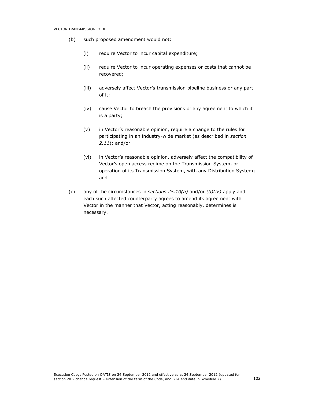- (b) such proposed amendment would not:
	- (i) require Vector to incur capital expenditure;
	- (ii) require Vector to incur operating expenses or costs that cannot be recovered;
	- (iii) adversely affect Vector's transmission pipeline business or any part of it;
	- (iv) cause Vector to breach the provisions of any agreement to which it is a party;
	- (v) in Vector's reasonable opinion, require a change to the rules for participating in an industry-wide market (as described in section 2.11); and/or
	- (vi) in Vector's reasonable opinion, adversely affect the compatibility of Vector's open access regime on the Transmission System, or operation of its Transmission System, with any Distribution System; and
- (c) any of the circumstances in sections  $25.10(a)$  and/or  $(b)(iv)$  apply and each such affected counterparty agrees to amend its agreement with Vector in the manner that Vector, acting reasonably, determines is necessary.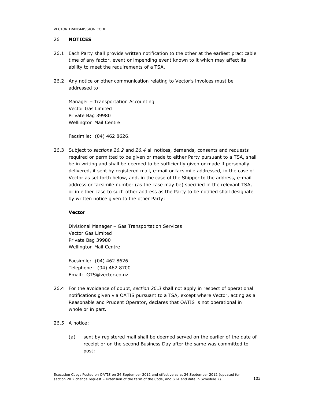### 26 NOTICES

- 26.1 Each Party shall provide written notification to the other at the earliest practicable time of any factor, event or impending event known to it which may affect its ability to meet the requirements of a TSA.
- 26.2 Any notice or other communication relating to Vector's invoices must be addressed to:

Manager – Transportation Accounting Vector Gas Limited Private Bag 39980 Wellington Mail Centre

Facsimile: (04) 462 8626.

26.3 Subject to sections 26.2 and 26.4 all notices, demands, consents and requests required or permitted to be given or made to either Party pursuant to a TSA, shall be in writing and shall be deemed to be sufficiently given or made if personally delivered, if sent by registered mail, e-mail or facsimile addressed, in the case of Vector as set forth below, and, in the case of the Shipper to the address, e-mail address or facsimile number (as the case may be) specified in the relevant TSA, or in either case to such other address as the Party to be notified shall designate by written notice given to the other Party:

## Vector

Divisional Manager – Gas Transportation Services Vector Gas Limited Private Bag 39980 Wellington Mail Centre

Facsimile: (04) 462 8626 Telephone: (04) 462 8700 Email: GTS@vector.co.nz

- 26.4 For the avoidance of doubt, section 26.3 shall not apply in respect of operational notifications given via OATIS pursuant to a TSA, except where Vector, acting as a Reasonable and Prudent Operator, declares that OATIS is not operational in whole or in part.
- 26.5 A notice:
	- (a) sent by registered mail shall be deemed served on the earlier of the date of receipt or on the second Business Day after the same was committed to post;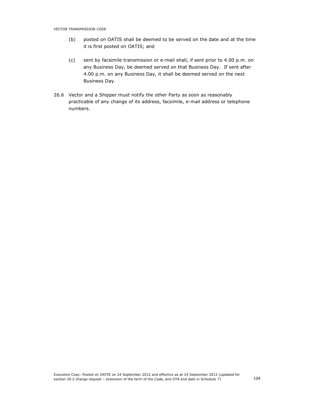- (b) posted on OATIS shall be deemed to be served on the date and at the time it is first posted on OATIS; and
- (c) sent by facsimile transmission or e-mail shall, if sent prior to 4.00 p.m. on any Business Day, be deemed served on that Business Day. If sent after 4.00 p.m. on any Business Day, it shall be deemed served on the next Business Day.
- 26.6 Vector and a Shipper must notify the other Party as soon as reasonably practicable of any change of its address, facsimile, e-mail address or telephone numbers.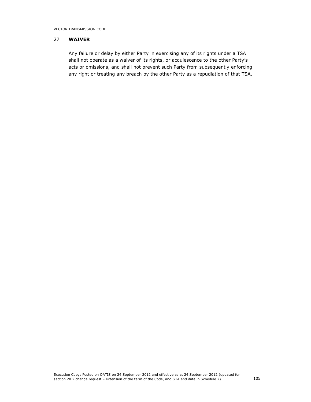VECTOR TRANSMISSION CODE

# 27 WAIVER

 Any failure or delay by either Party in exercising any of its rights under a TSA shall not operate as a waiver of its rights, or acquiescence to the other Party's acts or omissions, and shall not prevent such Party from subsequently enforcing any right or treating any breach by the other Party as a repudiation of that TSA.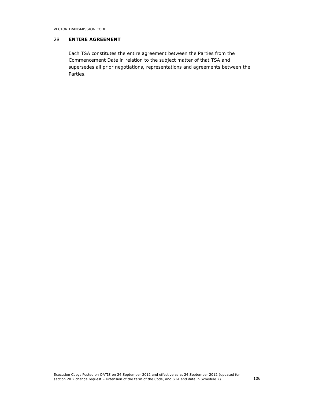## 28 ENTIRE AGREEMENT

Each TSA constitutes the entire agreement between the Parties from the Commencement Date in relation to the subject matter of that TSA and supersedes all prior negotiations, representations and agreements between the Parties.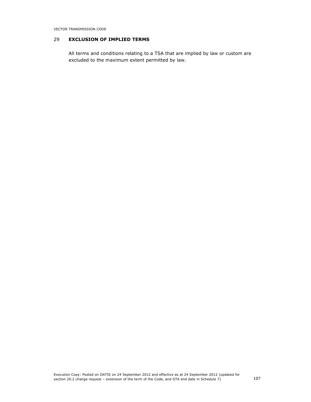# 29 EXCLUSION OF IMPLIED TERMS

All terms and conditions relating to a TSA that are implied by law or custom are excluded to the maximum extent permitted by law.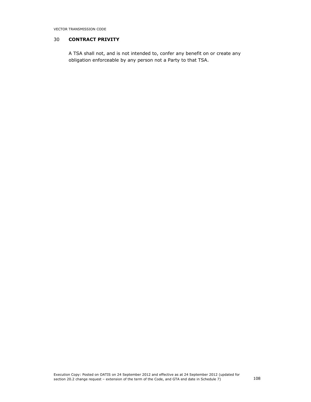## 30 CONTRACT PRIVITY

A TSA shall not, and is not intended to, confer any benefit on or create any obligation enforceable by any person not a Party to that TSA.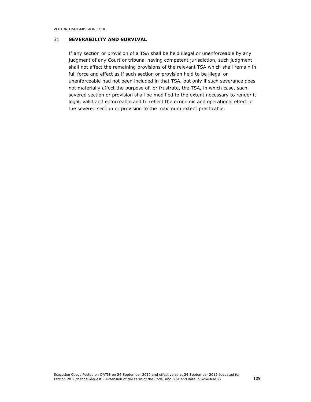# 31 SEVERABILITY AND SURVIVAL

If any section or provision of a TSA shall be held illegal or unenforceable by any judgment of any Court or tribunal having competent jurisdiction, such judgment shall not affect the remaining provisions of the relevant TSA which shall remain in full force and effect as if such section or provision held to be illegal or unenforceable had not been included in that TSA, but only if such severance does not materially affect the purpose of, or frustrate, the TSA, in which case, such severed section or provision shall be modified to the extent necessary to render it legal, valid and enforceable and to reflect the economic and operational effect of the severed section or provision to the maximum extent practicable.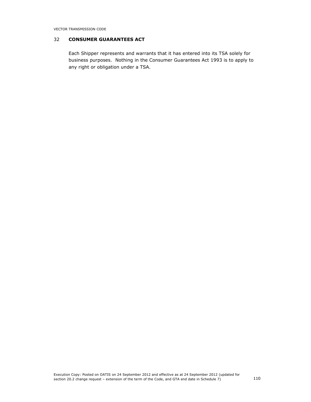## 32 CONSUMER GUARANTEES ACT

Each Shipper represents and warrants that it has entered into its TSA solely for business purposes. Nothing in the Consumer Guarantees Act 1993 is to apply to any right or obligation under a TSA.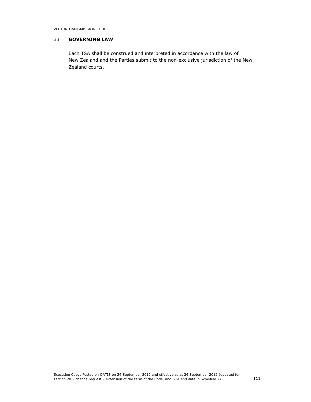## 33 GOVERNING LAW

Each TSA shall be construed and interpreted in accordance with the law of New Zealand and the Parties submit to the non-exclusive jurisdiction of the New Zealand courts.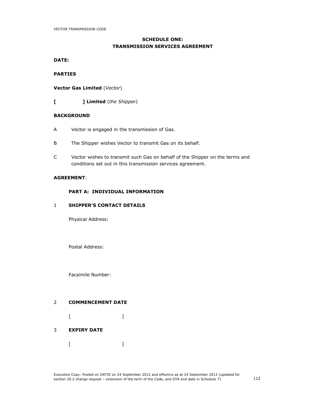# SCHEDULE ONE: TRANSMISSION SERVICES AGREEMENT

DATE:

### PARTIES

Vector Gas Limited (Vector)

[ ] Limited (the Shipper)

### **BACKGROUND**

- A Vector is engaged in the transmission of Gas.
- B The Shipper wishes Vector to transmit Gas on its behalf.
- C Vector wishes to transmit such Gas on behalf of the Shipper on the terms and conditions set out in this transmission services agreement.

### AGREEMENT:

### PART A: INDIVIDUAL INFORMATION

### 1 SHIPPER'S CONTACT DETAILS

Physical Address:

Postal Address:

Facsimile Number:

# 2 COMMENCEMENT DATE

 $[$   $]$ 

# 3 EXPIRY DATE

 $[$   $]$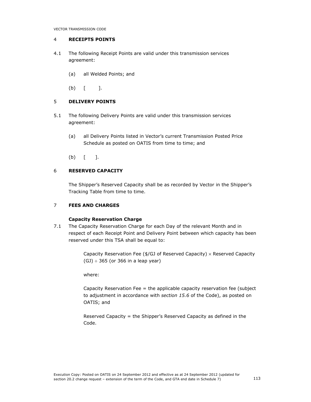## 4 RECEIPTS POINTS

- 4.1 The following Receipt Points are valid under this transmission services agreement:
	- (a) all Welded Points; and
	- $(b)$   $[$   $]$ .

# 5 DELIVERY POINTS

- 5.1 The following Delivery Points are valid under this transmission services agreement:
	- (a) all Delivery Points listed in Vector's current Transmission Posted Price Schedule as posted on OATIS from time to time; and
	- $(b)$  [ ].

# 6 RESERVED CAPACITY

The Shipper's Reserved Capacity shall be as recorded by Vector in the Shipper's Tracking Table from time to time.

### 7 FEES AND CHARGES

### Capacity Reservation Charge

7.1 The Capacity Reservation Charge for each Day of the relevant Month and in respect of each Receipt Point and Delivery Point between which capacity has been reserved under this TSA shall be equal to:

> Capacity Reservation Fee ( $\frac{4}{G}$  of Reserved Capacity)  $\times$  Reserved Capacity  $(GJ) \div 365$  (or 366 in a leap year)

where:

Capacity Reservation Fee = the applicable capacity reservation fee (subject to adjustment in accordance with section 15.6 of the Code), as posted on OATIS; and

Reserved Capacity = the Shipper's Reserved Capacity as defined in the Code.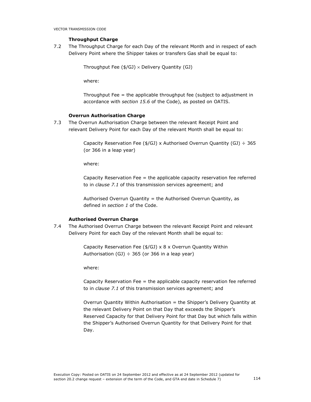## Throughput Charge

7.2 The Throughput Charge for each Day of the relevant Month and in respect of each Delivery Point where the Shipper takes or transfers Gas shall be equal to:

```
Throughput Fee (\frac{4}{G}) × Delivery Quantity (GJ)
```
where:

Throughput Fee = the applicable throughput fee (subject to adjustment in accordance with section 15.6 of the Code), as posted on OATIS.

#### Overrun Authorisation Charge

7.3 The Overrun Authorisation Charge between the relevant Receipt Point and relevant Delivery Point for each Day of the relevant Month shall be equal to:

> Capacity Reservation Fee (\$/GJ) x Authorised Overrun Quantity (GJ)  $\div$  365 (or 366 in a leap year)

where:

Capacity Reservation Fee = the applicable capacity reservation fee referred to in clause 7.1 of this transmission services agreement; and

Authorised Overrun Quantity = the Authorised Overrun Quantity, as defined in section 1 of the Code.

#### Authorised Overrun Charge

7.4 The Authorised Overrun Charge between the relevant Receipt Point and relevant Delivery Point for each Day of the relevant Month shall be equal to:

> Capacity Reservation Fee (\$/GJ) x 8 x Overrun Quantity Within Authorisation (GJ)  $\div$  365 (or 366 in a leap year)

where:

Capacity Reservation Fee = the applicable capacity reservation fee referred to in *clause 7.1* of this transmission services agreement; and

Overrun Quantity Within Authorisation = the Shipper's Delivery Quantity at the relevant Delivery Point on that Day that exceeds the Shipper's Reserved Capacity for that Delivery Point for that Day but which falls within the Shipper's Authorised Overrun Quantity for that Delivery Point for that Day.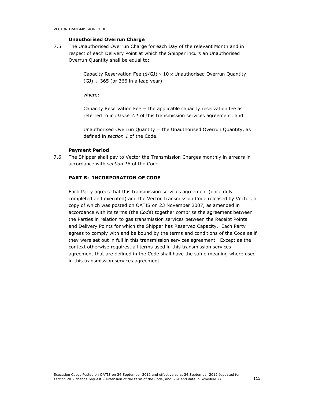### Unauthorised Overrun Charge

7.5 The Unauthorised Overrun Charge for each Day of the relevant Month and in respect of each Delivery Point at which the Shipper incurs an Unauthorised Overrun Quantity shall be equal to:

> Capacity Reservation Fee (\$/GJ)  $\times$  10  $\times$  Unauthorised Overrun Quantity  $(GJ)$  ÷ 365 (or 366 in a leap year)

where:

Capacity Reservation Fee  $=$  the applicable capacity reservation fee as referred to in clause 7.1 of this transmission services agreement; and

Unauthorised Overrun Quantity = the Unauthorised Overrun Quantity, as defined in section 1 of the Code.

#### Payment Period

7.6 The Shipper shall pay to Vector the Transmission Charges monthly in arrears in accordance with section 16 of the Code.

### PART B: INCORPORATION OF CODE

Each Party agrees that this transmission services agreement (once duly completed and executed) and the Vector Transmission Code released by Vector, a copy of which was posted on OATIS on 23 November 2007, as amended in accordance with its terms (the Code) together comprise the agreement between the Parties in relation to gas transmission services between the Receipt Points and Delivery Points for which the Shipper has Reserved Capacity. Each Party agrees to comply with and be bound by the terms and conditions of the Code as if they were set out in full in this transmission services agreement. Except as the context otherwise requires, all terms used in this transmission services agreement that are defined in the Code shall have the same meaning where used in this transmission services agreement.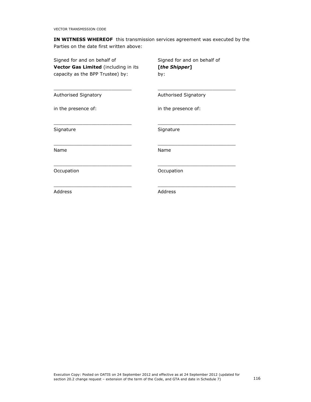IN WITNESS WHEREOF this transmission services agreement was executed by the Parties on the date first written above:

| Signed for and on behalf of          | Signed for and on behalf of |
|--------------------------------------|-----------------------------|
| Vector Gas Limited (including in its | [the Shipper]               |
| capacity as the BPP Trustee) by:     | by:                         |
| Authorised Signatory                 | Authorised Signatory        |
| in the presence of:                  | in the presence of:         |
| Signature                            | Signature                   |
| Name                                 | Name                        |
| Occupation                           | Occupation                  |
| Address                              | Address                     |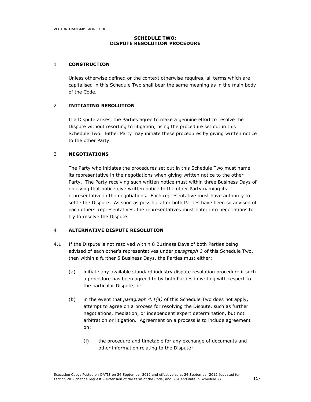#### SCHEDULE TWO: DISPUTE RESOLUTION PROCEDURE

### 1 CONSTRUCTION

Unless otherwise defined or the context otherwise requires, all terms which are capitalised in this Schedule Two shall bear the same meaning as in the main body of the Code.

### 2 INITIATING RESOLUTION

If a Dispute arises, the Parties agree to make a genuine effort to resolve the Dispute without resorting to litigation, using the procedure set out in this Schedule Two. Either Party may initiate these procedures by giving written notice to the other Party.

### 3 NEGOTIATIONS

The Party who initiates the procedures set out in this Schedule Two must name its representative in the negotiations when giving written notice to the other Party. The Party receiving such written notice must within three Business Days of receiving that notice give written notice to the other Party naming its representative in the negotiations. Each representative must have authority to settle the Dispute. As soon as possible after both Parties have been so advised of each others' representatives, the representatives must enter into negotiations to try to resolve the Dispute.

### 4 ALTERNATIVE DISPUTE RESOLUTION

- 4.1 If the Dispute is not resolved within 8 Business Days of both Parties being advised of each other's representatives under paragraph 3 of this Schedule Two, then within a further 5 Business Days, the Parties must either:
	- (a) initiate any available standard industry dispute resolution procedure if such a procedure has been agreed to by both Parties in writing with respect to the particular Dispute; or
	- (b) in the event that *paragraph 4.1(a)* of this Schedule Two does not apply, attempt to agree on a process for resolving the Dispute, such as further negotiations, mediation, or independent expert determination, but not arbitration or litigation. Agreement on a process is to include agreement on:
		- (i) the procedure and timetable for any exchange of documents and other information relating to the Dispute;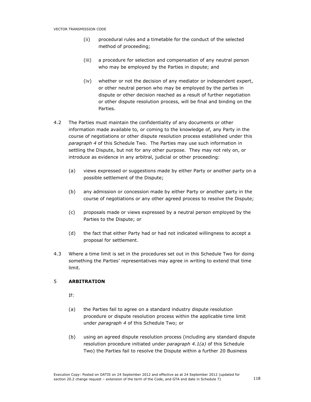- (ii) procedural rules and a timetable for the conduct of the selected method of proceeding;
- (iii) a procedure for selection and compensation of any neutral person who may be employed by the Parties in dispute; and
- (iv) whether or not the decision of any mediator or independent expert, or other neutral person who may be employed by the parties in dispute or other decision reached as a result of further negotiation or other dispute resolution process, will be final and binding on the Parties.
- 4.2 The Parties must maintain the confidentiality of any documents or other information made available to, or coming to the knowledge of, any Party in the course of negotiations or other dispute resolution process established under this paragraph 4 of this Schedule Two. The Parties may use such information in settling the Dispute, but not for any other purpose. They may not rely on, or introduce as evidence in any arbitral, judicial or other proceeding:
	- (a) views expressed or suggestions made by either Party or another party on a possible settlement of the Dispute;
	- (b) any admission or concession made by either Party or another party in the course of negotiations or any other agreed process to resolve the Dispute;
	- (c) proposals made or views expressed by a neutral person employed by the Parties to the Dispute; or
	- (d) the fact that either Party had or had not indicated willingness to accept a proposal for settlement.
- 4.3 Where a time limit is set in the procedures set out in this Schedule Two for doing something the Parties' representatives may agree in writing to extend that time limit.

### 5 ARBITRATION

If:

- (a) the Parties fail to agree on a standard industry dispute resolution procedure or dispute resolution process within the applicable time limit under paragraph 4 of this Schedule Two; or
- (b) using an agreed dispute resolution process (including any standard dispute resolution procedure initiated under paragraph  $4.1(a)$  of this Schedule Two) the Parties fail to resolve the Dispute within a further 20 Business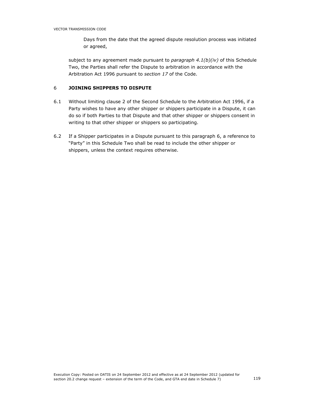Days from the date that the agreed dispute resolution process was initiated or agreed,

subject to any agreement made pursuant to paragraph  $4.1(b)(iv)$  of this Schedule Two, the Parties shall refer the Dispute to arbitration in accordance with the Arbitration Act 1996 pursuant to section 17 of the Code.

## <sup>6</sup> JOINING SHIPPERS TO DISPUTE

- 6.1 Without limiting clause 2 of the Second Schedule to the Arbitration Act 1996, if a Party wishes to have any other shipper or shippers participate in a Dispute, it can do so if both Parties to that Dispute and that other shipper or shippers consent in writing to that other shipper or shippers so participating.
- 6.2 If a Shipper participates in a Dispute pursuant to this paragraph 6, a reference to "Party" in this Schedule Two shall be read to include the other shipper or shippers, unless the context requires otherwise.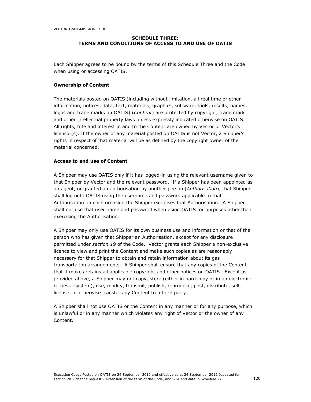## SCHEDULE THREE: TERMS AND CONDITIONS OF ACCESS TO AND USE OF OATIS

Each Shipper agrees to be bound by the terms of this Schedule Three and the Code when using or accessing OATIS.

### Ownership of Content

The materials posted on OATIS (including without limitation, all real time or other information, notices, data, text, materials, graphics, software, tools, results, names, logos and trade marks on OATIS) (Content) are protected by copyright, trade mark and other intellectual property laws unless expressly indicated otherwise on OATIS. All rights, title and interest in and to the Content are owned by Vector or Vector's licensor(s). If the owner of any material posted on OATIS is not Vector, a Shipper's rights in respect of that material will be as defined by the copyright owner of the material concerned.

#### Access to and use of Content

A Shipper may use OATIS only if it has logged-in using the relevant username given to that Shipper by Vector and the relevant password. If a Shipper has been appointed as an agent, or granted an authorisation by another person (Authorisation), that Shipper shall log onto OATIS using the username and password applicable to that Authorisation on each occasion the Shipper exercises that Authorisation. A Shipper shall not use that user name and password when using OATIS for purposes other than exercising the Authorisation.

A Shipper may only use OATIS for its own business use and information or that of the person who has given that Shipper an Authorisation, except for any disclosure permitted under section 19 of the Code. Vector grants each Shipper a non-exclusive licence to view and print the Content and make such copies as are reasonably necessary for that Shipper to obtain and retain information about its gas transportation arrangements. A Shipper shall ensure that any copies of the Content that it makes retains all applicable copyright and other notices on OATIS. Except as provided above, a Shipper may not copy, store (either in hard copy or in an electronic retrieval system), use, modify, transmit, publish, reproduce, post, distribute, sell, license, or otherwise transfer any Content to a third party.

A Shipper shall not use OATIS or the Content in any manner or for any purpose, which is unlawful or in any manner which violates any right of Vector or the owner of any Content.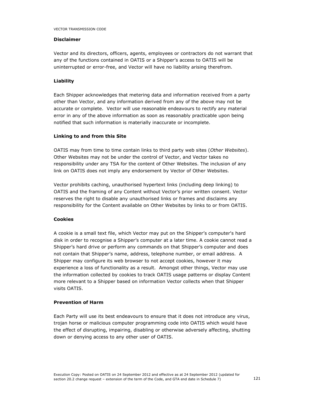### Disclaimer

Vector and its directors, officers, agents, employees or contractors do not warrant that any of the functions contained in OATIS or a Shipper's access to OATIS will be uninterrupted or error-free, and Vector will have no liability arising therefrom.

### Liability

Each Shipper acknowledges that metering data and information received from a party other than Vector, and any information derived from any of the above may not be accurate or complete. Vector will use reasonable endeavours to rectify any material error in any of the above information as soon as reasonably practicable upon being notified that such information is materially inaccurate or incomplete.

#### Linking to and from this Site

OATIS may from time to time contain links to third party web sites (Other Websites). Other Websites may not be under the control of Vector, and Vector takes no responsibility under any TSA for the content of Other Websites. The inclusion of any link on OATIS does not imply any endorsement by Vector of Other Websites.

Vector prohibits caching, unauthorised hypertext links (including deep linking) to OATIS and the framing of any Content without Vector's prior written consent. Vector reserves the right to disable any unauthorised links or frames and disclaims any responsibility for the Content available on Other Websites by links to or from OATIS.

### Cookies

A cookie is a small text file, which Vector may put on the Shipper's computer's hard disk in order to recognise a Shipper's computer at a later time. A cookie cannot read a Shipper's hard drive or perform any commands on that Shipper's computer and does not contain that Shipper's name, address, telephone number, or email address. A Shipper may configure its web browser to not accept cookies, however it may experience a loss of functionality as a result. Amongst other things, Vector may use the information collected by cookies to track OATIS usage patterns or display Content more relevant to a Shipper based on information Vector collects when that Shipper visits OATIS.

#### Prevention of Harm

Each Party will use its best endeavours to ensure that it does not introduce any virus, trojan horse or malicious computer programming code into OATIS which would have the effect of disrupting, impairing, disabling or otherwise adversely affecting, shutting down or denying access to any other user of OATIS.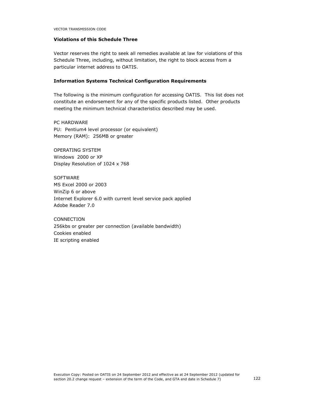## Violations of this Schedule Three

Vector reserves the right to seek all remedies available at law for violations of this Schedule Three, including, without limitation, the right to block access from a particular internet address to OATIS.

## Information Systems Technical Configuration Requirements

The following is the minimum configuration for accessing OATIS. This list does not constitute an endorsement for any of the specific products listed. Other products meeting the minimum technical characteristics described may be used.

PC HARDWARE PU: Pentium4 level processor (or equivalent) Memory (RAM): 256MB or greater

OPERATING SYSTEM Windows 2000 or XP Display Resolution of 1024 x 768

**SOFTWARE** MS Excel 2000 or 2003 WinZip 6 or above Internet Explorer 6.0 with current level service pack applied Adobe Reader 7.0

CONNECTION 256kbs or greater per connection (available bandwidth) Cookies enabled IE scripting enabled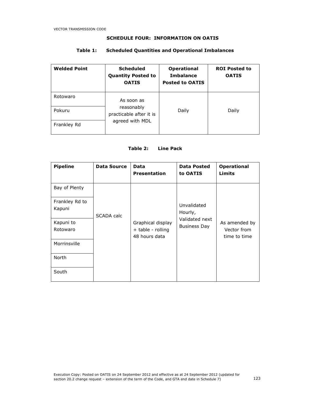### SCHEDULE FOUR: INFORMATION ON OATIS

# Table 1: Scheduled Quantities and Operational Imbalances

| <b>Welded Point</b> | <b>Scheduled</b><br><b>Quantity Posted to</b><br><b>OATIS</b> | <b>Operational</b><br><b>Imbalance</b><br><b>Posted to OATIS</b> | <b>ROI Posted to</b><br><b>OATIS</b> |
|---------------------|---------------------------------------------------------------|------------------------------------------------------------------|--------------------------------------|
| Rotowaro            | As soon as                                                    |                                                                  |                                      |
| Pokuru              | reasonably<br>practicable after it is                         | Daily                                                            | Daily                                |
| Frankley Rd         | agreed with MDL                                               |                                                                  |                                      |

## Table 2: Line Pack

| <b>Pipeline</b>          | <b>Data Source</b> | Data<br><b>Presentation</b>                             | <b>Data Posted</b><br>to OATIS | <b>Operational</b><br>Limits                 |
|--------------------------|--------------------|---------------------------------------------------------|--------------------------------|----------------------------------------------|
| Bay of Plenty            |                    |                                                         |                                |                                              |
| Frankley Rd to<br>Kapuni | SCADA calc         |                                                         | Unvalidated<br>Hourly,         |                                              |
| Kapuni to<br>Rotowaro    |                    | Graphical display<br>+ table - rolling<br>48 hours data | Validated next<br>Business Day | As amended by<br>Vector from<br>time to time |
| Morrinsville             |                    |                                                         |                                |                                              |
| <b>North</b>             |                    |                                                         |                                |                                              |
| South                    |                    |                                                         |                                |                                              |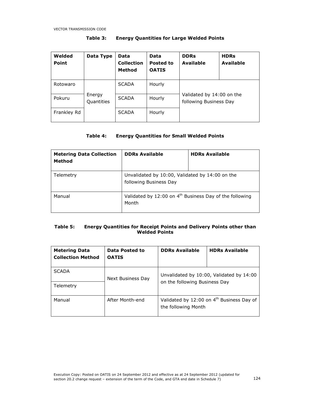| Welded<br><b>Point</b> | Data Type            | Data<br><b>Collection</b><br>Method | Data<br>Posted to<br><b>OATIS</b> | <b>DDRs</b><br><b>Available</b>                     | <b>HDRs</b><br><b>Available</b> |
|------------------------|----------------------|-------------------------------------|-----------------------------------|-----------------------------------------------------|---------------------------------|
| Rotowaro               |                      | <b>SCADA</b>                        | Hourly                            |                                                     |                                 |
| Pokuru                 | Energy<br>Quantities | <b>SCADA</b>                        | Hourly                            | Validated by 14:00 on the<br>following Business Day |                                 |
| Frankley Rd            |                      | <b>SCADA</b>                        | Hourly                            |                                                     |                                 |

## Table 3: Energy Quantities for Large Welded Points

## Table 4: Energy Quantities for Small Welded Points

| <b>Metering Data Collection</b><br><b>Method</b> | <b>DDRs Available</b>                                                        | <b>HDRs Available</b> |
|--------------------------------------------------|------------------------------------------------------------------------------|-----------------------|
| Telemetry                                        | Unvalidated by 10:00, Validated by 14:00 on the<br>following Business Day    |                       |
| Manual                                           | Validated by 12:00 on 4 <sup>th</sup> Business Day of the following<br>Month |                       |

### Table 5: Energy Quantities for Receipt Points and Delivery Points other than Welded Points

| <b>Metering Data</b><br><b>Collection Method</b> | Data Posted to<br><b>OATIS</b> | <b>DDRs Available</b>         | <b>HDRs Available</b>                                 |
|--------------------------------------------------|--------------------------------|-------------------------------|-------------------------------------------------------|
| <b>SCADA</b><br>Telemetry                        | Next Business Day              | on the following Business Day | Unvalidated by 10:00, Validated by 14:00              |
| Manual                                           | After Month-end                | the following Month           | Validated by 12:00 on 4 <sup>th</sup> Business Day of |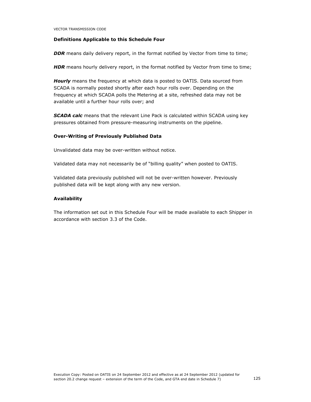### Definitions Applicable to this Schedule Four

**DDR** means daily delivery report, in the format notified by Vector from time to time;

HDR means hourly delivery report, in the format notified by Vector from time to time;

Hourly means the frequency at which data is posted to OATIS. Data sourced from SCADA is normally posted shortly after each hour rolls over. Depending on the frequency at which SCADA polls the Metering at a site, refreshed data may not be available until a further hour rolls over; and

**SCADA calc** means that the relevant Line Pack is calculated within SCADA using key pressures obtained from pressure-measuring instruments on the pipeline.

#### Over-Writing of Previously Published Data

Unvalidated data may be over-written without notice.

Validated data may not necessarily be of "billing quality" when posted to OATIS.

Validated data previously published will not be over-written however. Previously published data will be kept along with any new version.

### Availability

The information set out in this Schedule Four will be made available to each Shipper in accordance with section 3.3 of the Code.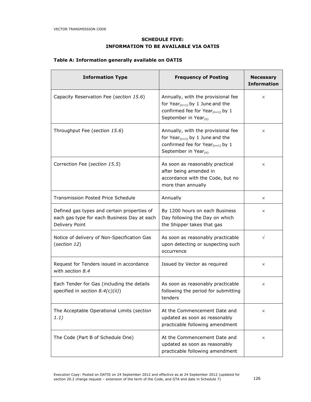# SCHEDULE FIVE: INFORMATION TO BE AVAILABLE VIA OATIS

# Table A: Information generally available on OATIS

| <b>Information Type</b>                                                                                      | <b>Frequency of Posting</b>                                                                                                                         | <b>Necessary</b><br><b>Information</b> |
|--------------------------------------------------------------------------------------------------------------|-----------------------------------------------------------------------------------------------------------------------------------------------------|----------------------------------------|
| Capacity Reservation Fee (section 15.6)                                                                      | Annually, with the provisional fee<br>for Year $_{(n+1)}$ by 1 June and the<br>confirmed fee for Year $_{(n+1)}$ by 1<br>September in Year $_{(n)}$ | $\times$                               |
| Throughput Fee (section 15.6)                                                                                | Annually, with the provisional fee<br>for Year $_{(n+1)}$ by 1 June and the<br>confirmed fee for Year $_{(n+1)}$ by 1<br>September in Year $_{(n)}$ | $\times$                               |
| Correction Fee (section 15.5)                                                                                | As soon as reasonably practical<br>after being amended in<br>accordance with the Code, but no<br>more than annually                                 | $\times$                               |
| <b>Transmission Posted Price Schedule</b>                                                                    | Annually                                                                                                                                            | $\times$                               |
| Defined gas types and certain properties of<br>each gas type for each Business Day at each<br>Delivery Point | By 1200 hours on each Business<br>Day following the Day on which<br>the Shipper takes that gas                                                      | $\times$                               |
| Notice of delivery of Non-Specification Gas<br>(section 12)                                                  | As soon as reasonably practicable<br>upon detecting or suspecting such<br>occurrence                                                                | $\sqrt{}$                              |
| Request for Tenders issued in accordance<br>with section 8.4                                                 | Issued by Vector as required                                                                                                                        | $\times$                               |
| Each Tender for Gas (including the details<br>specified in section $8.4(c)(ii)$ )                            | As soon as reasonably practicable<br>following the period for submitting<br>tenders                                                                 | $\times$                               |
| The Acceptable Operational Limits (section<br>1.1)                                                           | At the Commencement Date and<br>updated as soon as reasonably<br>practicable following amendment                                                    | $\times$                               |
| The Code (Part B of Schedule One)                                                                            | At the Commencement Date and<br>updated as soon as reasonably<br>practicable following amendment                                                    | $\times$                               |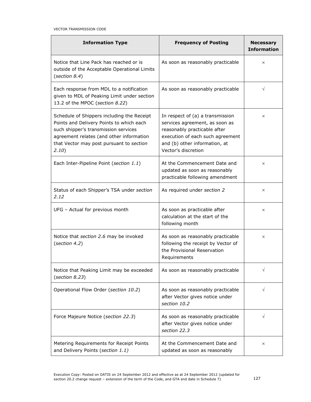| <b>Information Type</b>                                                                                                                                                                                                         | <b>Frequency of Posting</b>                                                                                                                                                                    | <b>Necessary</b><br><b>Information</b> |
|---------------------------------------------------------------------------------------------------------------------------------------------------------------------------------------------------------------------------------|------------------------------------------------------------------------------------------------------------------------------------------------------------------------------------------------|----------------------------------------|
| Notice that Line Pack has reached or is<br>outside of the Acceptable Operational Limits<br>(section 8.4)                                                                                                                        | As soon as reasonably practicable                                                                                                                                                              | X                                      |
| Each response from MDL to a notification<br>given to MDL of Peaking Limit under section<br>13.2 of the MPOC (section 8.22)                                                                                                      | As soon as reasonably practicable                                                                                                                                                              | $\sqrt{}$                              |
| Schedule of Shippers including the Receipt<br>Points and Delivery Points to which each<br>such shipper's transmission services<br>agreement relates (and other information<br>that Vector may post pursuant to section<br>2.10) | In respect of (a) a transmission<br>services agreement, as soon as<br>reasonably practicable after<br>execution of each such agreement<br>and (b) other information, at<br>Vector's discretion | $\times$                               |
| Each Inter-Pipeline Point (section 1.1)                                                                                                                                                                                         | At the Commencement Date and<br>updated as soon as reasonably<br>practicable following amendment                                                                                               | $\times$                               |
| Status of each Shipper's TSA under section<br>2.12                                                                                                                                                                              | As required under section 2                                                                                                                                                                    | X                                      |
| UFG - Actual for previous month                                                                                                                                                                                                 | As soon as practicable after<br>calculation at the start of the<br>following month                                                                                                             | X                                      |
| Notice that section 2.6 may be invoked<br>(section 4.2)                                                                                                                                                                         | As soon as reasonably practicable<br>following the receipt by Vector of<br>the Provisional Reservation<br>Requirements                                                                         | X                                      |
| Notice that Peaking Limit may be exceeded<br>(section 8.23)                                                                                                                                                                     | As soon as reasonably practicable                                                                                                                                                              | V                                      |
| Operational Flow Order (section 10.2)                                                                                                                                                                                           | As soon as reasonably practicable<br>after Vector gives notice under<br>section 10.2                                                                                                           | V                                      |
| Force Majeure Notice (section 22.3)                                                                                                                                                                                             | As soon as reasonably practicable<br>after Vector gives notice under<br>section 22.3                                                                                                           | $\sqrt{}$                              |
| Metering Requirements for Receipt Points<br>and Delivery Points (section 1.1)                                                                                                                                                   | At the Commencement Date and<br>updated as soon as reasonably                                                                                                                                  | ×                                      |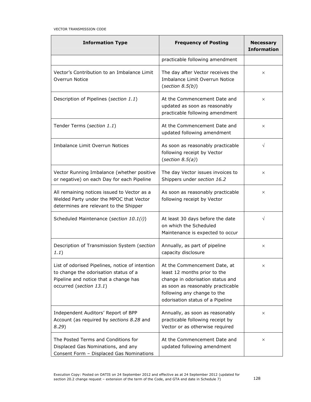| <b>Information Type</b>                                                                                                                                      | <b>Frequency of Posting</b>                                                                                                                                                                              | <b>Necessary</b><br><b>Information</b> |
|--------------------------------------------------------------------------------------------------------------------------------------------------------------|----------------------------------------------------------------------------------------------------------------------------------------------------------------------------------------------------------|----------------------------------------|
|                                                                                                                                                              | practicable following amendment                                                                                                                                                                          |                                        |
| Vector's Contribution to an Imbalance Limit<br>Overrun Notice                                                                                                | The day after Vector receives the<br>Imbalance Limit Overrun Notice<br>(section $8.5(b)$ )                                                                                                               | $\times$                               |
| Description of Pipelines (section 1.1)                                                                                                                       | At the Commencement Date and<br>updated as soon as reasonably<br>practicable following amendment                                                                                                         | $\times$                               |
| Tender Terms (section 1.1)                                                                                                                                   | At the Commencement Date and<br>updated following amendment                                                                                                                                              | $\times$                               |
| Imbalance Limit Overrun Notices                                                                                                                              | As soon as reasonably practicable<br>following receipt by Vector<br>(section $8.5(a)$ )                                                                                                                  | $\sqrt{ }$                             |
| Vector Running Imbalance (whether positive<br>or negative) on each Day for each Pipeline                                                                     | The day Vector issues invoices to<br>Shippers under section 16.2                                                                                                                                         | $\times$                               |
| All remaining notices issued to Vector as a<br>Welded Party under the MPOC that Vector<br>determines are relevant to the Shipper                             | As soon as reasonably practicable<br>following receipt by Vector                                                                                                                                         | $\times$                               |
| Scheduled Maintenance (section 10.1(i))                                                                                                                      | At least 30 days before the date<br>on which the Scheduled<br>Maintenance is expected to occur                                                                                                           | $\sqrt{}$                              |
| Description of Transmission System (section<br>1.1)                                                                                                          | Annually, as part of pipeline<br>capacity disclosure                                                                                                                                                     | $\times$                               |
| List of odorised Pipelines, notice of intention<br>to change the odorisation status of a<br>Pipeline and notice that a change has<br>occurred (section 13.1) | At the Commencement Date, at<br>least 12 months prior to the<br>change in odorisation status and<br>as soon as reasonably practicable<br>following any change to the<br>odorisation status of a Pipeline | ×                                      |
| Independent Auditors' Report of BPP<br>Account (as required by sections 8.28 and<br>8.29                                                                     | Annually, as soon as reasonably<br>practicable following receipt by<br>Vector or as otherwise required                                                                                                   | $\times$                               |
| The Posted Terms and Conditions for<br>Displaced Gas Nominations, and any<br>Consent Form - Displaced Gas Nominations                                        | At the Commencement Date and<br>updated following amendment                                                                                                                                              | $\times$                               |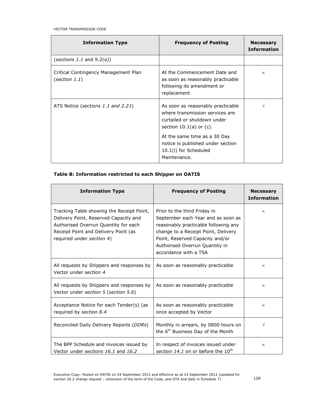| <b>Information Type</b>                               | <b>Frequency of Posting</b>                                                                                                                                                                                                                       | <b>Necessary</b><br><b>Information</b> |
|-------------------------------------------------------|---------------------------------------------------------------------------------------------------------------------------------------------------------------------------------------------------------------------------------------------------|----------------------------------------|
| (sections 1.1 and $9.2(a)$ )                          |                                                                                                                                                                                                                                                   |                                        |
| Critical Contingency Management Plan<br>(section 1.1) | At the Commencement Date and<br>as soon as reasonably practicable<br>following its amendment or<br>replacement                                                                                                                                    | $\times$                               |
| ATS Notice (sections 1.1 and 2.21)                    | As soon as reasonably practicable<br>where transmission services are<br>curtailed or shutdown under<br>section $10.1(a)$ or $(c)$ .<br>At the same time as a 30 Day<br>notice is published under section<br>10.1(i) for Scheduled<br>Maintenance. | V                                      |

## Table B: Information restricted to each Shipper on OATIS

| <b>Information Type</b>                                                                                                                                                                         | <b>Frequency of Posting</b>                                                                                                                                                                                                                     | <b>Necessary</b><br><b>Information</b> |
|-------------------------------------------------------------------------------------------------------------------------------------------------------------------------------------------------|-------------------------------------------------------------------------------------------------------------------------------------------------------------------------------------------------------------------------------------------------|----------------------------------------|
| Tracking Table showing the Receipt Point,<br>Delivery Point, Reserved Capacity and<br>Authorised Overrun Quantity for each<br>Receipt Point and Delivery Point (as<br>required under section 4) | Prior to the third Friday in<br>September each Year and as soon as<br>reasonably practicable following any<br>change to a Receipt Point, Delivery<br>Point, Reserved Capacity and/or<br>Authorised Overrun Quantity in<br>accordance with a TSA | $\times$                               |
| All requests by Shippers and responses by<br>Vector under section 4                                                                                                                             | As soon as reasonably practicable                                                                                                                                                                                                               | $\times$                               |
| All requests by Shippers and responses by<br>Vector under section 5 (section 5.6)                                                                                                               | As soon as reasonably practicable                                                                                                                                                                                                               | $\times$                               |
| Acceptance Notice for each Tender(s) (as<br>required by section 8.4                                                                                                                             | As soon as reasonably practicable<br>once accepted by Vector                                                                                                                                                                                    | $\times$                               |
| Reconciled Daily Delivery Reports (DDRs)                                                                                                                                                        | Monthly in arrears, by 0800 hours on<br>the 6 <sup>th</sup> Business Day of the Month                                                                                                                                                           | V                                      |
| The BPP Schedule and invoices issued by<br>Vector under sections 16.1 and 16.2                                                                                                                  | In respect of invoices issued under<br>section 14.1 on or before the 10 <sup>th</sup>                                                                                                                                                           | $\times$                               |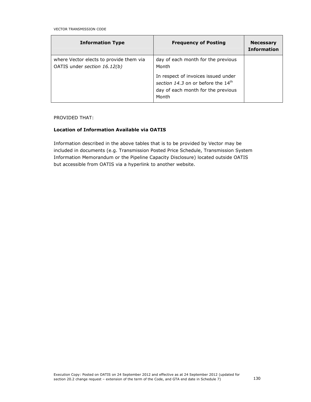| <b>Information Type</b>                                                 | <b>Frequency of Posting</b>                                                                                                          | <b>Necessary</b><br><b>Information</b> |
|-------------------------------------------------------------------------|--------------------------------------------------------------------------------------------------------------------------------------|----------------------------------------|
| where Vector elects to provide them via<br>OATIS under section 16.12(b) | day of each month for the previous<br>Month                                                                                          |                                        |
|                                                                         | In respect of invoices issued under<br>section 14.3 on or before the 14 <sup>th</sup><br>day of each month for the previous<br>Month |                                        |

### PROVIDED THAT:

### Location of Information Available via OATIS

Information described in the above tables that is to be provided by Vector may be included in documents (e.g. Transmission Posted Price Schedule, Transmission System Information Memorandum or the Pipeline Capacity Disclosure) located outside OATIS but accessible from OATIS via a hyperlink to another website.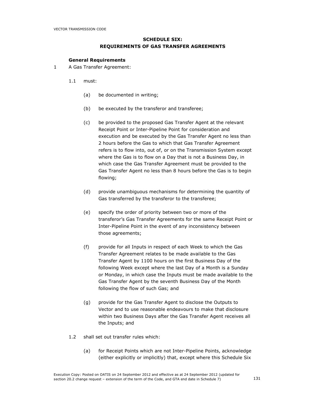## SCHEDULE SIX: REQUIREMENTS OF GAS TRANSFER AGREEMENTS

#### General Requirements

- 1 A Gas Transfer Agreement:
	- 1.1 must:
		- (a) be documented in writing;
		- (b) be executed by the transferor and transferee;
		- (c) be provided to the proposed Gas Transfer Agent at the relevant Receipt Point or Inter-Pipeline Point for consideration and execution and be executed by the Gas Transfer Agent no less than 2 hours before the Gas to which that Gas Transfer Agreement refers is to flow into, out of, or on the Transmission System except where the Gas is to flow on a Day that is not a Business Day, in which case the Gas Transfer Agreement must be provided to the Gas Transfer Agent no less than 8 hours before the Gas is to begin flowing;
		- (d) provide unambiguous mechanisms for determining the quantity of Gas transferred by the transferor to the transferee;
		- (e) specify the order of priority between two or more of the transferor's Gas Transfer Agreements for the same Receipt Point or Inter-Pipeline Point in the event of any inconsistency between those agreements;
		- (f) provide for all Inputs in respect of each Week to which the Gas Transfer Agreement relates to be made available to the Gas Transfer Agent by 1100 hours on the first Business Day of the following Week except where the last Day of a Month is a Sunday or Monday, in which case the Inputs must be made available to the Gas Transfer Agent by the seventh Business Day of the Month following the flow of such Gas; and
		- (g) provide for the Gas Transfer Agent to disclose the Outputs to Vector and to use reasonable endeavours to make that disclosure within two Business Days after the Gas Transfer Agent receives all the Inputs; and
	- 1.2 shall set out transfer rules which:
		- (a) for Receipt Points which are not Inter-Pipeline Points, acknowledge (either explicitly or implicitly) that, except where this Schedule Six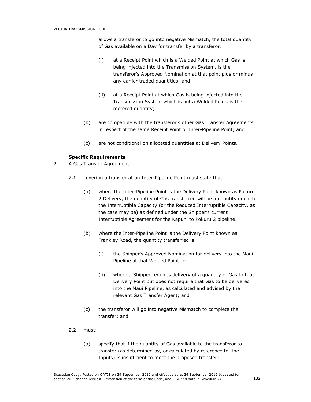allows a transferor to go into negative Mismatch, the total quantity of Gas available on a Day for transfer by a transferor:

- (i) at a Receipt Point which is a Welded Point at which Gas is being injected into the Transmission System, is the transferor's Approved Nomination at that point plus or minus any earlier traded quantities; and
- (ii) at a Receipt Point at which Gas is being injected into the Transmission System which is not a Welded Point, is the metered quantity;
- (b) are compatible with the transferor's other Gas Transfer Agreements in respect of the same Receipt Point or Inter-Pipeline Point; and
- (c) are not conditional on allocated quantities at Delivery Points.

### Specific Requirements

- 2 A Gas Transfer Agreement:
	- 2.1 covering a transfer at an Inter-Pipeline Point must state that:
		- (a) where the Inter-Pipeline Point is the Delivery Point known as Pokuru 2 Delivery, the quantity of Gas transferred will be a quantity equal to the Interruptible Capacity (or the Reduced Interruptible Capacity, as the case may be) as defined under the Shipper's current Interruptible Agreement for the Kapuni to Pokuru 2 pipeline.
		- (b) where the Inter-Pipeline Point is the Delivery Point known as Frankley Road, the quantity transferred is:
			- (i) the Shipper's Approved Nomination for delivery into the Maui Pipeline at that Welded Point; or
			- (ii) where a Shipper requires delivery of a quantity of Gas to that Delivery Point but does not require that Gas to be delivered into the Maui Pipeline, as calculated and advised by the relevant Gas Transfer Agent; and
		- (c) the transferor will go into negative Mismatch to complete the transfer; and
	- 2.2 must:
		- (a) specify that if the quantity of Gas available to the transferor to transfer (as determined by, or calculated by reference to, the Inputs) is insufficient to meet the proposed transfer: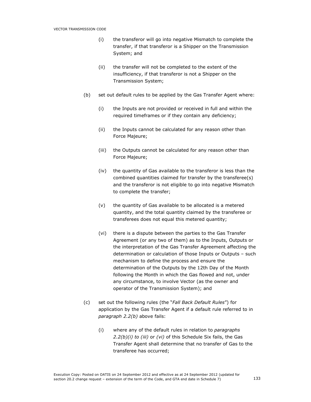- (i) the transferor will go into negative Mismatch to complete the transfer, if that transferor is a Shipper on the Transmission System; and
- (ii) the transfer will not be completed to the extent of the insufficiency, if that transferor is not a Shipper on the Transmission System;
- (b) set out default rules to be applied by the Gas Transfer Agent where:
	- (i) the Inputs are not provided or received in full and within the required timeframes or if they contain any deficiency;
	- (ii) the Inputs cannot be calculated for any reason other than Force Majeure;
	- (iii) the Outputs cannot be calculated for any reason other than Force Majeure;
	- (iv) the quantity of Gas available to the transferor is less than the combined quantities claimed for transfer by the transferee(s) and the transferor is not eligible to go into negative Mismatch to complete the transfer;
	- (v) the quantity of Gas available to be allocated is a metered quantity, and the total quantity claimed by the transferee or transferees does not equal this metered quantity;
	- (vi) there is a dispute between the parties to the Gas Transfer Agreement (or any two of them) as to the Inputs, Outputs or the interpretation of the Gas Transfer Agreement affecting the determination or calculation of those Inputs or Outputs – such mechanism to define the process and ensure the determination of the Outputs by the 12th Day of the Month following the Month in which the Gas flowed and not, under any circumstance, to involve Vector (as the owner and operator of the Transmission System); and
- (c) set out the following rules (the "Fall Back Default Rules") for application by the Gas Transfer Agent if a default rule referred to in paragraph 2.2(b) above fails:
	- (i) where any of the default rules in relation to paragraphs  $2.2(b)(i)$  to (iii) or (vi) of this Schedule Six fails, the Gas Transfer Agent shall determine that no transfer of Gas to the transferee has occurred;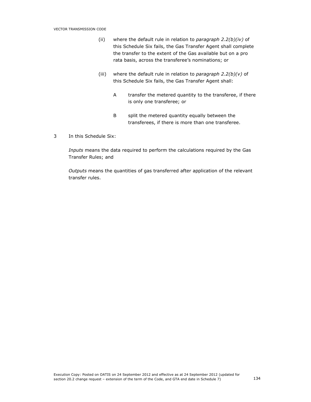- (ii) where the default rule in relation to paragraph  $2.2(b)(iv)$  of this Schedule Six fails, the Gas Transfer Agent shall complete the transfer to the extent of the Gas available but on a pro rata basis, across the transferee's nominations; or
- (iii) where the default rule in relation to paragraph  $2.2(b)(v)$  of this Schedule Six fails, the Gas Transfer Agent shall:
	- A transfer the metered quantity to the transferee, if there is only one transferee; or
	- B split the metered quantity equally between the transferees, if there is more than one transferee.
- 3 In this Schedule Six:

Inputs means the data required to perform the calculations required by the Gas Transfer Rules; and

Outputs means the quantities of gas transferred after application of the relevant transfer rules.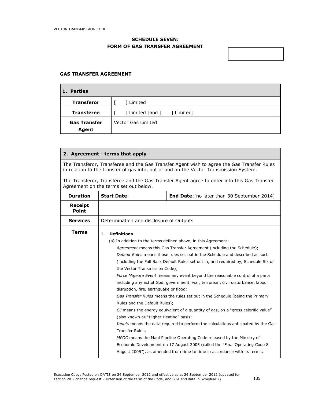# SCHEDULE SEVEN: FORM OF GAS TRANSFER AGREEMENT

| <u> 1989 - Johann Barbara, marka a shekara tsa 1989 - An tsa 1989 - An tsa 1989 - An tsa 1989 - An tsa 1989 - An</u> |  |  |
|----------------------------------------------------------------------------------------------------------------------|--|--|
|                                                                                                                      |  |  |

### GAS TRANSFER AGREEMENT

# 1. Parties

| L. Failles                   |                               |
|------------------------------|-------------------------------|
| <b>Transferor</b>            | Limited                       |
| <b>Transferee</b>            | ] Limited [and [<br>[Limited] |
| <b>Gas Transfer</b><br>Agent | Vector Gas Limited            |

### 2. Agreement - terms that apply

The Transferor, Transferee and the Gas Transfer Agent wish to agree the Gas Transfer Rules in relation to the transfer of gas into, out of and on the Vector Transmission System.

The Transferor, Transferee and the Gas Transfer Agent agree to enter into this Gas Transfer Agreement on the terms set out below.

| <b>Duration</b>         | <b>Start Date:</b>                                                                                                                                                              | <b>End Date:</b> [no later than 30 September 2014]                                                                                                                                                                                                                                                                                                                                                                                                                                                                                                                                                                                                       |  |
|-------------------------|---------------------------------------------------------------------------------------------------------------------------------------------------------------------------------|----------------------------------------------------------------------------------------------------------------------------------------------------------------------------------------------------------------------------------------------------------------------------------------------------------------------------------------------------------------------------------------------------------------------------------------------------------------------------------------------------------------------------------------------------------------------------------------------------------------------------------------------------------|--|
| Receipt<br><b>Point</b> |                                                                                                                                                                                 |                                                                                                                                                                                                                                                                                                                                                                                                                                                                                                                                                                                                                                                          |  |
| <b>Services</b>         | Determination and disclosure of Outputs.                                                                                                                                        |                                                                                                                                                                                                                                                                                                                                                                                                                                                                                                                                                                                                                                                          |  |
| <b>Terms</b>            | <b>Definitions</b><br>1.<br>the Vector Transmission Code);<br>disruption, fire, earthquake or flood;<br>Rules and the Default Rules);<br>(also known as "Higher Heating" basis; | (a) In addition to the terms defined above, in this Agreement:<br>Agreement means this Gas Transfer Agreement (including the Schedule);<br>Default Rules means those rules set out in the Schedule and described as such<br>(including the Fall Back Default Rules set out in, and required by, Schedule Six of<br>Force Majeure Event means any event beyond the reasonable control of a party<br>including any act of God, government, war, terrorism, civil disturbance, labour<br>Gas Transfer Rules means the rules set out in the Schedule (being the Primary<br>GJ means the energy equivalent of a quantity of gas, on a "gross calorific value" |  |
|                         | Inputs means the data required to perform the calculations anticipated by the Gas<br>Transfer Rules;                                                                            |                                                                                                                                                                                                                                                                                                                                                                                                                                                                                                                                                                                                                                                          |  |
|                         | MPOC means the Maui Pipeline Operating Code released by the Ministry of                                                                                                         |                                                                                                                                                                                                                                                                                                                                                                                                                                                                                                                                                                                                                                                          |  |
|                         | Economic Development on 17 August 2005 (called the "Final Operating Code 8<br>August 2005"), as amended from time to time in accordance with its terms;                         |                                                                                                                                                                                                                                                                                                                                                                                                                                                                                                                                                                                                                                                          |  |
|                         |                                                                                                                                                                                 |                                                                                                                                                                                                                                                                                                                                                                                                                                                                                                                                                                                                                                                          |  |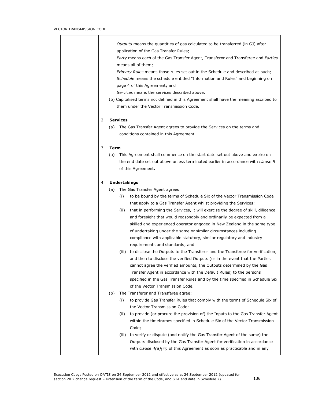|    | Outputs means the quantities of gas calculated to be transferred (in GJ) after<br>application of the Gas Transfer Rules;<br>Party means each of the Gas Transfer Agent, Transferor and Transferee and Parties<br>means all of them;<br>Primary Rules means those rules set out in the Schedule and described as such;<br>Schedule means the schedule entitled "Information and Rules" and beginning on<br>page 4 of this Agreement; and<br>Services means the services described above.<br>(b) Capitalised terms not defined in this Agreement shall have the meaning ascribed to<br>them under the Vector Transmission Code.                                                                                                                                                                                                                                                                                                                                                                                                                                             |
|----|---------------------------------------------------------------------------------------------------------------------------------------------------------------------------------------------------------------------------------------------------------------------------------------------------------------------------------------------------------------------------------------------------------------------------------------------------------------------------------------------------------------------------------------------------------------------------------------------------------------------------------------------------------------------------------------------------------------------------------------------------------------------------------------------------------------------------------------------------------------------------------------------------------------------------------------------------------------------------------------------------------------------------------------------------------------------------|
| 2. | <b>Services</b>                                                                                                                                                                                                                                                                                                                                                                                                                                                                                                                                                                                                                                                                                                                                                                                                                                                                                                                                                                                                                                                           |
|    | (a) The Gas Transfer Agent agrees to provide the Services on the terms and<br>conditions contained in this Agreement.                                                                                                                                                                                                                                                                                                                                                                                                                                                                                                                                                                                                                                                                                                                                                                                                                                                                                                                                                     |
| 3. | Term                                                                                                                                                                                                                                                                                                                                                                                                                                                                                                                                                                                                                                                                                                                                                                                                                                                                                                                                                                                                                                                                      |
|    | This Agreement shall commence on the start date set out above and expire on<br>(a)<br>the end date set out above unless terminated earlier in accordance with <i>clause 5</i><br>of this Agreement.                                                                                                                                                                                                                                                                                                                                                                                                                                                                                                                                                                                                                                                                                                                                                                                                                                                                       |
| 4. | <b>Undertakings</b>                                                                                                                                                                                                                                                                                                                                                                                                                                                                                                                                                                                                                                                                                                                                                                                                                                                                                                                                                                                                                                                       |
|    | The Gas Transfer Agent agrees:<br>(a)<br>to be bound by the terms of Schedule Six of the Vector Transmission Code<br>(i)<br>that apply to a Gas Transfer Agent whilst providing the Services;<br>that in performing the Services, it will exercise the degree of skill, diligence<br>(ii)<br>and foresight that would reasonably and ordinarily be expected from a<br>skilled and experienced operator engaged in New Zealand in the same type<br>of undertaking under the same or similar circumstances including<br>compliance with applicable statutory, similar regulatory and industry<br>requirements and standards; and<br>(iii) to disclose the Outputs to the Transferor and the Transferee for verification,<br>and then to disclose the verified Outputs (or in the event that the Parties<br>cannot agree the verified amounts, the Outputs determined by the Gas<br>Transfer Agent in accordance with the Default Rules) to the persons<br>specified in the Gas Transfer Rules and by the time specified in Schedule Six<br>of the Vector Transmission Code. |
|    | The Transferor and Transferee agree:<br>(b)<br>to provide Gas Transfer Rules that comply with the terms of Schedule Six of<br>(i)<br>the Vector Transmission Code;<br>(ii)<br>to provide (or procure the provision of) the Inputs to the Gas Transfer Agent<br>within the timeframes specified in Schedule Six of the Vector Transmission<br>Code;                                                                                                                                                                                                                                                                                                                                                                                                                                                                                                                                                                                                                                                                                                                        |
|    | to verify or dispute (and notify the Gas Transfer Agent of the same) the<br>(iii)<br>Outputs disclosed by the Gas Transfer Agent for verification in accordance<br>with <i>clause 4(a)(iii)</i> of this Agreement as soon as practicable and in any                                                                                                                                                                                                                                                                                                                                                                                                                                                                                                                                                                                                                                                                                                                                                                                                                       |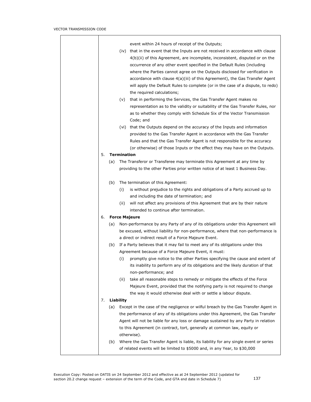|    |     | event within 24 hours of receipt of the Outputs;                                                |
|----|-----|-------------------------------------------------------------------------------------------------|
|    |     | (iv) that in the event that the Inputs are not received in accordance with clause               |
|    |     | 4(b)(ii) of this Agreement, are incomplete, inconsistent, disputed or on the                    |
|    |     | occurrence of any other event specified in the Default Rules (including                         |
|    |     |                                                                                                 |
|    |     | where the Parties cannot agree on the Outputs disclosed for verification in                     |
|    |     | accordance with clause 4(a)(iii) of this Agreement), the Gas Transfer Agent                     |
|    |     | will apply the Default Rules to complete (or in the case of a dispute, to redo)                 |
|    |     | the required calculations;                                                                      |
|    |     | that in performing the Services, the Gas Transfer Agent makes no<br>(v)                         |
|    |     | representation as to the validity or suitability of the Gas Transfer Rules, nor                 |
|    |     | as to whether they comply with Schedule Six of the Vector Transmission                          |
|    |     | Code; and                                                                                       |
|    |     | (vi) that the Outputs depend on the accuracy of the Inputs and information                      |
|    |     | provided to the Gas Transfer Agent in accordance with the Gas Transfer                          |
|    |     | Rules and that the Gas Transfer Agent is not responsible for the accuracy                       |
|    |     | (or otherwise) of those Inputs or the effect they may have on the Outputs.                      |
| 5. |     | <b>Termination</b>                                                                              |
|    | (a) | The Transferor or Transferee may terminate this Agreement at any time by                        |
|    |     | providing to the other Parties prior written notice of at least 1 Business Day.                 |
|    | (b) | The termination of this Agreement:                                                              |
|    |     | is without prejudice to the rights and obligations of a Party accrued up to<br>(i)              |
|    |     | and including the date of termination; and                                                      |
|    |     | will not affect any provisions of this Agreement that are by their nature<br>(ii)               |
|    |     | intended to continue after termination.                                                         |
| 6. |     | <b>Force Majeure</b>                                                                            |
|    | (a) | Non-performance by any Party of any of its obligations under this Agreement will                |
|    |     | be excused, without liability for non-performance, where that non-performance is                |
|    |     | a direct or indirect result of a Force Majeure Event.                                           |
|    | (b) | If a Party believes that it may fail to meet any of its obligations under this                  |
|    |     | Agreement because of a Force Majeure Event, it must:                                            |
|    |     | (i)<br>promptly give notice to the other Parties specifying the cause and extent of             |
|    |     | its inability to perform any of its obligations and the likely duration of that                 |
|    |     | non-performance; and                                                                            |
|    |     | take all reasonable steps to remedy or mitigate the effects of the Force<br>(ii)                |
|    |     | Majeure Event, provided that the notifying party is not required to change                      |
|    |     | the way it would otherwise deal with or settle a labour dispute.                                |
| 7. |     | Liability<br>Except in the case of the negligence or wilful breach by the Gas Transfer Agent in |
|    | (a) | the performance of any of its obligations under this Agreement, the Gas Transfer                |
|    |     | Agent will not be liable for any loss or damage sustained by any Party in relation              |
|    |     | to this Agreement (in contract, tort, generally at common law, equity or                        |
|    |     | otherwise).                                                                                     |
|    | (b) | Where the Gas Transfer Agent is liable, its liability for any single event or series            |
|    |     | of related events will be limited to \$5000 and, in any Year, to \$30,000                       |
|    |     |                                                                                                 |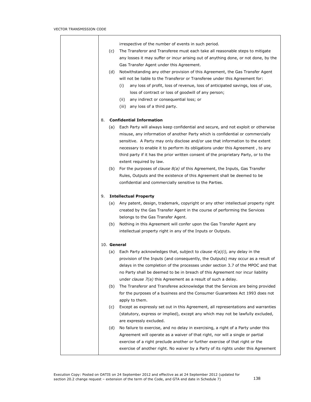T

|    |     | irrespective of the number of events in such period.                                  |
|----|-----|---------------------------------------------------------------------------------------|
|    | (c) | The Transferor and Transferee must each take all reasonable steps to mitigate         |
|    |     | any losses it may suffer or incur arising out of anything done, or not done, by the   |
|    |     | Gas Transfer Agent under this Agreement.                                              |
|    | (d) | Notwithstanding any other provision of this Agreement, the Gas Transfer Agent         |
|    |     | will not be liable to the Transferor or Transferee under this Agreement for:          |
|    |     | any loss of profit, loss of revenue, loss of anticipated savings, loss of use,<br>(i) |
|    |     | loss of contract or loss of goodwill of any person;                                   |
|    |     | any indirect or consequential loss; or<br>(ii)                                        |
|    |     | (iii) any loss of a third party.                                                      |
|    |     |                                                                                       |
| 8. |     | <b>Confidential Information</b>                                                       |
|    |     | Each Party will always keep confidential and secure, and not exploit or otherwise     |
|    | (a) |                                                                                       |
|    |     | misuse, any information of another Party which is confidential or commercially        |
|    |     | sensitive. A Party may only disclose and/or use that information to the extent        |
|    |     | necessary to enable it to perform its obligations under this Agreement, to any        |
|    |     | third party if it has the prior written consent of the proprietary Party, or to the   |
|    |     | extent required by law.                                                               |
|    | (b) | For the purposes of <i>clause</i> $8(a)$ of this Agreement, the Inputs, Gas Transfer  |
|    |     | Rules, Outputs and the existence of this Agreement shall be deemed to be              |
|    |     | confidential and commercially sensitive to the Parties.                               |
|    |     |                                                                                       |
| 9. |     | <b>Intellectual Property</b>                                                          |
|    |     | (a) Any patent, design, trademark, copyright or any other intellectual property right |
|    |     | created by the Gas Transfer Agent in the course of performing the Services            |
|    |     | belongs to the Gas Transfer Agent.                                                    |
|    | (b) | Nothing in this Agreement will confer upon the Gas Transfer Agent any                 |
|    |     | intellectual property right in any of the Inputs or Outputs.                          |
|    |     |                                                                                       |
|    |     | 10. General                                                                           |
|    | (a) | Each Party acknowledges that, subject to clause $4(a)(i)$ , any delay in the          |
|    |     | provision of the Inputs (and consequently, the Outputs) may occur as a result of      |
|    |     | delays in the completion of the processes under section 3.7 of the MPOC and that      |
|    |     | no Party shall be deemed to be in breach of this Agreement nor incur liability        |
|    |     | under <i>clause</i> $7(a)$ this Agreement as a result of such a delay.                |
|    | (b) | The Transferor and Transferee acknowledge that the Services are being provided        |
|    |     | for the purposes of a business and the Consumer Guarantees Act 1993 does not          |
|    |     | apply to them.                                                                        |
|    | (c) | Except as expressly set out in this Agreement, all representations and warranties     |
|    |     | (statutory, express or implied), except any which may not be lawfully excluded,       |
|    |     | are expressly excluded.                                                               |
|    | (d) | No failure to exercise, and no delay in exercising, a right of a Party under this     |
|    |     | Agreement will operate as a waiver of that right, nor will a single or partial        |
|    |     | exercise of a right preclude another or further exercise of that right or the         |
|    |     | exercise of another right. No waiver by a Party of its rights under this Agreement    |
|    |     |                                                                                       |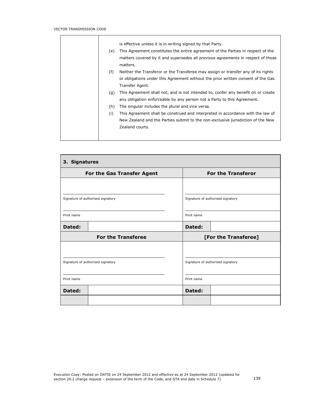$\blacksquare$ 

|     | is effective unless it is in writing signed by that Party.                        |
|-----|-----------------------------------------------------------------------------------|
| (e) | This Agreement constitutes the entire agreement of the Parties in respect of the  |
|     | matters covered by it and supersedes all previous agreements in respect of those  |
|     | matters.                                                                          |
| (f) | Neither the Transferor or the Transferee may assign or transfer any of its rights |
|     | or obligations under this Agreement without the prior written consent of the Gas  |
|     | Transfer Agent.                                                                   |
| (q) | This Agreement shall not, and is not intended to, confer any benefit on or create |
|     | any obligation enforceable by any person not a Party to this Agreement.           |
| (h) | The singular includes the plural and vice versa.                                  |
| (i) | This Agreement shall be construed and interpreted in accordance with the law of   |
|     | New Zealand and the Parties submit to the non-exclusive jurisdiction of the New   |
|     | Zealand courts.                                                                   |
|     |                                                                                   |
|     |                                                                                   |

| 3. Signatures                     |                                   |  |  |  |
|-----------------------------------|-----------------------------------|--|--|--|
| For the Gas Transfer Agent        | <b>For the Transferor</b>         |  |  |  |
| Signature of authorised signatory | Signature of authorised signatory |  |  |  |
| Print name                        | Print name                        |  |  |  |
| Dated:                            | Dated:                            |  |  |  |
| <b>For the Transferee</b>         | [For the Transferee]              |  |  |  |
| Signature of authorised signatory | Signature of authorised signatory |  |  |  |
| Print name                        | Print name                        |  |  |  |
| Dated:                            | Dated:                            |  |  |  |
|                                   |                                   |  |  |  |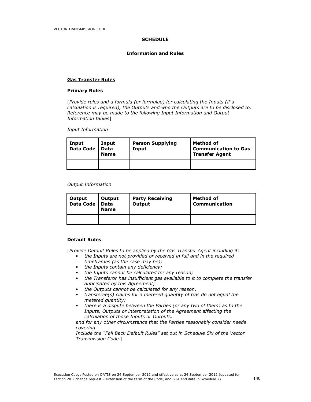#### **SCHEDULE**

#### Information and Rules

#### Gas Transfer Rules

#### Primary Rules

[Provide rules and a formula (or formulae) for calculating the Inputs (if a calculation is required), the Outputs and who the Outputs are to be disclosed to. Reference may be made to the following Input Information and Output Information tables]

Input Information

| <b>Input</b><br><b>Data Code</b> | Input<br>Data<br><b>Name</b> | <b>Person Supplying</b><br>Input | Method of<br><b>Communication to Gas</b><br><b>Transfer Agent</b> |
|----------------------------------|------------------------------|----------------------------------|-------------------------------------------------------------------|
|                                  |                              |                                  |                                                                   |

#### Output Information

| Output Outpi<br>Data Code Data | Output      | <b>Party Receiving</b> | Method of            |
|--------------------------------|-------------|------------------------|----------------------|
|                                | <b>Name</b> | Output                 | <b>Communication</b> |
|                                |             |                        |                      |

#### Default Rules

[Provide Default Rules to be applied by the Gas Transfer Agent including if:

- the Inputs are not provided or received in full and in the required timeframes (as the case may be);
	- the Inputs contain any deficiency;
	- the Inputs cannot be calculated for any reason;<br>• the Transferor has insufficient gas available to it
	- the Transferor has insufficient gas available to it to complete the transfer anticipated by this Agreement;
	- the Outputs cannot be calculated for any reason;<br>• transferee(s) claims for a metered quantity of Ga
	- transferee(s) claims for a metered quantity of Gas do not equal the metered quantity;
	- there is a dispute between the Parties (or any two of them) as to the Inputs, Outputs or interpretation of the Agreement affecting the calculation of those Inputs or Outputs,

and for any other circumstance that the Parties reasonably consider needs covering.

Include the "Fall Back Default Rules" set out in Schedule Six of the Vector Transmission Code.]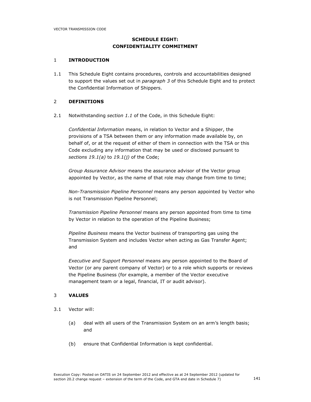# SCHEDULE EIGHT: CONFIDENTIALITY COMMITMENT

#### 1 INTRODUCTION

1.1 This Schedule Eight contains procedures, controls and accountabilities designed to support the values set out in paragraph 3 of this Schedule Eight and to protect the Confidential Information of Shippers.

### 2 DEFINITIONS

2.1 Notwithstanding section 1.1 of the Code, in this Schedule Eight:

Confidential Information means, in relation to Vector and a Shipper, the provisions of a TSA between them or any information made available by, on behalf of, or at the request of either of them in connection with the TSA or this Code excluding any information that may be used or disclosed pursuant to sections 19.1(a) to 19.1(j) of the Code;

Group Assurance Advisor means the assurance advisor of the Vector group appointed by Vector, as the name of that role may change from time to time;

Non-Transmission Pipeline Personnel means any person appointed by Vector who is not Transmission Pipeline Personnel;

Transmission Pipeline Personnel means any person appointed from time to time by Vector in relation to the operation of the Pipeline Business;

Pipeline Business means the Vector business of transporting gas using the Transmission System and includes Vector when acting as Gas Transfer Agent; and

Executive and Support Personnel means any person appointed to the Board of Vector (or any parent company of Vector) or to a role which supports or reviews the Pipeline Business (for example, a member of the Vector executive management team or a legal, financial, IT or audit advisor).

### 3 VALUES

- 3.1 Vector will:
	- (a) deal with all users of the Transmission System on an arm's length basis; and
	- (b) ensure that Confidential Information is kept confidential.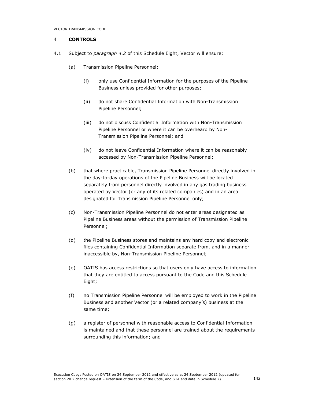## 4 CONTROLS

- 4.1 Subject to paragraph 4.2 of this Schedule Eight, Vector will ensure:
	- (a) Transmission Pipeline Personnel:
		- (i) only use Confidential Information for the purposes of the Pipeline Business unless provided for other purposes;
		- (ii) do not share Confidential Information with Non-Transmission Pipeline Personnel;
		- (iii) do not discuss Confidential Information with Non-Transmission Pipeline Personnel or where it can be overheard by Non-Transmission Pipeline Personnel; and
		- (iv) do not leave Confidential Information where it can be reasonably accessed by Non-Transmission Pipeline Personnel;
	- (b) that where practicable, Transmission Pipeline Personnel directly involved in the day-to-day operations of the Pipeline Business will be located separately from personnel directly involved in any gas trading business operated by Vector (or any of its related companies) and in an area designated for Transmission Pipeline Personnel only;
	- (c) Non-Transmission Pipeline Personnel do not enter areas designated as Pipeline Business areas without the permission of Transmission Pipeline Personnel;
	- (d) the Pipeline Business stores and maintains any hard copy and electronic files containing Confidential Information separate from, and in a manner inaccessible by, Non-Transmission Pipeline Personnel;
	- (e) OATIS has access restrictions so that users only have access to information that they are entitled to access pursuant to the Code and this Schedule Eight;
	- (f) no Transmission Pipeline Personnel will be employed to work in the Pipeline Business and another Vector (or a related company's) business at the same time;
	- (g) a register of personnel with reasonable access to Confidential Information is maintained and that these personnel are trained about the requirements surrounding this information; and